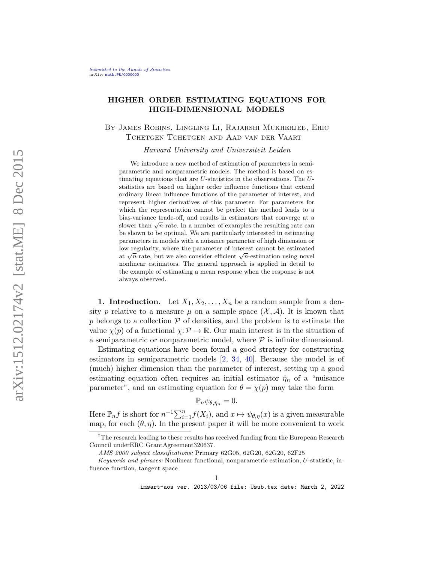# HIGHER ORDER ESTIMATING EQUATIONS FOR HIGH-DIMENSIONAL MODELS

By James Robins, Lingling Li, Rajarshi Mukherjee, Eric Tchetgen Tchetgen and Aad van der Vaart

Harvard University and Universiteit Leiden

We introduce a new method of estimation of parameters in semiparametric and nonparametric models. The method is based on estimating equations that are  $U$ -statistics in the observations. The  $U$ statistics are based on higher order influence functions that extend ordinary linear influence functions of the parameter of interest, and represent higher derivatives of this parameter. For parameters for which the representation cannot be perfect the method leads to a bias-variance trade-off, and results in estimators that converge at a shas-variance trade-on, and results in estimators that converge at a slower than  $\sqrt{n}$ -rate. In a number of examples the resulting rate can be shown to be optimal. We are particularly interested in estimating parameters in models with a nuisance parameter of high dimension or low regularity, where the parameter of interest cannot be estimated now regularity, where the parameter of interest cannot be estimated<br>at  $\sqrt{n}$ -rate, but we also consider efficient  $\sqrt{n}$ -estimation using novel nonlinear estimators. The general approach is applied in detail to the example of estimating a mean response when the response is not always observed.

<span id="page-0-0"></span>1. Introduction. Let  $X_1, X_2, \ldots, X_n$  be a random sample from a density p relative to a measure  $\mu$  on a sample space  $(\mathcal{X}, \mathcal{A})$ . It is known that  $p$  belongs to a collection  $\mathcal P$  of densities, and the problem is to estimate the value  $\chi(p)$  of a functional  $\chi: \mathcal{P} \to \mathbb{R}$ . Our main interest is in the situation of a semiparametric or nonparametric model, where  $P$  is infinite dimensional.

Estimating equations have been found a good strategy for constructing estimators in semiparametric models [\[2,](#page-36-0) [34,](#page-38-0) [40\]](#page-38-1). Because the model is of (much) higher dimension than the parameter of interest, setting up a good estimating equation often requires an initial estimator  $\hat{\eta}_n$  of a "nuisance parameter", and an estimating equation for  $\theta = \chi(p)$  may take the form

$$
\mathbb{P}_n \psi_{\theta, \hat{\eta}_n} = 0.
$$

Here  $\mathbb{P}_n f$  is short for  $n^{-1} \sum_{i=1}^n f(X_i)$ , and  $x \mapsto \psi_{\theta,\eta}(x)$  is a given measurable map, for each  $(\theta, \eta)$ . In the present paper it will be more convenient to work

<sup>&</sup>lt;sup>†</sup>The research leading to these results has received funding from the European Research Council underERC GrantAgreement320637.

AMS 2000 subject classifications: Primary 62G05, 62G20, 62G20, 62F25

Keywords and phrases: Nonlinear functional, nonparametric estimation, U-statistic, influence function, tangent space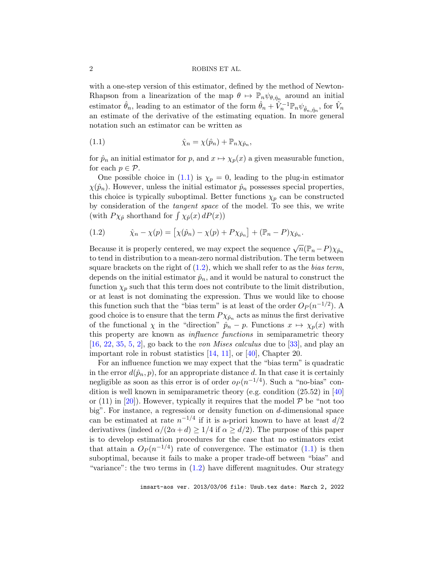with a one-step version of this estimator, defined by the method of Newton-Rhapson from a linearization of the map  $\theta \mapsto \mathbb{P}_n \psi_{\theta,\hat{\eta}_n}$  around an initial estimator  $\hat{\theta}_n$ , leading to an estimator of the form  $\hat{\theta}_n + \hat{V}_n^{-1} \mathbb{P}_n \psi_{\hat{\theta}_n, \hat{\eta}_n}$ , for  $\hat{V}_n$ an estimate of the derivative of the estimating equation. In more general notation such an estimator can be written as

<span id="page-1-0"></span>(1.1) 
$$
\hat{\chi}_n = \chi(\hat{p}_n) + \mathbb{P}_n \chi_{\hat{p}_n},
$$

for  $\hat{p}_n$  an initial estimator for p, and  $x \mapsto \chi_p(x)$  a given measurable function, for each  $p \in \mathcal{P}$ .

One possible choice in [\(1.1\)](#page-1-0) is  $\chi_p = 0$ , leading to the plug-in estimator  $\chi(\hat{p}_n)$ . However, unless the initial estimator  $\hat{p}_n$  possesses special properties, this choice is typically suboptimal. Better functions  $\chi_p$  can be constructed by consideration of the tangent space of the model. To see this, we write (with  $P\chi_{\hat{p}}$  shorthand for  $\int \chi_{\hat{p}}(x) dP(x)$ )

<span id="page-1-1"></span>(1.2) 
$$
\hat{\chi}_n - \chi(p) = [\chi(\hat{p}_n) - \chi(p) + P\chi_{\hat{p}_n}] + (\mathbb{P}_n - P)\chi_{\hat{p}_n}.
$$

Because it is properly centered, we may expect the sequence  $\sqrt{n}(\mathbb{P}_n - P)\chi_{\hat{p}_n}$ to tend in distribution to a mean-zero normal distribution. The term between square brackets on the right of  $(1.2)$ , which we shall refer to as the *bias term*, depends on the initial estimator  $\hat{p}_n$ , and it would be natural to construct the function  $\chi_p$  such that this term does not contribute to the limit distribution, or at least is not dominating the expression. Thus we would like to choose this function such that the "bias term" is at least of the order  $O_P(n^{-1/2})$ . A good choice is to ensure that the term  $P\chi_{\hat{p}_n}$  acts as minus the first derivative of the functional  $\chi$  in the "direction"  $\hat{p}_n - p$ . Functions  $x \mapsto \chi_p(x)$  with this property are known as *influence functions* in semiparametric theory [\[16,](#page-37-0) [22,](#page-37-1) [35,](#page-38-2) [5,](#page-36-1) [2\]](#page-36-0), go back to the von Mises calculus due to [\[33\]](#page-38-3), and play an important role in robust statistics [\[14,](#page-37-2) [11\]](#page-37-3), or [\[40\]](#page-38-1), Chapter 20.

For an influence function we may expect that the "bias term" is quadratic in the error  $d(\hat{p}_n, p)$ , for an appropriate distance d. In that case it is certainly negligible as soon as this error is of order  $o_P(n^{-1/4})$ . Such a "no-bias" condition is well known in semiparametric theory (e.g. condition (25.52) in [\[40\]](#page-38-1) or  $(11)$  in [\[20\]](#page-37-4)). However, typically it requires that the model  $\mathcal P$  be "not too big". For instance, a regression or density function on d-dimensional space can be estimated at rate  $n^{-1/4}$  if it is a-priori known to have at least  $d/2$ derivatives (indeed  $\alpha/(2\alpha+d) \geq 1/4$  if  $\alpha \geq d/2$ ). The purpose of this paper is to develop estimation procedures for the case that no estimators exist that attain a  $O_P(n^{-1/4})$  rate of convergence. The estimator  $(1.1)$  is then suboptimal, because it fails to make a proper trade-off between "bias" and "variance": the two terms in  $(1.2)$  have different magnitudes. Our strategy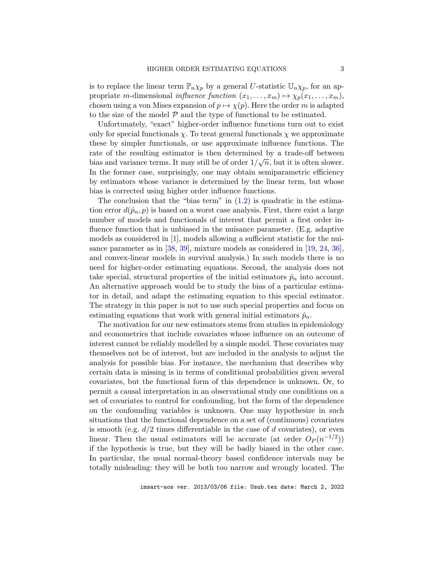is to replace the linear term  $\mathbb{P}_n\chi_p$  by a general U-statistic  $\mathbb{U}_n\chi_p$ , for an appropriate m-dimensional influence function  $(x_1, \ldots, x_m) \mapsto \chi_p(x_1, \ldots, x_m)$ , chosen using a von Mises expansion of  $p \mapsto \chi(p)$ . Here the order m is adapted to the size of the model  $P$  and the type of functional to be estimated.

Unfortunately, "exact" higher-order influence functions turn out to exist only for special functionals  $\chi$ . To treat general functionals  $\chi$  we approximate these by simpler functionals, or use approximate influence functions. The rate of the resulting estimator is then determined by a trade-off between bias and variance terms. It may still be of order  $1/\sqrt{n}$ , but it is often slower. In the former case, surprisingly, one may obtain semiparametric efficiency by estimators whose variance is determined by the linear term, but whose bias is corrected using higher order influence functions.

The conclusion that the "bias term" in  $(1.2)$  is quadratic in the estimation error  $d(\hat{p}_n, p)$  is based on a worst case analysis. First, there exist a large number of models and functionals of interest that permit a first order influence function that is unbiased in the nuisance parameter. (E.g. adaptive models as considered in [\[1\]](#page-36-2), models allowing a sufficient statistic for the nuisance parameter as in [\[38,](#page-38-4) [39\]](#page-38-5), mixture models as considered in [\[19,](#page-37-5) [24,](#page-37-6) [36\]](#page-38-6), and convex-linear models in survival analysis.) In such models there is no need for higher-order estimating equations. Second, the analysis does not take special, structural properties of the initial estimators  $\hat{p}_n$  into account. An alternative approach would be to study the bias of a particular estimator in detail, and adapt the estimating equation to this special estimator. The strategy in this paper is not to use such special properties and focus on estimating equations that work with general initial estimators  $\hat{p}_n$ .

The motivation for our new estimators stems from studies in epidemiology and econometrics that include covariates whose influence on an outcome of interest cannot be reliably modelled by a simple model. These covariates may themselves not be of interest, but are included in the analysis to adjust the analysis for possible bias. For instance, the mechanism that describes why certain data is missing is in terms of conditional probabilities given several covariates, but the functional form of this dependence is unknown. Or, to permit a causal interpretation in an observational study one conditions on a set of covariates to control for confounding, but the form of the dependence on the confounding variables is unknown. One may hypothesize in such situations that the functional dependence on a set of (continuous) covariates is smooth (e.g.  $d/2$  times differentiable in the case of d covariates), or even linear. Then the usual estimators will be accurate (at order  $O_P(n^{-1/2})$ ) if the hypothesis is true, but they will be badly biased in the other case. In particular, the usual normal-theory based confidence intervals may be totally misleading: they will be both too narrow and wrongly located. The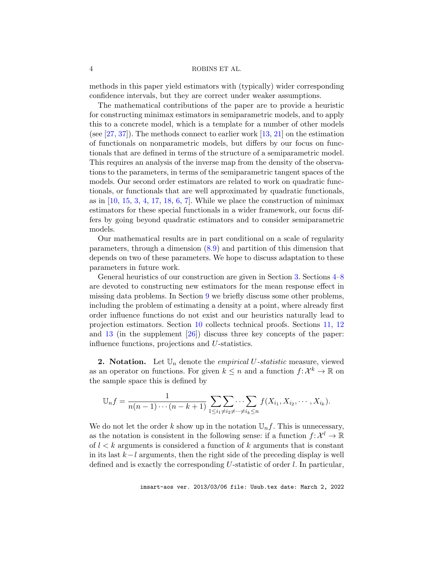methods in this paper yield estimators with (typically) wider corresponding confidence intervals, but they are correct under weaker assumptions.

The mathematical contributions of the paper are to provide a heuristic for constructing minimax estimators in semiparametric models, and to apply this to a concrete model, which is a template for a number of other models (see [\[27,](#page-38-7) [37\]](#page-38-8)). The methods connect to earlier work [\[13,](#page-37-7) [21\]](#page-37-8) on the estimation of functionals on nonparametric models, but differs by our focus on functionals that are defined in terms of the structure of a semiparametric model. This requires an analysis of the inverse map from the density of the observations to the parameters, in terms of the semiparametric tangent spaces of the models. Our second order estimators are related to work on quadratic functionals, or functionals that are well approximated by quadratic functionals, as in  $[10, 15, 3, 4, 17, 18, 6, 7]$  $[10, 15, 3, 4, 17, 18, 6, 7]$  $[10, 15, 3, 4, 17, 18, 6, 7]$  $[10, 15, 3, 4, 17, 18, 6, 7]$  $[10, 15, 3, 4, 17, 18, 6, 7]$  $[10, 15, 3, 4, 17, 18, 6, 7]$  $[10, 15, 3, 4, 17, 18, 6, 7]$  $[10, 15, 3, 4, 17, 18, 6, 7]$  $[10, 15, 3, 4, 17, 18, 6, 7]$  $[10, 15, 3, 4, 17, 18, 6, 7]$  $[10, 15, 3, 4, 17, 18, 6, 7]$  $[10, 15, 3, 4, 17, 18, 6, 7]$  $[10, 15, 3, 4, 17, 18, 6, 7]$  $[10, 15, 3, 4, 17, 18, 6, 7]$  $[10, 15, 3, 4, 17, 18, 6, 7]$ . While we place the construction of minimax estimators for these special functionals in a wider framework, our focus differs by going beyond quadratic estimators and to consider semiparametric models.

Our mathematical results are in part conditional on a scale of regularity parameters, through a dimension [\(8.9\)](#page-24-0) and partition of this dimension that depends on two of these parameters. We hope to discuss adaptation to these parameters in future work.

General heuristics of our construction are given in Section [3.](#page-4-0) Sections [4–](#page-8-0)[8](#page-20-0) are devoted to constructing new estimators for the mean response effect in missing data problems. In Section [9](#page-25-0) we briefly discuss some other problems, including the problem of estimating a density at a point, where already first order influence functions do not exist and our heuristics naturally lead to projection estimators. Section [10](#page-27-0) collects technical proofs. Sections [11,](#page-44-0) [12](#page-47-0) and [13](#page-55-0) (in the supplement [\[26\]](#page-37-13)) discuss three key concepts of the paper: influence functions, projections and U-statistics.

<span id="page-3-0"></span>**2. Notation.** Let  $\mathbb{U}_n$  denote the *empirical U-statistic* measure, viewed as an operator on functions. For given  $k \leq n$  and a function  $f: \mathcal{X}^k \to \mathbb{R}$  on the sample space this is defined by

$$
\mathbb{U}_n f = \frac{1}{n(n-1)\cdots(n-k+1)} \sum_{1 \leq i_1 \neq i_2 \neq \cdots \neq i_k \leq n} f(X_{i_1}, X_{i_2}, \cdots, X_{i_k}).
$$

We do not let the order k show up in the notation  $\mathbb{U}_n f$ . This is unnecessary, as the notation is consistent in the following sense: if a function  $f: \mathcal{X}^l \to \mathbb{R}$ of  $l < k$  arguments is considered a function of k arguments that is constant in its last  $k-l$  arguments, then the right side of the preceding display is well defined and is exactly the corresponding  $U$ -statistic of order  $l$ . In particular,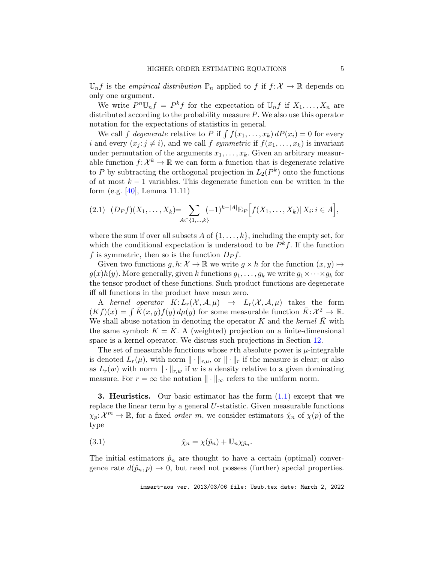$\mathbb{U}_n f$  is the *empirical distribution*  $\mathbb{P}_n$  applied to f if  $f: \mathcal{X} \to \mathbb{R}$  depends on only one argument.

We write  $P^n \mathbb{U}_n f = P^k f$  for the expectation of  $\mathbb{U}_n f$  if  $X_1, \ldots, X_n$  are distributed according to the probability measure P. We also use this operator notation for the expectations of statistics in general.

We call f degenerate relative to P if  $\int f(x_1, \ldots, x_k) dP(x_i) = 0$  for every i and every  $(x_i : j \neq i)$ , and we call f symmetric if  $f(x_1, \ldots, x_k)$  is invariant under permutation of the arguments  $x_1, \ldots, x_k$ . Given an arbitrary measurable function  $f: \mathcal{X}^k \to \mathbb{R}$  we can form a function that is degenerate relative to P by subtracting the orthogonal projection in  $L_2(P^k)$  onto the functions of at most  $k - 1$  variables. This degenerate function can be written in the form (e.g. [\[40\]](#page-38-1), Lemma 11.11)

<span id="page-4-2"></span>
$$
(2.1) (D_P f)(X_1, \ldots, X_k) = \sum_{A \subset \{1, \ldots, k\}} (-1)^{k-|A|} \mathbb{E}_P \Big[ f(X_1, \ldots, X_k) | X_i : i \in A \Big],
$$

where the sum if over all subsets A of  $\{1, \ldots, k\}$ , including the empty set, for which the conditional expectation is understood to be  $P^k f$ . If the function f is symmetric, then so is the function  $D_{P}f$ .

Given two functions  $g, h: \mathcal{X} \to \mathbb{R}$  we write  $g \times h$  for the function  $(x, y) \mapsto$  $g(x)h(y)$ . More generally, given k functions  $g_1, \ldots, g_k$  we write  $g_1 \times \cdots \times g_k$  for the tensor product of these functions. Such product functions are degenerate iff all functions in the product have mean zero.

A kernel operator  $K: L_r(\mathcal{X}, \mathcal{A}, \mu) \rightarrow L_r(\mathcal{X}, \mathcal{A}, \mu)$  takes the form  $(Kf)(x) = \int \overline{K}(x, y) f(y) d\mu(y)$  for some measurable function  $\overline{K}: \mathcal{X}^2 \to \mathbb{R}$ . We shall abuse notation in denoting the operator K and the kernel  $\bar{K}$  with the same symbol:  $K = K$ . A (weighted) projection on a finite-dimensional space is a kernel operator. We discuss such projections in Section [12.](#page-47-0)

The set of measurable functions whose  $r$ th absolute power is  $\mu$ -integrable is denoted  $L_r(\mu)$ , with norm  $\|\cdot\|_{r,\mu}$ , or  $\|\cdot\|_r$  if the measure is clear; or also as  $L_r(w)$  with norm  $\|\cdot\|_{r,w}$  if w is a density relative to a given dominating measure. For  $r = \infty$  the notation  $\|\cdot\|_{\infty}$  refers to the uniform norm.

<span id="page-4-0"></span>**3. Heuristics.** Our basic estimator has the form  $(1.1)$  except that we replace the linear term by a general  $U$ -statistic. Given measurable functions  $\chi_p: \mathcal{X}^m \to \mathbb{R}$ , for a fixed *order m*, we consider estimators  $\hat{\chi}_n$  of  $\chi(p)$  of the type

<span id="page-4-1"></span>(3.1) 
$$
\hat{\chi}_n = \chi(\hat{p}_n) + \mathbb{U}_n \chi_{\hat{p}_n}.
$$

The initial estimators  $\hat{p}_n$  are thought to have a certain (optimal) convergence rate  $d(\hat{p}_n, p) \to 0$ , but need not possess (further) special properties.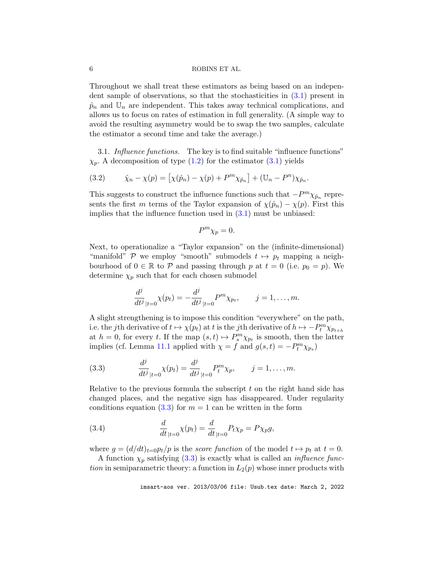Throughout we shall treat these estimators as being based on an independent sample of observations, so that the stochasticities in [\(3.1\)](#page-4-1) present in  $\hat{p}_n$  and  $\mathbb{U}_n$  are independent. This takes away technical complications, and allows us to focus on rates of estimation in full generality. (A simple way to avoid the resulting asymmetry would be to swap the two samples, calculate the estimator a second time and take the average.)

<span id="page-5-3"></span>3.1. Influence functions. The key is to find suitable "influence functions"  $\chi_p$ . A decomposition of type [\(1.2\)](#page-1-1) for the estimator [\(3.1\)](#page-4-1) yields

<span id="page-5-2"></span>(3.2) 
$$
\hat{\chi}_n - \chi(p) = [\chi(\hat{p}_n) - \chi(p) + P^m \chi_{\hat{p}_n}] + (\mathbb{U}_n - P^n) \chi_{\hat{p}_n}.
$$

This suggests to construct the influence functions such that  $-P^m \chi_{\hat{p}_n}$  represents the first m terms of the Taylor expansion of  $\chi(\hat{p}_n) - \chi(p)$ . First this implies that the influence function used in  $(3.1)$  must be unbiased:

$$
P^m \chi_p = 0.
$$

Next, to operationalize a "Taylor expansion" on the (infinite-dimensional) "manifold" P we employ "smooth" submodels  $t \mapsto p_t$  mapping a neighbourhood of  $0 \in \mathbb{R}$  to P and passing through p at  $t = 0$  (i.e.  $p_0 = p$ ). We determine  $\chi_p$  such that for each chosen submodel

$$
\frac{d^j}{dt^j}_{|t=0} \chi(p_t) = -\frac{d^j}{dt^j}_{|t=0} P^m \chi_{p_t}, \qquad j = 1, \dots, m.
$$

A slight strengthening is to impose this condition "everywhere" on the path, i.e. the jth derivative of  $t \mapsto \chi(p_t)$  at t is the jth derivative of  $h \mapsto -P_t^m \chi_{p_{t+h}}$ at  $h = 0$ , for every t. If the map  $(s, t) \mapsto P_s^m \chi_{p_t}$  is smooth, then the latter implies (cf. Lemma [11.1](#page-44-1) applied with  $\chi = f$  and  $g(s,t) = -P_t^m \chi_{p_s}$ )

<span id="page-5-0"></span>(3.3) 
$$
\frac{d^j}{dt^j}_{|t=0} \chi(p_t) = \frac{d^j}{dt^j}_{|t=0} P_t^m \chi_p, \qquad j = 1, \dots, m.
$$

Relative to the previous formula the subscript  $t$  on the right hand side has changed places, and the negative sign has disappeared. Under regularity conditions equation  $(3.3)$  for  $m = 1$  can be written in the form

<span id="page-5-1"></span>(3.4) 
$$
\frac{d}{dt}_{|t=0} \chi(p_t) = \frac{d}{dt}_{|t=0} P_t \chi_p = P \chi_p g,
$$

where  $g = (d/dt)_{t=0}p_t/p$  is the *score function* of the model  $t \mapsto p_t$  at  $t = 0$ .

A function  $\chi_p$  satisfying [\(3.3\)](#page-5-0) is exactly what is called an *influence func*tion in semiparametric theory: a function in  $L_2(p)$  whose inner products with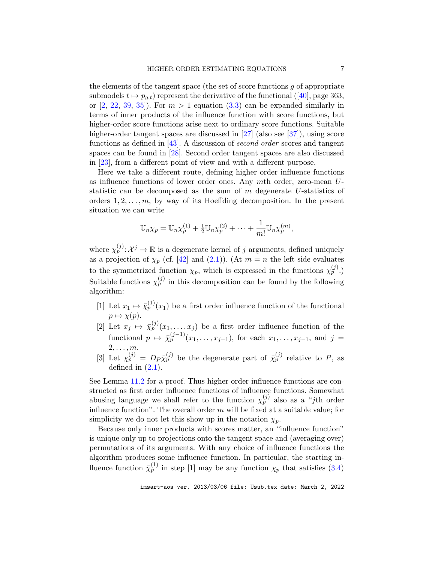the elements of the tangent space (the set of score functions  $g$  of appropriate submodels  $t \mapsto p_{q,t}$ ) represent the derivative of the functional ([\[40\]](#page-38-1), page 363, or  $[2, 22, 39, 35]$  $[2, 22, 39, 35]$  $[2, 22, 39, 35]$  $[2, 22, 39, 35]$  $[2, 22, 39, 35]$  $[2, 22, 39, 35]$  $[2, 22, 39, 35]$ . For  $m > 1$  equation  $(3.3)$  can be expanded similarly in terms of inner products of the influence function with score functions, but higher-order score functions arise next to ordinary score functions. Suitable higher-order tangent spaces are discussed in [\[27\]](#page-38-7) (also see [\[37\]](#page-38-8)), using score functions as defined in  $[43]$ . A discussion of *second order* scores and tangent spaces can be found in [\[28\]](#page-38-10). Second order tangent spaces are also discussed in [\[23\]](#page-37-14), from a different point of view and with a different purpose.

Here we take a different route, defining higher order influence functions as influence functions of lower order ones. Any mth order, zero-mean Ustatistic can be decomposed as the sum of m degenerate U-statistics of orders  $1, 2, \ldots, m$ , by way of its Hoeffding decomposition. In the present situation we can write

$$
\mathbb{U}_n \chi_p = \mathbb{U}_n \chi_p^{(1)} + \frac{1}{2} \mathbb{U}_n \chi_p^{(2)} + \dots + \frac{1}{m!} \mathbb{U}_n \chi_p^{(m)},
$$

where  $\chi_p^{(j)} \colon \mathcal{X}^j \to \mathbb{R}$  is a degenerate kernel of j arguments, defined uniquely as a projection of  $\chi_p$  (cf. [\[42\]](#page-38-11) and [\(2.1\)](#page-4-2)). (At  $m = n$  the left side evaluates to the symmetrized function  $\chi_p$ , which is expressed in the functions  $\chi_p^{(j)}$ .) Suitable functions  $\chi_p^{(j)}$  in this decomposition can be found by the following algorithm:

- [1] Let  $x_1 \mapsto \bar{\chi}_p^{(1)}(x_1)$  be a first order influence function of the functional  $p \mapsto \chi(p)$ .
- [2] Let  $x_j \mapsto \bar{\chi}_p^{(j)}(x_1,\ldots,x_j)$  be a first order influence function of the functional  $p \mapsto \bar{\chi}_p^{(j-1)}(x_1,\ldots,x_{j-1}),$  for each  $x_1,\ldots,x_{j-1},$  and  $j =$  $2, \ldots, m$ .
- [3] Let  $\chi_p^{(j)} = D_P \bar{\chi}_p^{(j)}$  be the degenerate part of  $\bar{\chi}_p^{(j)}$  relative to P, as defined in  $(2.1)$ .

See Lemma [11.2](#page-45-0) for a proof. Thus higher order influence functions are constructed as first order influence functions of influence functions. Somewhat abusing language we shall refer to the function  $\chi_p^{(j)}$  also as a "j<sup>th</sup> order influence function". The overall order  $m$  will be fixed at a suitable value; for simplicity we do not let this show up in the notation  $\chi_p$ .

Because only inner products with scores matter, an "influence function" is unique only up to projections onto the tangent space and (averaging over) permutations of its arguments. With any choice of influence functions the algorithm produces some influence function. In particular, the starting influence function  $\bar{\chi}_p^{(1)}$  in step [1] may be any function  $\chi_p$  that satisfies [\(3.4\)](#page-5-1)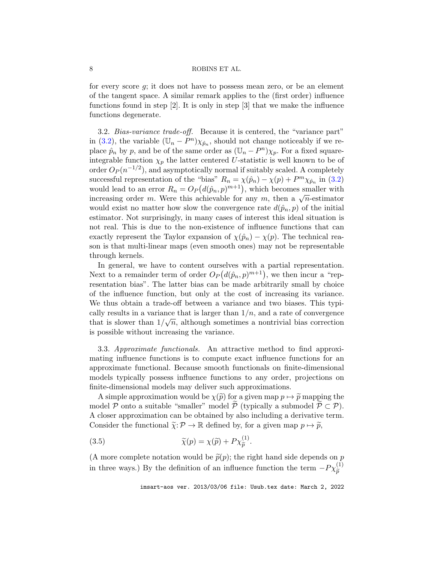for every score g; it does not have to possess mean zero, or be an element of the tangent space. A similar remark applies to the (first order) influence functions found in step [2]. It is only in step [3] that we make the influence functions degenerate.

3.2. Bias-variance trade-off. Because it is centered, the "variance part" in [\(3.2\)](#page-5-2), the variable  $(\mathbb{U}_n - P^n)\chi_{\hat{p}_n}$ , should not change noticeably if we replace  $\hat{p}_n$  by p, and be of the same order as  $(\mathbb{U}_n - P^n)\chi_p$ . For a fixed squareintegrable function  $\chi_p$  the latter centered U-statistic is well known to be of order  $O_P(n^{-1/2})$ , and asymptotically normal if suitably scaled. A completely successful representation of the "bias"  $R_n = \chi(\hat{p}_n) - \chi(p) + P^m \chi_{\hat{p}_n}$  in [\(3.2\)](#page-5-2) would lead to an error  $R_n = O_P(d(\hat{p}_n, p)^{m+1})$ , which becomes smaller with increasing order m. Were this achievable for any m, then a  $\sqrt{n}$ -estimator would exist no matter how slow the convergence rate  $d(\hat{p}_n, p)$  of the initial estimator. Not surprisingly, in many cases of interest this ideal situation is not real. This is due to the non-existence of influence functions that can exactly represent the Taylor expansion of  $\chi(\hat{p}_n) - \chi(p)$ . The technical reason is that multi-linear maps (even smooth ones) may not be representable through kernels.

In general, we have to content ourselves with a partial representation. Next to a remainder term of order  $O_P(d(\hat{p}_n, p)^{m+1})$ , we then incur a "representation bias". The latter bias can be made arbitrarily small by choice of the influence function, but only at the cost of increasing its variance. We thus obtain a trade-off between a variance and two biases. This typically results in a variance that is larger than  $1/n$ , and a rate of convergence that is slower than  $1/\sqrt{n}$ , although sometimes a nontrivial bias correction is possible without increasing the variance.

<span id="page-7-1"></span>3.3. Approximate functionals. An attractive method to find approximating influence functions is to compute exact influence functions for an approximate functional. Because smooth functionals on finite-dimensional models typically possess influence functions to any order, projections on finite-dimensional models may deliver such approximations.

A simple approximation would be  $\chi(\tilde{p})$  for a given map  $p \mapsto \tilde{p}$  mapping the model P onto a suitable "smaller" model P (typically a submodel  $P \subset P$ ). A closer approximation can be obtained by also including a derivative term. Consider the functional  $\tilde{\chi}: \mathcal{P} \to \mathbb{R}$  defined by, for a given map  $p \mapsto \tilde{p}$ ,

<span id="page-7-0"></span>(3.5) 
$$
\widetilde{\chi}(p) = \chi(\widetilde{p}) + P\chi_{\widetilde{p}}^{(1)}.
$$

(A more complete notation would be  $\tilde{p}(p)$ ; the right hand side depends on p in three ways.) By the definition of an influence function the term  $-P\chi_{\tilde{p}}^{(1)}$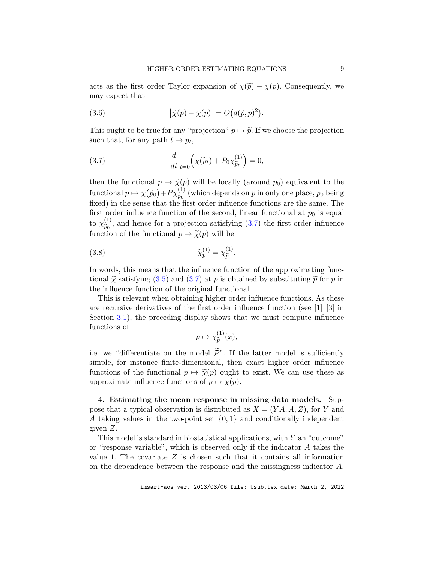acts as the first order Taylor expansion of  $\chi(\tilde{p}) - \chi(p)$ . Consequently, we may expect that

<span id="page-8-2"></span>(3.6) 
$$
\left|\widetilde{\chi}(p) - \chi(p)\right| = O\big(d(\widetilde{p}, p)^2\big).
$$

This ought to be true for any "projection"  $p \mapsto \tilde{p}$ . If we choose the projection such that, for any path  $t \mapsto p_t$ ,

<span id="page-8-1"></span>(3.7) 
$$
\frac{d}{dt}_{|t=0} \left( \chi(\widetilde{p}_t) + P_0 \chi_{\widetilde{p}_t}^{(1)} \right) = 0,
$$

then the functional  $p \mapsto \widetilde{\chi}(p)$  will be locally (around  $p_0$ ) equivalent to the functional  $p \mapsto \chi(\widetilde{p}_0) + P \chi_{\widetilde{p}_0}^{(1)}$  $\tilde{p}_{0}^{(1)}$  (which depends on p in only one place,  $p_{0}$  being  $\tilde{p}_{0}$  freet order influence functions are the same. The fixed) in the sense that the first order influence functions are the same. The first order influence function of the second, linear functional at  $p_0$  is equal to  $\chi^{(1)}_{\widetilde{n}_0}$  $\tilde{p}_{0}^{(1)}$ , and hence for a projection satisfying [\(3.7\)](#page-8-1) the first order influence function of the functional  $p \mapsto \tilde{\chi}(p)$  will be

(3.8) 
$$
\widetilde{\chi}_p^{(1)} = \chi_{\widetilde{p}}^{(1)}.
$$

In words, this means that the influence function of the approximating functional  $\tilde{\gamma}$  satisfying [\(3.5\)](#page-7-0) and [\(3.7\)](#page-8-1) at p is obtained by substituting  $\tilde{p}$  for p in the influence function of the original functional.

This is relevant when obtaining higher order influence functions. As these are recursive derivatives of the first order influence function (see  $[1]-[3]$  in Section [3.1\)](#page-5-3), the preceding display shows that we must compute influence functions of

<span id="page-8-3"></span>
$$
p \mapsto \chi_{\widetilde{p}}^{(1)}(x),
$$

i.e. we "differentiate on the model  $\tilde{\mathcal{P}}$ ". If the latter model is sufficiently simple, for instance finite-dimensional, then exact higher order influence functions of the functional  $p \mapsto \tilde{\chi}(p)$  ought to exist. We can use these as approximate influence functions of  $p \mapsto \chi(p)$ .

<span id="page-8-0"></span>4. Estimating the mean response in missing data models. Suppose that a typical observation is distributed as  $X = (YA, A, Z)$ , for Y and A taking values in the two-point set  $\{0,1\}$  and conditionally independent given Z.

This model is standard in biostatistical applications, with  $Y$  an "outcome" or "response variable", which is observed only if the indicator  $A$  takes the value 1. The covariate  $Z$  is chosen such that it contains all information on the dependence between the response and the missingness indicator  $A$ ,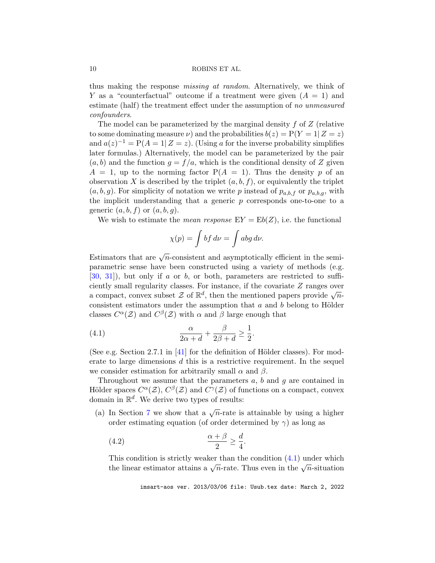thus making the response *missing at random*. Alternatively, we think of Y as a "counterfactual" outcome if a treatment were given  $(A = 1)$  and estimate (half) the treatment effect under the assumption of no unmeasured confounders.

The model can be parameterized by the marginal density  $f$  of  $Z$  (relative to some dominating measure  $\nu$ ) and the probabilities  $b(z) = P(Y = 1 | Z = z)$ and  $a(z)^{-1} = P(A = 1 | Z = z)$ . (Using a for the inverse probability simplifies later formulas.) Alternatively, the model can be parameterized by the pair  $(a, b)$  and the function  $g = f/a$ , which is the conditional density of Z given  $A = 1$ , up to the norming factor  $P(A = 1)$ . Thus the density p of an observation X is described by the triplet  $(a, b, f)$ , or equivalently the triplet  $(a, b, g)$ . For simplicity of notation we write p instead of  $p_{a,b,f}$  or  $p_{a,b,g}$ , with the implicit understanding that a generic  $p$  corresponds one-to-one to a generic  $(a, b, f)$  or  $(a, b, g)$ .

We wish to estimate the *mean response*  $EY = Eb(Z)$ , i.e. the functional

$$
\chi(p)=\int bf\,d\nu=\int abg\,d\nu.
$$

Estimators that are  $\sqrt{n}$ -consistent and asymptotically efficient in the semiparametric sense have been constructed using a variety of methods (e.g.  $[30, 31]$  $[30, 31]$  $[30, 31]$ , but only if a or b, or both, parameters are restricted to sufficiently small regularity classes. For instance, if the covariate Z ranges over a compact, convex subset  $\mathcal{Z}$  of  $\mathbb{R}^d$ , then the mentioned papers provide  $\sqrt{n}$ consistent estimators under the assumption that  $a$  and  $b$  belong to Hölder classes  $C^{\alpha}(\mathcal{Z})$  and  $C^{\beta}(\mathcal{Z})$  with  $\alpha$  and  $\beta$  large enough that

<span id="page-9-0"></span>(4.1) 
$$
\frac{\alpha}{2\alpha + d} + \frac{\beta}{2\beta + d} \ge \frac{1}{2}.
$$

(See e.g. Section 2.7.1 in  $[41]$  for the definition of Hölder classes). For moderate to large dimensions  $d$  this is a restrictive requirement. In the sequel we consider estimation for arbitrarily small  $\alpha$  and  $\beta$ .

Throughout we assume that the parameters  $a, b$  and  $q$  are contained in Hölder spaces  $C^{\alpha}(\mathcal{Z}), C^{\beta}(\mathcal{Z})$  and  $C^{\gamma}(\mathcal{Z})$  of functions on a compact, convex domain in  $\mathbb{R}^d$ . We derive two types of results:

(a) In Section [7](#page-18-0) we show that a  $\sqrt{n}$ -rate is attainable by using a higher order estimating equation (of order determined by  $\gamma$ ) as long as

<span id="page-9-1"></span>
$$
\frac{\alpha + \beta}{2} \ge \frac{d}{4}.
$$

This condition is strictly weaker than the condition [\(4.1\)](#page-9-0) under which the linear estimator attains a  $\sqrt{n}$ -rate. Thus even in the  $\sqrt{n}$ -situation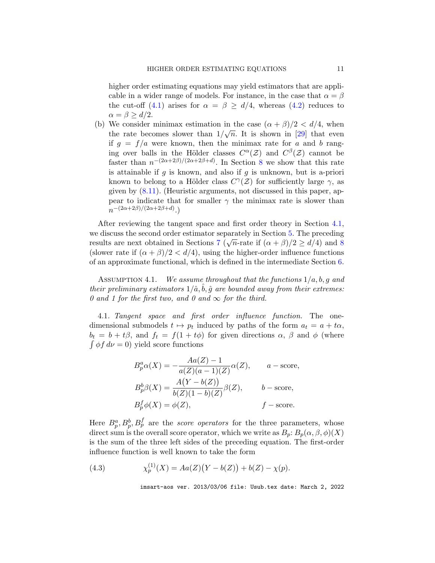higher order estimating equations may yield estimators that are applicable in a wider range of models. For instance, in the case that  $\alpha = \beta$ the cut-off [\(4.1\)](#page-9-0) arises for  $\alpha = \beta \ge d/4$ , whereas [\(4.2\)](#page-9-1) reduces to  $\alpha = \beta > d/2$ .

(b) We consider minimax estimation in the case  $(\alpha + \beta)/2 < d/4$ , when the rate becomes slower than  $1/\sqrt{n}$ . It is shown in [\[29\]](#page-38-15) that even if  $g = f/a$  were known, then the minimax rate for a and b ranging over balls in the Hölder classes  $C^{\alpha}(\mathcal{Z})$  and  $C^{\beta}(\mathcal{Z})$  cannot be faster than  $n^{-(2\alpha+2\beta)/(2\alpha+2\beta+d)}$ . In Section [8](#page-20-0) we show that this rate is attainable if  $g$  is known, and also if  $g$  is unknown, but is a-priori known to belong to a Hölder class  $C^{\gamma}(\mathcal{Z})$  for sufficiently large  $\gamma$ , as given by [\(8.11\)](#page-24-1). (Heuristic arguments, not discussed in this paper, appear to indicate that for smaller  $\gamma$  the minimax rate is slower than  $n^{-(2\alpha+2\beta)/(2\alpha+2\beta+d)}$ .)

After reviewing the tangent space and first order theory in Section [4.1,](#page-10-0) we discuss the second order estimator separately in Section [5.](#page-11-0) The preceding results are next obtained in Sections [7](#page-18-0) ( $\sqrt{n}$ -rate if  $(\alpha + \beta)/2 \ge d/4$ ) and [8](#page-20-0) (slower rate if  $(\alpha + \beta)/2 < d/4$ ), using the higher-order influence functions of an approximate functional, which is defined in the intermediate Section [6.](#page-15-0)

ASSUMPTION 4.1. We assume throughout that the functions  $1/a, b, g$  and their preliminary estimators  $1/\hat{a}$ ,  $\hat{b}$ ,  $\hat{g}$  are bounded away from their extremes: 0 and 1 for the first two, and 0 and  $\infty$  for the third.

<span id="page-10-0"></span>4.1. Tangent space and first order influence function. The onedimensional submodels  $t \mapsto p_t$  induced by paths of the form  $a_t = a + t\alpha$ ,  $b_t = b + t\beta$ , and  $f_t = f(1 + t\phi)$  for given directions  $\alpha$ ,  $\beta$  and  $\phi$  (where  $\int \phi f d\nu = 0$ ) yield score functions

$$
B_p^a \alpha(X) = -\frac{Aa(Z) - 1}{a(Z)(a - 1)(Z)} \alpha(Z), \qquad a - \text{score},
$$
  
\n
$$
B_p^b \beta(X) = \frac{A(Y - b(Z))}{b(Z)(1 - b)(Z)} \beta(Z), \qquad b - \text{score},
$$
  
\n
$$
B_p^f \phi(X) = \phi(Z), \qquad f - \text{score}.
$$

Here  $B_p^a, B_p^b, B_p^f$  are the *score operators* for the three parameters, whose direct sum is the overall score operator, which we write as  $B_p: B_p(\alpha, \beta, \phi)(X)$ is the sum of the three left sides of the preceding equation. The first-order influence function is well known to take the form

<span id="page-10-1"></span>(4.3) 
$$
\chi_p^{(1)}(X) = Aa(Z)(Y - b(Z)) + b(Z) - \chi(p).
$$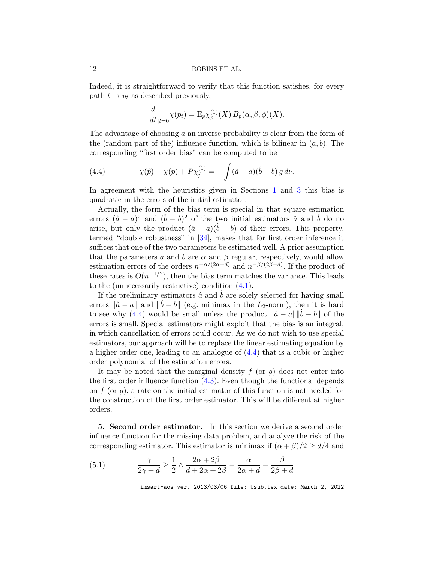Indeed, it is straightforward to verify that this function satisfies, for every path  $t \mapsto p_t$  as described previously,

$$
\frac{d}{dt}_{|t=0} \chi(p_t) = \mathcal{E}_p \chi_p^{(1)}(X) B_p(\alpha, \beta, \phi)(X).
$$

The advantage of choosing a an inverse probability is clear from the form of the (random part of the) influence function, which is bilinear in  $(a, b)$ . The corresponding "first order bias" can be computed to be

<span id="page-11-1"></span>(4.4) 
$$
\chi(\hat{p}) - \chi(p) + P\chi_{\hat{p}}^{(1)} = -\int (\hat{a} - a)(\hat{b} - b) g d\nu.
$$

In agreement with the heuristics given in Sections [1](#page-0-0) and [3](#page-4-0) this bias is quadratic in the errors of the initial estimator.

Actually, the form of the bias term is special in that square estimation errors  $(\hat{a} - a)^2$  and  $(\hat{b} - b)^2$  of the two initial estimators  $\hat{a}$  and  $\hat{b}$  do no arise, but only the product  $(\hat{a}-a)(\hat{b}-b)$  of their errors. This property, termed "double robustness" in [\[34\]](#page-38-0), makes that for first order inference it suffices that one of the two parameters be estimated well. A prior assumption that the parameters a and b are  $\alpha$  and  $\beta$  regular, respectively, would allow estimation errors of the orders  $n^{-\alpha/(2\alpha+d)}$  and  $n^{-\beta/(2\beta+d)}$ . If the product of these rates is  $O(n^{-1/2})$ , then the bias term matches the variance. This leads to the (unnecessarily restrictive) condition [\(4.1\)](#page-9-0).

If the preliminary estimators  $\hat{a}$  and  $b$  are solely selected for having small errors  $\|\hat{a} - a\|$  and  $\|\hat{b} - b\|$  (e.g. minimax in the L<sub>2</sub>-norm), then it is hard to see why [\(4.4\)](#page-11-1) would be small unless the product  $\|\hat{a} - a\| \|b - b\|$  of the errors is small. Special estimators might exploit that the bias is an integral, in which cancellation of errors could occur. As we do not wish to use special estimators, our approach will be to replace the linear estimating equation by a higher order one, leading to an analogue of [\(4.4\)](#page-11-1) that is a cubic or higher order polynomial of the estimation errors.

It may be noted that the marginal density  $f$  (or  $g$ ) does not enter into the first order influence function [\(4.3\)](#page-10-1). Even though the functional depends on  $f$  (or  $g$ ), a rate on the initial estimator of this function is not needed for the construction of the first order estimator. This will be different at higher orders.

<span id="page-11-0"></span>5. Second order estimator. In this section we derive a second order influence function for the missing data problem, and analyze the risk of the corresponding estimator. This estimator is minimax if  $(\alpha + \beta)/2 \ge d/4$  and

<span id="page-11-2"></span>(5.1) 
$$
\frac{\gamma}{2\gamma + d} \ge \frac{1}{2} \wedge \frac{2\alpha + 2\beta}{d + 2\alpha + 2\beta} - \frac{\alpha}{2\alpha + d} - \frac{\beta}{2\beta + d}.
$$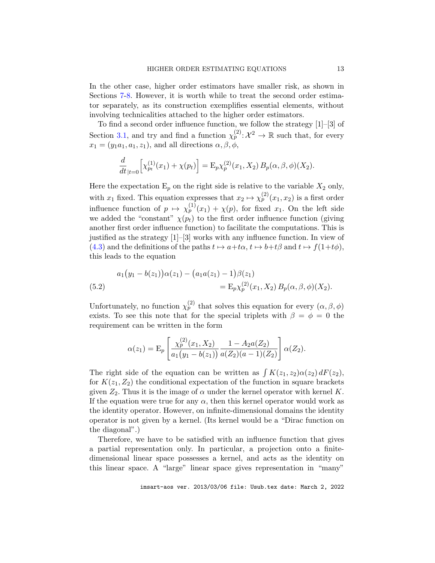In the other case, higher order estimators have smaller risk, as shown in Sections [7](#page-18-0)[-8.](#page-20-0) However, it is worth while to treat the second order estimator separately, as its construction exemplifies essential elements, without involving technicalities attached to the higher order estimators.

To find a second order influence function, we follow the strategy [1]–[3] of Section [3.1,](#page-5-3) and try and find a function  $\chi_p^{(2)}: \mathcal{X}^2 \to \mathbb{R}$  such that, for every  $x_1 = (y_1a_1, a_1, z_1)$ , and all directions  $\alpha, \beta, \phi$ ,

$$
\frac{d}{dt}_{|t=0} \Big[ \chi_{p_t}^{(1)}(x_1) + \chi(p_t) \Big] = \mathcal{E}_p \chi_p^{(2)}(x_1, X_2) B_p(\alpha, \beta, \phi)(X_2).
$$

Here the expectation  $E_p$  on the right side is relative to the variable  $X_2$  only, with  $x_1$  fixed. This equation expresses that  $x_2 \mapsto \chi_p^{(2)}(x_1, x_2)$  is a first order influence function of  $p \mapsto \chi_p^{(1)}(x_1) + \chi(p)$ , for fixed  $x_1$ . On the left side we added the "constant"  $\chi(p_t)$  to the first order influence function (giving another first order influence function) to facilitate the computations. This is justified as the strategy  $[1]-[3]$  works with any influence function. In view of [\(4.3\)](#page-10-1) and the definitions of the paths  $t \mapsto a+t\alpha$ ,  $t \mapsto b+t\beta$  and  $t \mapsto f(1+t\phi)$ , this leads to the equation

<span id="page-12-0"></span>(5.2) 
$$
a_1(y_1 - b(z_1))\alpha(z_1) - (a_1a(z_1) - 1)\beta(z_1) = E_p\chi_p^{(2)}(x_1, X_2) B_p(\alpha, \beta, \phi)(X_2).
$$

Unfortunately, no function  $\chi_p^{(2)}$  that solves this equation for every  $(\alpha, \beta, \phi)$ exists. To see this note that for the special triplets with  $\beta = \phi = 0$  the requirement can be written in the form

$$
\alpha(z_1) = \mathcal{E}_p \left[ \frac{\chi_p^{(2)}(x_1, X_2)}{a_1(y_1 - b(z_1))} \frac{1 - A_2 a(Z_2)}{a(Z_2)(a - 1)(Z_2)} \right] \alpha(Z_2).
$$

The right side of the equation can be written as  $\int K(z_1, z_2) \alpha(z_2) dF(z_2)$ , for  $K(z_1, Z_2)$  the conditional expectation of the function in square brackets given  $Z_2$ . Thus it is the image of  $\alpha$  under the kernel operator with kernel K. If the equation were true for any  $\alpha$ , then this kernel operator would work as the identity operator. However, on infinite-dimensional domains the identity operator is not given by a kernel. (Its kernel would be a "Dirac function on the diagonal".)

Therefore, we have to be satisfied with an influence function that gives a partial representation only. In particular, a projection onto a finitedimensional linear space possesses a kernel, and acts as the identity on this linear space. A "large" linear space gives representation in "many"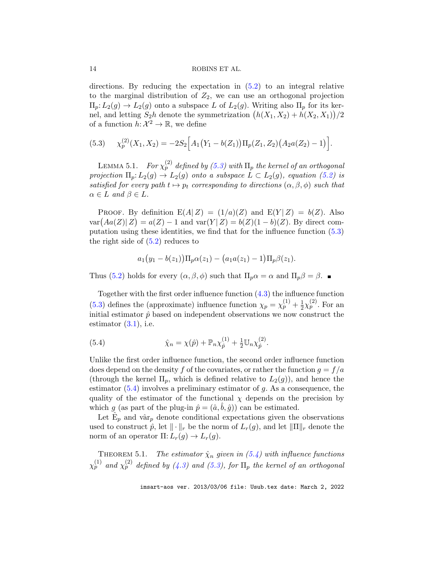directions. By reducing the expectation in [\(5.2\)](#page-12-0) to an integral relative to the marginal distribution of  $Z_2$ , we can use an orthogonal projection  $\Pi_p: L_2(g) \to L_2(g)$  onto a subspace L of  $L_2(g)$ . Writing also  $\Pi_p$  for its kernel, and letting  $S_2h$  denote the symmetrization  $(h(X_1, X_2) + h(X_2, X_1))/2$ of a function  $h: \mathcal{X}^2 \to \mathbb{R}$ , we define

<span id="page-13-0"></span>(5.3) 
$$
\chi_p^{(2)}(X_1, X_2) = -2S_2 \Big[ A_1 (Y_1 - b(Z_1)) \Pi_p(Z_1, Z_2) (A_2 a(Z_2) - 1) \Big].
$$

LEMMA 5.1. For  $\chi^{(2)}_p$  defined by [\(5.3\)](#page-13-0) with  $\Pi_p$  the kernel of an orthogonal projection  $\Pi_p: L_2(g) \to L_2(g)$  onto a subspace  $L \subset L_2(g)$ , equation [\(5.2\)](#page-12-0) is satisfied for every path  $t \mapsto p_t$  corresponding to directions  $(\alpha, \beta, \phi)$  such that  $\alpha \in L$  and  $\beta \in L$ .

PROOF. By definition  $E(A|Z) = (1/a)(Z)$  and  $E(Y|Z) = b(Z)$ . Also  $var(Aa(Z)|Z) = a(Z) - 1$  and  $var(Y|Z) = b(Z)(1 - b)(Z)$ . By direct computation using these identities, we find that for the influence function [\(5.3\)](#page-13-0) the right side of  $(5.2)$  reduces to

$$
a_1(y_1 - b(z_1))\Pi_p \alpha(z_1) - (a_1 a(z_1) - 1)\Pi_p \beta(z_1).
$$

Thus [\(5.2\)](#page-12-0) holds for every  $(\alpha, \beta, \phi)$  such that  $\Pi_p \alpha = \alpha$  and  $\Pi_p \beta = \beta$ .

Together with the first order influence function  $(4.3)$  the influence function [\(5.3\)](#page-13-0) defines the (approximate) influence function  $\chi_p = \chi_p^{(1)} + \frac{1}{2}$  $\frac{1}{2}\chi_p^{(2)}$ . For an initial estimator  $\hat{p}$  based on independent observations we now construct the estimator  $(3.1)$ , i.e.

<span id="page-13-1"></span>(5.4) 
$$
\hat{\chi}_n = \chi(\hat{p}) + \mathbb{P}_n \chi_{\hat{p}}^{(1)} + \frac{1}{2} \mathbb{U}_n \chi_{\hat{p}}^{(2)}.
$$

Unlike the first order influence function, the second order influence function does depend on the density f of the covariates, or rather the function  $g = f/a$ (through the kernel  $\Pi_p$ , which is defined relative to  $L_2(g)$ ), and hence the estimator  $(5.4)$  involves a preliminary estimator of g. As a consequence, the quality of the estimator of the functional  $\chi$  depends on the precision by which g (as part of the plug-in  $\hat{p} = (\hat{a}, \hat{b}, \hat{q})$ ) can be estimated.

Let  $\hat{E}_p$  and vâr<sub>p</sub> denote conditional expectations given the observations used to construct  $\hat{p}$ , let  $\|\cdot\|_r$  be the norm of  $L_r(g)$ , and let  $\|\Pi\|_r$  denote the norm of an operator  $\Pi: L_r(g) \to L_r(g)$ .

<span id="page-13-2"></span>THEOREM 5.1. The estimator  $\hat{\chi}_n$  given in [\(5.4\)](#page-13-1) with influence functions  $\chi^{(1)}_p$  and  $\chi^{(2)}_p$  defined by [\(4.3\)](#page-10-1) and [\(5.3\)](#page-13-0), for  $\Pi_p$  the kernel of an orthogonal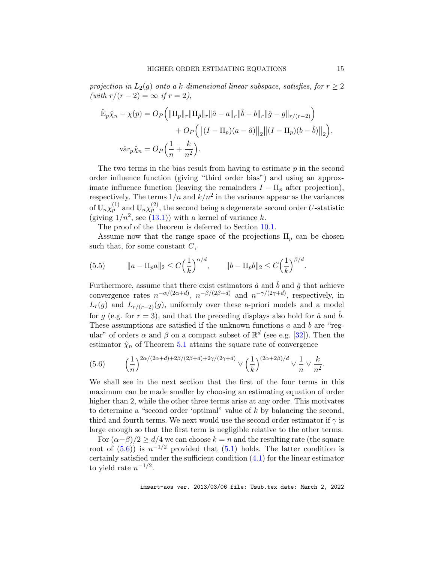projection in  $L_2(q)$  onto a k-dimensional linear subspace, satisfies, for  $r \geq 2$  $(with r/(r-2) = \infty if r = 2),$ 

$$
\hat{\mathbf{E}}_p \hat{\chi}_n - \chi(p) = O_P \Big( ||\Pi_p||_r ||\Pi_{\hat{p}}||_r ||\hat{a} - a||_r ||\hat{b} - b||_r ||\hat{g} - g||_{r/(r-2)} \Big) \n+ O_P \Big( ||(I - \Pi_p)(a - \hat{a})||_2 ||(I - \Pi_p)(b - \hat{b})||_2 \Big),
$$
\n
$$
\text{var}_p \hat{\chi}_n = O_P \Big( \frac{1}{n} + \frac{k}{n^2} \Big).
$$

The two terms in the bias result from having to estimate  $p$  in the second order influence function (giving "third order bias") and using an approximate influence function (leaving the remainders  $I - \Pi_p$  after projection), respectively. The terms  $1/n$  and  $k/n^2$  in the variance appear as the variances of  $\mathbb{U}_n \chi_p^{(1)}$  and  $\mathbb{U}_n \chi_p^{(2)}$ , the second being a degenerate second order U-statistic (giving  $1/n^2$ , see [\(13.1\)](#page-55-1)) with a kernel of variance k.

The proof of the theorem is deferred to Section [10.1.](#page-27-1)

Assume now that the range space of the projections  $\Pi_p$  can be chosen such that, for some constant  $C$ ,

<span id="page-14-1"></span>(5.5) 
$$
\|a - \Pi_p a\|_2 \le C\left(\frac{1}{k}\right)^{\alpha/d}, \qquad \|b - \Pi_p b\|_2 \le C\left(\frac{1}{k}\right)^{\beta/d}.
$$

Furthermore, assume that there exist estimators  $\hat{a}$  and  $\hat{b}$  and  $\hat{g}$  that achieve convergence rates  $n^{-\alpha/(2\alpha+d)}$ ,  $n^{-\beta/(2\beta+d)}$  and  $n^{-\gamma/(2\gamma+d)}$ , respectively, in  $L_r(g)$  and  $L_{r/(r-2)}(g)$ , uniformly over these a-priori models and a model for g (e.g. for  $r = 3$ ), and that the preceding displays also hold for  $\hat{a}$  and  $\hat{b}$ . These assumptions are satisfied if the unknown functions  $a$  and  $b$  are "regular" of orders  $\alpha$  and  $\beta$  on a compact subset of  $\mathbb{R}^d$  (see e.g. [\[32\]](#page-38-16)). Then the estimator  $\hat{\chi}_n$  of Theorem [5.1](#page-13-2) attains the square rate of convergence

<span id="page-14-0"></span>
$$
(5.6) \qquad \left(\frac{1}{n}\right)^{2\alpha/(2\alpha+d)+2\beta/(2\beta+d)+2\gamma/(2\gamma+d)} \vee \left(\frac{1}{k}\right)^{(2\alpha+2\beta)/d} \vee \frac{1}{n} \vee \frac{k}{n^2}.
$$

We shall see in the next section that the first of the four terms in this maximum can be made smaller by choosing an estimating equation of order higher than 2, while the other three terms arise at any order. This motivates to determine a "second order 'optimal" value of k by balancing the second, third and fourth terms. We next would use the second order estimator if  $\gamma$  is large enough so that the first term is negligible relative to the other terms.

For  $(\alpha + \beta)/2 \ge d/4$  we can choose  $k = n$  and the resulting rate (the square root of  $(5.6)$ ) is  $n^{-1/2}$  provided that  $(5.1)$  holds. The latter condition is certainly satisfied under the sufficient condition [\(4.1\)](#page-9-0) for the linear estimator to yield rate  $n^{-1/2}$ .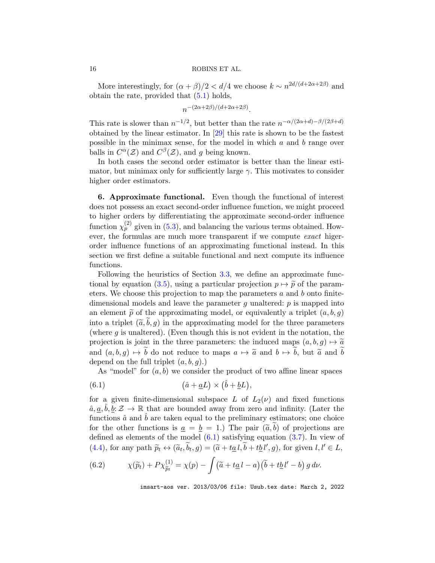More interestingly, for  $(\alpha + \beta)/2 < d/4$  we choose  $k \sim n^{2d/(d+2\alpha+2\beta)}$  and obtain the rate, provided that  $(5.1)$  holds,

$$
n^{-(2\alpha+2\beta)/(d+2\alpha+2\beta)}.
$$

This rate is slower than  $n^{-1/2}$ , but better than the rate  $n^{-\alpha/(2\alpha+d)-\beta/(2\beta+d)}$ obtained by the linear estimator. In [\[29\]](#page-38-15) this rate is shown to be the fastest possible in the minimax sense, for the model in which  $a$  and  $b$  range over balls in  $C^{\alpha}(\mathcal{Z})$  and  $C^{\beta}(\mathcal{Z})$ , and g being known.

In both cases the second order estimator is better than the linear estimator, but minimax only for sufficiently large  $\gamma$ . This motivates to consider higher order estimators.

<span id="page-15-0"></span>6. Approximate functional. Even though the functional of interest does not possess an exact second-order influence function, we might proceed to higher orders by differentiating the approximate second-order influence function  $\chi_p^{(2)}$  given in [\(5.3\)](#page-13-0), and balancing the various terms obtained. However, the formulas are much more transparent if we compute exact higerorder influence functions of an approximating functional instead. In this section we first define a suitable functional and next compute its influence functions.

Following the heuristics of Section [3.3,](#page-7-1) we define an approximate func-tional by equation [\(3.5\)](#page-7-0), using a particular projection  $p \mapsto \tilde{p}$  of the parameters. We choose this projection to map the parameters  $a$  and  $b$  onto finitedimensional models and leave the parameter g unaltered:  $p$  is mapped into an element  $\tilde{p}$  of the approximating model, or equivalently a triplet  $(a, b, g)$ into a triplet  $(\tilde{a}, \tilde{b}, g)$  in the approximating model for the three parameters (where  $g$  is unaltered). (Even though this is not evident in the notation, the projection is joint in the three parameters: the induced maps  $(a, b, g) \mapsto \tilde{a}$ and  $(a, b, q) \mapsto \tilde{b}$  do not reduce to maps  $a \mapsto \tilde{a}$  and  $b \mapsto \tilde{b}$ , but  $\tilde{a}$  and  $\tilde{b}$ depend on the full triplet  $(a, b, q)$ .)

<span id="page-15-1"></span>As "model" for  $(a, b)$  we consider the product of two affine linear spaces

(6.1) 
$$
(\hat{a} + \underline{a}L) \times (\hat{b} + \underline{b}L),
$$

for a given finite-dimensional subspace L of  $L_2(\nu)$  and fixed functions  $\hat{a}, \underline{a}, \hat{b}, \underline{b} : \mathcal{Z} \to \mathbb{R}$  that are bounded away from zero and infinity. (Later the functions  $\hat{a}$  and  $\hat{b}$  are taken equal to the preliminary estimators; one choice for the other functions is  $a = b = 1$ .) The pair  $(\tilde{a}, b)$  of projections are defined as elements of the model  $(6.1)$  satisfying equation  $(3.7)$ . In view of [\(4.4\)](#page-11-1), for any path  $\widetilde{p}_t \leftrightarrow (\widetilde{a}_t, b_t, g) = (\widetilde{a} + t\underline{a} \cdot l, b + t\underline{b} \cdot l', g)$ , for given  $l, l' \in L$ ,

(6.2) 
$$
\chi(\widetilde{p}_t) + P \chi_{\widetilde{p}_t}^{(1)} = \chi(p) - \int (\widetilde{a} + t \underline{a} \, l - a) (\widetilde{b} + t \underline{b} \, l' - b) \, g \, d\nu.
$$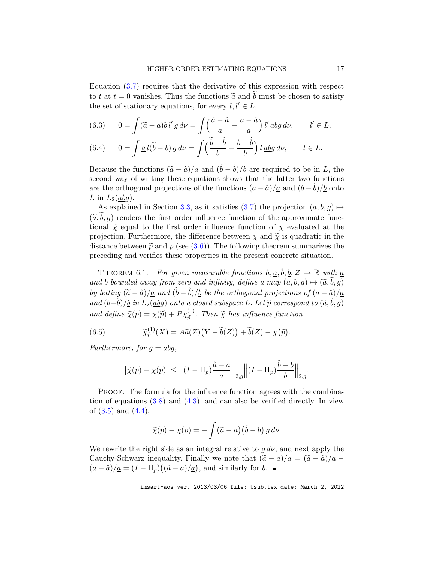Equation [\(3.7\)](#page-8-1) requires that the derivative of this expression with respect to t at  $t = 0$  vanishes. Thus the functions  $\tilde{a}$  and  $\tilde{b}$  must be chosen to satisfy the set of stationary equations, for every  $l, l' \in L$ ,

<span id="page-16-2"></span>(6.3) 
$$
0 = \int (\tilde{a} - a) \underline{b} l' g d\nu = \int \left( \frac{\tilde{a} - \hat{a}}{\underline{a}} - \frac{a - \hat{a}}{\underline{a}} \right) l' \underline{a} \underline{b} g d\nu, \qquad l' \in L,
$$

<span id="page-16-3"></span>(6.4) 
$$
0 = \int \underline{a} \, l(\tilde{b} - b) \, g \, d\nu = \int \left( \frac{\tilde{b} - \hat{b}}{\underline{b}} - \frac{b - \hat{b}}{\underline{b}} \right) l \, \underline{a} \underline{b} \underline{a} \, d\nu, \qquad l \in L.
$$

Because the functions  $(\tilde{a} - \hat{a})/a$  and  $(\tilde{b} - \hat{b})/b$  are required to be in L, the second way of writing these equations shows that the latter two functions are the orthogonal projections of the functions  $(a - \hat{a})/a$  and  $(b - b)/b$  onto L in  $L_2(\underline{ab}g)$ .

As explained in Section [3.3,](#page-7-1) as it satisfies [\(3.7\)](#page-8-1) the projection  $(a, b, g) \mapsto$  $(\tilde{a},b,g)$  renders the first order influence function of the approximate functional  $\tilde{\chi}$  equal to the first order influence function of  $\chi$  evaluated at the projection. Furthermore, the difference between  $\chi$  and  $\tilde{\chi}$  is quadratic in the distance between  $\tilde{p}$  and p (see [\(3.6\)](#page-8-2)). The following theorem summarizes the preceding and verifies these properties in the present concrete situation.

<span id="page-16-0"></span>THEOREM 6.1. For given measurable functions  $\hat{a}, \underline{a}, \hat{b}, \underline{b} : \mathcal{Z} \to \mathbb{R}$  with  $\underline{a}$ and b bounded away from zero and infinity, define a map  $(a, b, q) \mapsto (\widetilde{a}, \widetilde{b}, q)$ by letting  $(\tilde{a} - \hat{a})/\underline{a}$  and  $(b - \tilde{b})/\underline{b}$  be the orthogonal projections of  $(a - \hat{a})/\underline{a}$ and  $(b−b)/b$  in  $L_2(abg)$  onto a closed subspace L. Let  $\widetilde{p}$  correspond to  $(\widetilde{a},b,g)$ and define  $\tilde{\chi}(p) = \chi(\tilde{p}) + P\chi_{\tilde{p}}^{(1)}$ . Then  $\tilde{\chi}$  has influence function

<span id="page-16-1"></span>(6.5) 
$$
\widetilde{\chi}_p^{(1)}(X) = A\widetilde{a}(Z)\big(Y - \widetilde{b}(Z)\big) + \widetilde{b}(Z) - \chi(\widetilde{p}).
$$

Furthermore, for  $g = abg$ ,

$$
\left|\widetilde{\chi}(p) - \chi(p)\right| \le \left\| (I - \Pi_p) \frac{\hat{a} - a}{\underline{a}} \right\|_{2, \underline{g}} \left\| (I - \Pi_p) \frac{\hat{b} - b}{\underline{b}} \right\|_{2, \underline{g}}.
$$

PROOF. The formula for the influence function agrees with the combination of equations [\(3.8\)](#page-8-3) and [\(4.3\)](#page-10-1), and can also be verified directly. In view of  $(3.5)$  and  $(4.4)$ ,

$$
\widetilde{\chi}(p) - \chi(p) = -\int (\widetilde{a} - a) (\widetilde{b} - b) g d\nu.
$$

We rewrite the right side as an integral relative to  $g d\nu$ , and next apply the Cauchy-Schwarz inequality. Finally we note that  $(\tilde{a} - a)/\underline{a} = (\tilde{a} - \hat{a})/\underline{a}$  $(a - \hat{a})/\underline{a} = (I - \Pi_p)(\hat{a} - a)/\underline{a}$ , and similarly for *b*.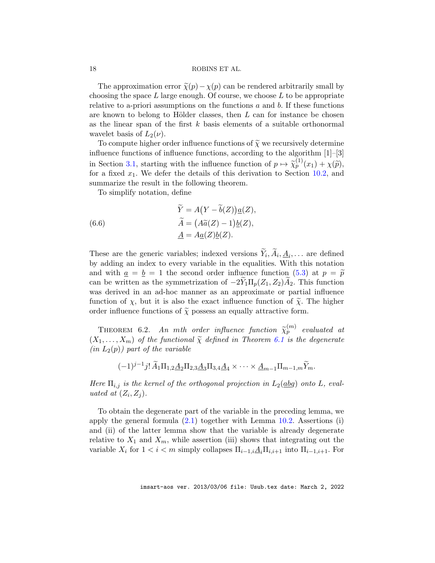The approximation error  $\tilde{\chi}(p) - \chi(p)$  can be rendered arbitrarily small by choosing the space  $L$  large enough. Of course, we choose  $L$  to be appropriate relative to a-priori assumptions on the functions  $a$  and  $b$ . If these functions are known to belong to Hölder classes, then  $L$  can for instance be chosen as the linear span of the first  $k$  basis elements of a suitable orthonormal wavelet basis of  $L_2(\nu)$ .

To compute higher order influence functions of  $\widetilde{\chi}$  we recursively determine influence functions of influence functions, according to the algorithm [1]–[3] in Section [3.1,](#page-5-3) starting with the influence function of  $p \mapsto \widetilde{\chi}_p^{(1)}(x_1) + \chi(\widetilde{p})$ , for a fixed  $x_1$ . We defer the details of this derivation to Section [10.2,](#page-28-0) and summarize the result in the following theorem.

To simplify notation, define

<span id="page-17-1"></span>(6.6) 
$$
\widetilde{Y} = A(Y - \widetilde{b}(Z))\underline{a}(Z),
$$

$$
\widetilde{A} = (A\widetilde{a}(Z) - 1)\underline{b}(Z),
$$

$$
\underline{A} = A\underline{a}(Z)\underline{b}(Z).
$$

These are the generic variables; indexed versions  $Y_i, A_i, \underline{A}_i, \dots$  are defined by adding an index to every variable in the equalities. With this notation and with  $a = b = 1$  the second order influence function [\(5.3\)](#page-13-0) at  $p = \tilde{p}$ can be written as the symmetrization of  $-2Y_1\Pi_p(Z_1, Z_2)A_2$ . This function was derived in an ad-hoc manner as an approximate or partial influence function of  $\chi$ , but it is also the exact influence function of  $\tilde{\chi}$ . The higher order influence functions of  $\tilde{\chi}$  possess an equally attractive form.

<span id="page-17-0"></span>THEOREM 6.2. An mth order influence function  $\widetilde{\chi}_p^{(m)}$  evaluated at  $(X_1, \ldots, X_m)$  of the functional  $\widetilde{\chi}$  defined in Theorem [6.1](#page-16-0) is the degenerate  $(in L_2(p))$  part of the variable

$$
(-1)^{j-1} j! \widetilde{A}_1 \Pi_{1,2} \underline{A}_2 \Pi_{2,3} \underline{A}_3 \Pi_{3,4} \underline{A}_4 \times \cdots \times \underline{A}_{m-1} \Pi_{m-1,m} \widetilde{Y}_m.
$$

Here  $\Pi_{i,j}$  is the kernel of the orthogonal projection in  $L_2(dbg)$  onto L, evaluated at  $(Z_i, Z_j)$ .

To obtain the degenerate part of the variable in the preceding lemma, we apply the general formula  $(2.1)$  together with Lemma [10.2.](#page-29-0) Assertions (i) and (ii) of the latter lemma show that the variable is already degenerate relative to  $X_1$  and  $X_m$ , while assertion (iii) shows that integrating out the variable  $X_i$  for  $1 < i < m$  simply collapses  $\Pi_{i-1,i}A_i\Pi_{i,i+1}$  into  $\Pi_{i-1,i+1}$ . For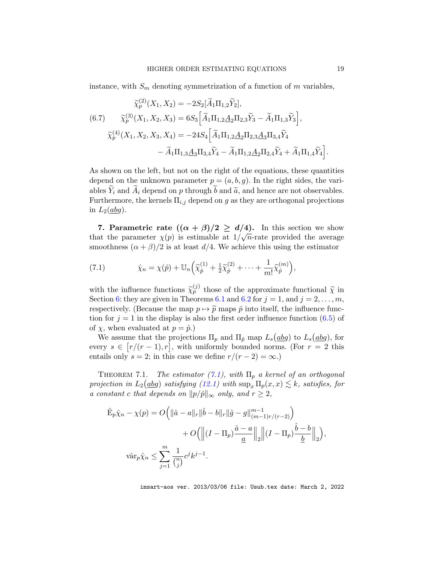instance, with  $S_m$  denoting symmetrization of a function of m variables,

<span id="page-18-3"></span>
$$
\widetilde{\chi}_{p}^{(2)}(X_{1}, X_{2}) = -2S_{2}[\widetilde{A}_{1}\Pi_{1,2}\widetilde{Y}_{2}],
$$
\n(6.7) 
$$
\widetilde{\chi}_{p}^{(3)}(X_{1}, X_{2}, X_{3}) = 6S_{3}[\widetilde{A}_{1}\Pi_{1,2}A_{2}\Pi_{2,3}\widetilde{Y}_{3} - \widetilde{A}_{1}\Pi_{1,3}\widetilde{Y}_{3}],
$$
\n
$$
\widetilde{\chi}_{p}^{(4)}(X_{1}, X_{2}, X_{3}, X_{4}) = -24S_{4}[\widetilde{A}_{1}\Pi_{1,2}A_{2}\Pi_{2,3}A_{3}\Pi_{3,4}\widetilde{Y}_{4} - \widetilde{A}_{1}\Pi_{1,3}A_{3}\Pi_{3,4}\widetilde{Y}_{4} - \widetilde{A}_{1}\Pi_{1,3}A_{2}\Pi_{2,4}\widetilde{Y}_{4} + \widetilde{A}_{1}\Pi_{1,4}\widetilde{Y}_{4}].
$$

As shown on the left, but not on the right of the equations, these quantities depend on the unknown parameter  $p = (a, b, g)$ . In the right sides, the variables  $Y_i$  and  $A_i$  depend on p through b and  $\tilde{a}$ , and hence are not observables. Furthermore, the kernels  $\Pi_{i,j}$  depend on g as they are orthogonal projections in  $L_2(abg)$ .

<span id="page-18-0"></span>7. Parametric rate  $((\alpha + \beta)/2 \ge d/4)$ . In this section we show that the parameter  $\chi(p)$  is estimable at  $1/\sqrt{n}$ -rate provided the average smoothness  $(\alpha + \beta)/2$  is at least  $d/4$ . We achieve this using the estimator

<span id="page-18-1"></span>(7.1) 
$$
\hat{\chi}_n = \chi(\hat{p}) + \mathbb{U}_n \Big( \widetilde{\chi}_{\hat{p}}^{(1)} + \frac{1}{2} \widetilde{\chi}_{\hat{p}}^{(2)} + \cdots + \frac{1}{m!} \widetilde{\chi}_{\hat{p}}^{(m)} \Big),
$$

with the influence functions  $\tilde{\chi}_p^{(j)}$  those of the approximate functional  $\tilde{\chi}$  in Section [6:](#page-15-0) they are given in Theorems [6.1](#page-16-0) and [6.2](#page-17-0) for  $j = 1$ , and  $j = 2, \ldots, m$ , respectively. (Because the map  $p \mapsto \tilde{p}$  maps  $\hat{p}$  into itself, the influence function for  $j = 1$  in the display is also the first order influence function [\(6.5\)](#page-16-1) of of  $\chi$ , when evaluated at  $p = \hat{p}$ .)

We assume that the projections  $\Pi_p$  and  $\Pi_{\hat{p}}$  map  $L_s(\underline{abg})$  to  $L_s(\underline{abg})$ , for every  $s \in [r/(r-1), r]$ , with uniformly bounded norms. (For  $r = 2$  this entails only  $s = 2$ ; in this case we define  $r/(r - 2) = \infty$ .)

<span id="page-18-2"></span>THEOREM 7.1. The estimator  $(7.1)$ , with  $\Pi_p$  a kernel of an orthogonal projection in  $L_2(dbg)$  satisfying  $(12.1)$  with  $\sup_x \Pi_p(x,x) \lesssim k$ , satisfies, for a constant c that depends on  $||p/\hat{p}||_{\infty}$  only, and  $r \geq 2$ ,

$$
\hat{\mathbf{E}}_p \hat{\chi}_n - \chi(p) = O\Big(\|\hat{a} - a\|_r \|\hat{b} - b\|_r \|\hat{g} - g\|_{(m-1)r/(r-2)}^{m-1}\Big) \n+ O\Big(\Big\|(I - \Pi_p)\frac{\hat{a} - a}{\underline{a}}\Big\|_2 \Big\|(I - \Pi_p)\frac{\hat{b} - b}{\underline{b}}\Big\|_2\Big),
$$
\n
$$
\text{var}_p \hat{\chi}_n \le \sum_{j=1}^m \frac{1}{\binom{n}{j}} c^j k^{j-1}.
$$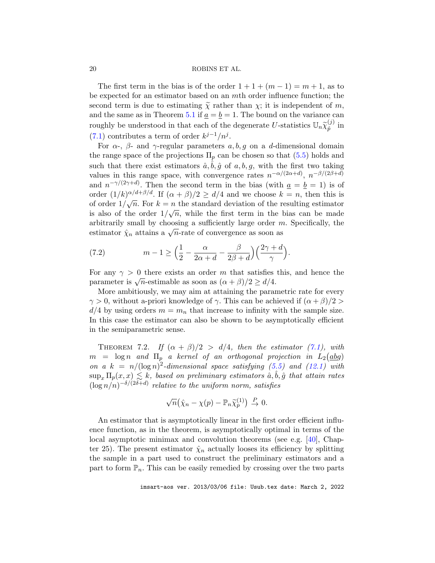The first term in the bias is of the order  $1 + 1 + (m - 1) = m + 1$ , as to be expected for an estimator based on an mth order influence function; the second term is due to estimating  $\tilde{\chi}$  rather than  $\chi$ ; it is independent of m, and the same as in Theorem [5.1](#page-13-2) if  $\underline{a} = \underline{b} = 1$ . The bound on the variance can roughly be understood in that each of the degenerate U-statistics  $\mathbb{U}_n \widetilde{\chi}_{\hat{p}}^{(j)}$  $_{\hat{p}}^{\text{\tiny (J)}}$  in [\(7.1\)](#page-18-1) contributes a term of order  $k^{j-1}/n^j$ .

For  $\alpha$ -,  $\beta$ - and  $\gamma$ -regular parameters  $a, b, g$  on a d-dimensional domain the range space of the projections  $\Pi_p$  can be chosen so that  $(5.5)$  holds and such that there exist estimators  $\hat{a}, \hat{b}, \hat{g}$  of  $a, b, g$ , with the first two taking values in this range space, with convergence rates  $n^{-\alpha/(2\alpha+d)}$ ,  $n^{-\beta/(2\beta+d)}$ and  $n^{-\gamma/(2\gamma+d)}$ . Then the second term in the bias (with  $\underline{a} = \underline{b} = 1$ ) is of order  $(1/k)^{\alpha/d+\beta/d}$ . If  $(\alpha+\beta)/2 \ge d/4$  and we choose  $k = n$ , then this is of order  $1/\sqrt{n}$ . For  $k = n$  the standard deviation of the resulting estimator is also of the order  $1/\sqrt{n}$ , while the first term in the bias can be made arbitrarily small by choosing a sufficiently large order  $m$ . Specifically, the estimator  $\chi_n$  attains a  $\sqrt{n}$ -rate of convergence as soon as

(7.2) 
$$
m-1 \geq \left(\frac{1}{2} - \frac{\alpha}{2\alpha + d} - \frac{\beta}{2\beta + d}\right)\left(\frac{2\gamma + d}{\gamma}\right).
$$

For any  $\gamma > 0$  there exists an order m that satisfies this, and hence the parameter is  $\sqrt{n}$ -estimable as soon as  $(\alpha + \beta)/2 \ge d/4$ .

More ambitiously, we may aim at attaining the parametric rate for every  $\gamma > 0$ , without a-priori knowledge of  $\gamma$ . This can be achieved if  $(\alpha + \beta)/2$  $d/4$  by using orders  $m = m_n$  that increase to infinity with the sample size. In this case the estimator can also be shown to be asymptotically efficient in the semiparametric sense.

<span id="page-19-0"></span>THEOREM 7.2. If  $(\alpha + \beta)/2 > d/4$ , then the estimator [\(7.1\)](#page-18-1), with  $m = \log n$  and  $\Pi_p$  a kernel of an orthogonal projection in  $L_2(dbg)$ on a  $k = n/(\log n)^2$ -dimensional space satisfying [\(5.5\)](#page-14-1) and [\(12.1\)](#page-49-0) with  $\sup_x \Pi_p(x,x) \lesssim k$ , based on preliminary estimators  $\hat{a}, \hat{b}, \hat{g}$  that attain rates  $(\log n/n)^{-\delta/(2\delta+d)}$  relative to the uniform norm, satisfies

$$
\sqrt{n}(\hat{\chi}_n - \chi(p) - \mathbb{P}_n \tilde{\chi}_p^{(1)}) \stackrel{P}{\to} 0.
$$

An estimator that is asymptotically linear in the first order efficient influence function, as in the theorem, is asymptotically optimal in terms of the local asymptotic minimax and convolution theorems (see e.g. [\[40\]](#page-38-1), Chapter 25). The present estimator  $\hat{\chi}_n$  actually looses its efficiency by splitting the sample in a part used to construct the preliminary estimators and a part to form  $\mathbb{P}_n$ . This can be easily remedied by crossing over the two parts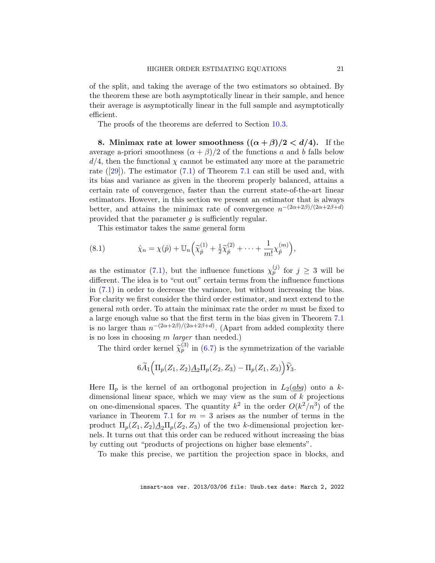of the split, and taking the average of the two estimators so obtained. By the theorem these are both asymptotically linear in their sample, and hence their average is asymptotically linear in the full sample and asymptotically efficient.

The proofs of the theorems are deferred to Section [10.3.](#page-30-0)

<span id="page-20-0"></span>8. Minimax rate at lower smoothness  $((\alpha + \beta)/2 < d/4)$ . If the average a-priori smoothness  $(\alpha + \beta)/2$  of the functions a and b falls below  $d/4$ , then the functional  $\chi$  cannot be estimated any more at the parametric rate  $([29])$  $([29])$  $([29])$ . The estimator  $(7.1)$  of Theorem [7.1](#page-18-2) can still be used and, with its bias and variance as given in the theorem properly balanced, attains a certain rate of convergence, faster than the current state-of-the-art linear estimators. However, in this section we present an estimator that is always better, and attains the minimax rate of convergence  $n^{-(2\alpha+2\beta)/(2\alpha+2\beta+d)}$ provided that the parameter  $g$  is sufficiently regular.

<span id="page-20-1"></span>This estimator takes the same general form

(8.1) 
$$
\hat{\chi}_n = \chi(\hat{p}) + \mathbb{U}_n \Big( \widetilde{\chi}_{\hat{p}}^{(1)} + \frac{1}{2} \widetilde{\chi}_{\hat{p}}^{(2)} + \cdots + \frac{1}{m!} \chi_{\hat{p}}^{(m)} \Big),
$$

as the estimator [\(7.1\)](#page-18-1), but the influence functions  $\chi_p^{(j)}$  for  $j \geq 3$  will be different. The idea is to "cut out" certain terms from the influence functions in [\(7.1\)](#page-18-1) in order to decrease the variance, but without increasing the bias. For clarity we first consider the third order estimator, and next extend to the general mth order. To attain the minimax rate the order  $m$  must be fixed to a large enough value so that the first term in the bias given in Theorem [7.1](#page-18-2) is no larger than  $n^{-(2\alpha+2\beta)/(2\alpha+2\beta+d)}$ . (Apart from added complexity there is no loss in choosing  $m$  *larger* than needed.)

The third order kernel  $\tilde{\chi}_p^{(3)}$  in [\(6.7\)](#page-18-3) is the symmetrization of the variable

$$
6\widetilde{A}_1\Big(\Pi_p(Z_1,Z_2)\underline{A}_2\Pi_p(Z_2,Z_3)-\Pi_p(Z_1,Z_3)\Big)\widetilde{Y}_3.
$$

Here  $\Pi_p$  is the kernel of an orthogonal projection in  $L_2(dbg)$  onto a kdimensional linear space, which we may view as the sum of  $k$  projections on one-dimensional spaces. The quantity  $k^2$  in the order  $O(k^2/n^3)$  of the variance in Theorem [7.1](#page-18-2) for  $m = 3$  arises as the number of terms in the product  $\Pi_p(Z_1, Z_2) \underline{A_2} \Pi_p(Z_2, Z_3)$  of the two k-dimensional projection kernels. It turns out that this order can be reduced without increasing the bias by cutting out "products of projections on higher base elements".

To make this precise, we partition the projection space in blocks, and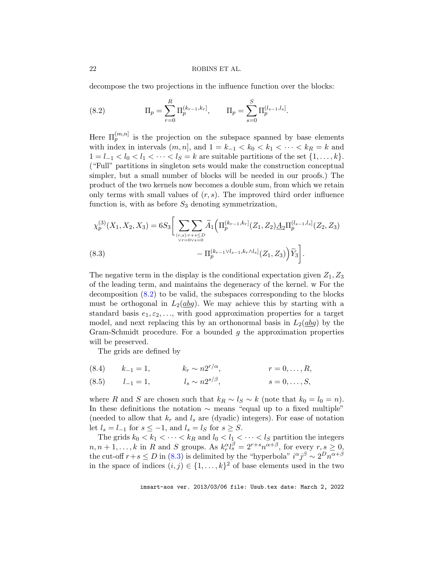decompose the two projections in the influence function over the blocks:

<span id="page-21-0"></span>(8.2) 
$$
\Pi_p = \sum_{r=0}^R \Pi_p^{(k_{r-1}, k_r]}, \qquad \Pi_p = \sum_{s=0}^S \Pi_p^{(l_{s-1}, l_s]}.
$$

Here  $\Pi_p^{(m,n]}$  is the projection on the subspace spanned by base elements with index in intervals  $(m, n]$ , and  $1 = k_{-1} < k_0 < k_1 < \cdots < k_R = k$  and  $1 = l_{-1} < l_0 < l_1 < \cdots < l_S = k$  are suitable partitions of the set  $\{1, \ldots, k\}.$ ("Full" partitions in singleton sets would make the construction conceptual simpler, but a small number of blocks will be needed in our proofs.) The product of the two kernels now becomes a double sum, from which we retain only terms with small values of  $(r, s)$ . The improved third order influence function is, with as before  $S_3$  denoting symmetrization,

$$
\chi_p^{(3)}(X_1, X_2, X_3) = 6S_3 \left[ \sum_{(r,s):r+s \le D \atop \forall r=0 \lor s=0} \widetilde{A}_1 \left( \Pi_p^{(k_{r-1},k_r]}(Z_1, Z_2) \underline{A}_2 \Pi_p^{(l_{s-1},l_s]}(Z_2, Z_3) - \Pi_p^{(k_{r-1} \lor l_{s-1},k_r \land l_s]}(Z_1, Z_3) \right) \widetilde{Y}_3 \right].
$$

<span id="page-21-1"></span>The negative term in the display is the conditional expectation given  $Z_1, Z_3$ of the leading term, and maintains the degeneracy of the kernel. w For the decomposition [\(8.2\)](#page-21-0) to be valid, the subspaces corresponding to the blocks must be orthogonal in  $L_2(dbg)$ . We may achieve this by starting with a standard basis  $e_1, \varepsilon_2, \ldots$ , with good approximation properties for a target model, and next replacing this by an orthonormal basis in  $L_2(dbg)$  by the Gram-Schmidt procedure. For a bounded  $g$  the approximation properties will be preserved.

The grids are defined by

<span id="page-21-2"></span>(8.4) 
$$
k_{-1} = 1
$$
,  $k_r \sim n2^{r/\alpha}$ ,  $r = 0, ..., R$ ,

<span id="page-21-3"></span>(8.5) 
$$
l_{-1} = 1,
$$
  $l_s \sim n2^{s/\beta},$   $s = 0, ..., S,$ 

where R and S are chosen such that  $k_R \sim l_S \sim k$  (note that  $k_0 = l_0 = n$ ). In these definitions the notation ∼ means "equal up to a fixed multiple" (needed to allow that  $k_r$  and  $l_s$  are (dyadic) integers). For ease of notation let  $l_s = l_{-1}$  for  $s \leq -1$ , and  $l_s = l_S$  for  $s \geq S$ .

The grids  $k_0 < k_1 < \cdots < k_R$  and  $l_0 < l_1 < \cdots < l_S$  partition the integers  $n, n+1, \ldots, k$  in R and S groups. As  $k_r^{\alpha} l_s^{\beta} = 2^{r+s} n^{\alpha+\beta}$ , for every  $r, s \geq 0$ , the cut-off  $r+s\leq D$  in [\(8.3\)](#page-21-1) is delimited by the "hyperbola"  $i^{\alpha}j^{\beta} \sim 2^D n^{\alpha+\beta}$ in the space of indices  $(i, j) \in \{1, \ldots, k\}^2$  of base elements used in the two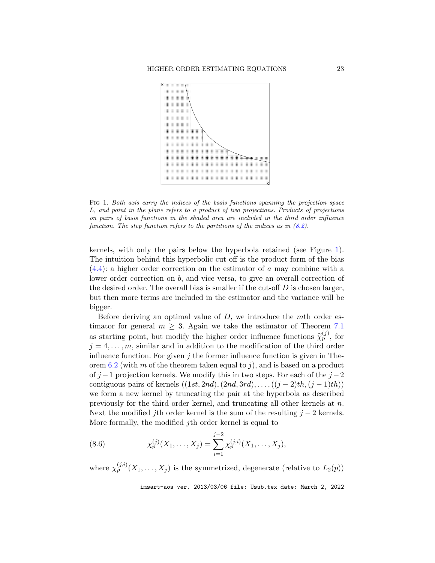

<span id="page-22-0"></span>L, and point in the plane refers to a product of two projections. Products of projections  $\mathbb{R}^n$  is the projection spanning the projection space of the projections of the projections of the projections of the projecti function. The step function refers to the partitions of the indices as in  $(8.2)$ . Fig 1. Both axis carry the indices of the basis functions spanning the projection space on pairs of basis functions in the shaded area are included in the third order influence

kernels, with only the pairs below the hyperbola retained (see Figure 1). the desired order. The overall bias is smaller if the cut-off  $D$  is chosen larger, but then more terms are included in the estimator and the variance will be bigger The intuition behind this hyperbolic cut-off is the product form of the bias  $(4.4)$ : a higher order correction on the estimator of a may combine with a lower order correction on b, and vice versa, to give an overall correction of bigger.

Before deriving an optimal value of  $D$ , we introduce the mth order eslower order correction  $m \geq 3$ . Again we take the estimator of Theorem (1) the starting point but modify the bigher order influence functions  $\tilde{\chi}^{(j)}$  for  $j = 4, \ldots, m$ , similar and in addition to the modification of the third order influence function. For given j the former influence function is given in Theorem 6.2 (with m of the theorem taken equal to i) and is based on a product contiguous pairs of kernels  $((1st, Zna), (Zna, 3rd), ..., ((J - 2)tn, (J - 1)tn))$ <br>we form a new kernel by truncating the pair at the hyperbola as described previously for the third order kernel, and truncating all other kernels at *n*.<br>Next the modified *i*th order kernel is the sum of the resulting  $i - 2$  kernels Note that the modified jth order influence functions of the resulting  $f(z)$  is not help to More formally, the modified jth order kernel is equal to timator for general  $m \geq 3$ . Again we take the estimator of Theorem [7.1](#page-18-2) as starting point, but modify the higher order influence functions  $\widetilde{\chi}_p^{(j)}$ , for orem [6.2](#page-17-0) (with m of the theorem taken equal to j), and is based on a product of j −1 projection kernels. We modify this in two steps. For each of the  $j-2$ contiguous pairs of kernels  $((1st, 2nd), (2nd, 3rd), \ldots, ((j - 2)th, (j - 1)th))$ Next the modified jth order kernel is the sum of the resulting  $j - 2$  kernels.

<span id="page-22-1"></span>(8.6) 
$$
\chi_p^{(j)}(X_1,\ldots,X_j) = \sum_{i=1}^{j-2} \chi_p^{(j,i)}(X_1,\ldots,X_j),
$$

where  $\chi_p^{(j,i)}(X_1,\ldots,X_j)$  is the symmetrized, degenerate (relative to  $L_2(p)$ )

imsart-aos ver. 2013/03/06 file: Usub.tex date: March 2, 2022 contiguous pairs of the contiguous pairs of the contract of  $\frac{1}{2}$  and  $\frac{1}{2}$  and  $\frac{1}{2}$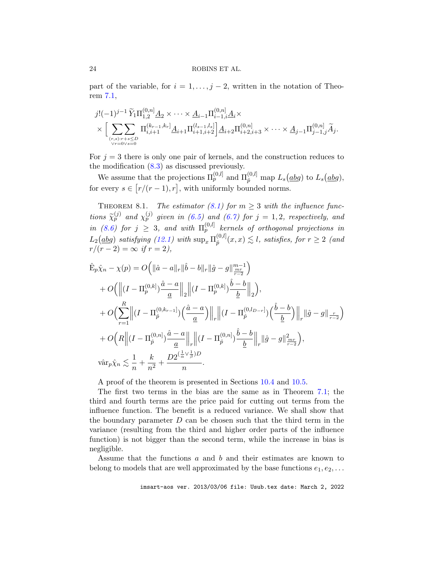part of the variable, for  $i = 1, \ldots, j - 2$ , written in the notation of Theorem [7.1,](#page-18-2)

$$
j!(-1)^{j-1} \widetilde{Y}_1 \Pi_{1,2}^{(0,n)} \underline{A}_2 \times \cdots \times \underline{A}_{i-1} \Pi_{i-1,i}^{(0,n]} \underline{A}_i \times \times \Big[ \sum_{(r,s):r+s \leq D \atop \forall r=0 \vee s=0} \Pi_{i,i+1}^{(k_{r-1},k_r]} \underline{A}_{i+1} \Pi_{i+1,i+2}^{(l_{s-1},l_s]} \Big] \underline{A}_{i+2} \Pi_{i+2,i+3}^{(0,n]} \times \cdots \times \underline{A}_{j-1} \Pi_{j-1,j}^{(0,n]} \widetilde{A}_j.
$$

For  $j = 3$  there is only one pair of kernels, and the construction reduces to the modification  $(8.3)$  as discussed previously.

We assume that the projections  $\Pi_p^{(0,l]}$  and  $\Pi_{\hat{p}}^{(0,l]}$  map  $L_s(\underline{abg})$  to  $L_s(\underline{abg})$ , for every  $s \in [r/(r-1), r]$ , with uniformly bounded norms.

<span id="page-23-0"></span>THEOREM 8.1. The estimator [\(8.1\)](#page-20-1) for  $m \geq 3$  with the influence functions  $\widetilde{\chi}_p^{(j)}$  and  $\chi_p^{(j)}$  given in [\(6.5\)](#page-16-1) and [\(6.7\)](#page-18-3) for  $j = 1, 2$ , respectively, and in [\(8.6\)](#page-22-1) for  $j \geq 3$ , and with  $\Pi_p^{(0,l)}$  kernels of orthogonal projections in  $L_2(\underline{a}\underline{b}\underline{g})$  satisfying [\(12.1\)](#page-49-0) with  $\sup_x \Pi_{\hat{p}}^{(0,l]}$  $p_{\hat{p}}^{(0,l]}(x,x) \lesssim l$ , satisfies, for  $r \geq 2$  (and  $r/(r-2) = \infty$  if  $r = 2$ ),

$$
\hat{E}_{p}\hat{\chi}_{n} - \chi(p) = O\Big(\|\hat{a} - a\|_{r}\|\hat{b} - b\|_{r}\|\hat{g} - g\|_{\frac{mr}{r-2}}^{m-1}\Big) \n+ O\Big(\Big\|(I - \Pi_{p}^{(0,k)})\frac{\hat{a} - a}{\underline{a}}\Big\|_{2}\Big\|(I - \Pi_{p}^{(0,k)})\frac{\hat{b} - b}{\underline{b}}\Big\|_{2}\Big), \n+ O\Big(\sum_{r=1}^{R}\Big\|(I - \Pi_{\hat{p}}^{(0,k_{r-1})})\Big(\frac{\hat{a} - a}{\underline{a}}\Big)\Big\|_{r}\Big\|(I - \Pi_{\hat{p}}^{(0,l_{D-r})})\Big(\frac{\hat{b} - b}{\underline{b}}\Big)\Big\|_{r}\|\hat{g} - g\|_{\frac{r}{r-2}}\Big) \n+ O\Big(R\Big\|\big(I - \Pi_{\hat{p}}^{(0,n)}\big)\frac{\hat{a} - a}{\underline{a}}\Big\|_{r}\Big\|(I - \Pi_{\hat{p}}^{(0,n)})\frac{\hat{b} - b}{\underline{b}}\Big\|_{r}\|\hat{g} - g\|_{\frac{mr}{r-2}}^{2}\Big), \n\text{var}_{p}\hat{\chi}_{n} \lesssim \frac{1}{n} + \frac{k}{n^{2}} + \frac{D2^{(\frac{1}{\alpha}\vee\frac{1}{\beta})D}}{n}.
$$

A proof of the theorem is presented in Sections [10.4](#page-34-0) and [10.5.](#page-39-0)

The first two terms in the bias are the same as in Theorem [7.1;](#page-18-2) the third and fourth terms are the price paid for cutting out terms from the influence function. The benefit is a reduced variance. We shall show that the boundary parameter  $D$  can be chosen such that the third term in the variance (resulting from the third and higher order parts of the influence function) is not bigger than the second term, while the increase in bias is negligible.

Assume that the functions a and b and their estimates are known to belong to models that are well approximated by the base functions  $e_1, e_2, \ldots$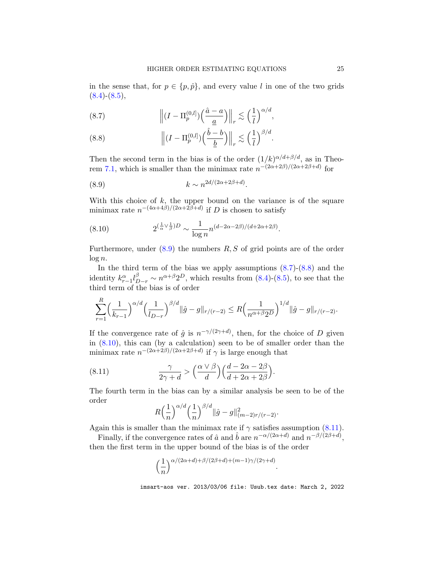in the sense that, for  $p \in \{p, \hat{p}\}\$ , and every value l in one of the two grids  $(8.4)-(8.5)$  $(8.4)-(8.5)$  $(8.4)-(8.5)$ ,

<span id="page-24-2"></span>(8.7) 
$$
\left\| (I - \Pi_p^{(0,l]}) \left( \frac{\hat{a} - a}{\underline{a}} \right) \right\|_r \lesssim \left( \frac{1}{l} \right)^{\alpha/d},
$$

<span id="page-24-3"></span>(8.8) 
$$
\left\| (I - \Pi_p^{(0,l)}) \left( \frac{\hat{b} - b}{\underline{b}} \right) \right\|_r \lesssim \left( \frac{1}{l} \right)^{\beta/d}.
$$

Then the second term in the bias is of the order  $(1/k)^{\alpha/d+\beta/d}$ , as in Theo-rem [7.1,](#page-18-2) which is smaller than the minimax rate  $n^{-(2\alpha+2\beta)/(2\alpha+2\beta+d)}$  for

<span id="page-24-0"></span>
$$
(8.9) \t\t k \sim n^{2d/(2\alpha + 2\beta + d)}.
$$

With this choice of  $k$ , the upper bound on the variance is of the square minimax rate  $n^{-(4\alpha+4\beta)/(2\alpha+2\beta+d)}$  if D is chosen to satisfy

<span id="page-24-4"></span>(8.10) 
$$
2^{(\frac{1}{\alpha}\vee\frac{1}{\beta})D} \sim \frac{1}{\log n} n^{(d-2\alpha-2\beta)/(d+2\alpha+2\beta)}.
$$

Furthermore, under  $(8.9)$  the numbers  $R, S$  of grid points are of the order  $\log n$ .

In the third term of the bias we apply assumptions  $(8.7)-(8.8)$  $(8.7)-(8.8)$  $(8.7)-(8.8)$  and the identity  $k_{r-1}^{\alpha} l_{D-r}^{\beta} \sim n^{\alpha+\beta} 2^D$ , which results from [\(8.4\)](#page-21-2)-[\(8.5\)](#page-21-3), to see that the third term of the bias is of order

$$
\sum_{r=1}^R \left(\frac{1}{k_{r-1}}\right)^{\alpha/d} \left(\frac{1}{l_{D-r}}\right)^{\beta/d} ||\hat{g} - g||_{r/(r-2)} \leq R \left(\frac{1}{n^{\alpha+\beta}2^D}\right)^{1/d} ||\hat{g} - g||_{r/(r-2)}.
$$

If the convergence rate of  $\hat{g}$  is  $n^{-\gamma/(2\gamma+d)}$ , then, for the choice of D given in [\(8.10\)](#page-24-4), this can (by a calculation) seen to be of smaller order than the minimax rate  $n^{-(2\alpha+2\beta)/(2\alpha+2\beta+d)}$  if  $\gamma$  is large enough that

(8.11) 
$$
\frac{\gamma}{2\gamma + d} > \left(\frac{\alpha \vee \beta}{d}\right) \left(\frac{d - 2\alpha - 2\beta}{d + 2\alpha + 2\beta}\right).
$$

The fourth term in the bias can by a similar analysis be seen to be of the order

<span id="page-24-1"></span>
$$
R\left(\frac{1}{n}\right)^{\alpha/d}\left(\frac{1}{n}\right)^{\beta/d} \|\hat{g} - g\|_{(m-2)r/(r-2)}^2.
$$

Again this is smaller than the minimax rate if  $\gamma$  satisfies assumption [\(8.11\)](#page-24-1).

Finally, if the convergence rates of  $\hat{a}$  and  $\hat{b}$  are  $n^{-\alpha/(2\alpha+d)}$  and  $n^{-\beta/(2\beta+d)}$ , then the first term in the upper bound of the bias is of the order

$$
\left(\frac{1}{n}\right)^{\alpha/(2\alpha+d)+\beta/(2\beta+d)+(m-1)\gamma/(2\gamma+d)}.
$$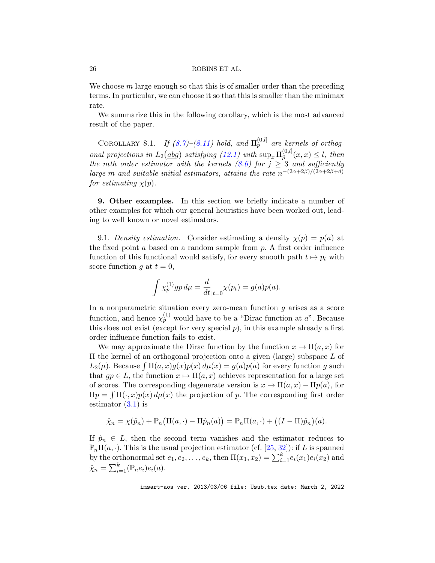We choose  $m$  large enough so that this is of smaller order than the preceding terms. In particular, we can choose it so that this is smaller than the minimax rate.

We summarize this in the following corollary, which is the most advanced result of the paper.

COROLLARY 8.1. If  $(8.7)$ – $(8.11)$  hold, and  $\Pi_p^{(0,l]}$  are kernels of orthogonal projections in  $L_2(dbg)$  satisfying [\(12.1\)](#page-49-0) with  $\sup_x \Pi_{\hat{p}}^{(0,l)}$  $\hat{p}^{(0,\iota)}(x,x) \leq l$ , then the mth order estimator with the kernels [\(8.6\)](#page-22-1) for  $j \geq 3$  and sufficiently large m and suitable initial estimators, attains the rate  $n^{-(2\alpha+2\beta)/(2\alpha+2\beta+d)}$ for estimating  $\chi(p)$ .

<span id="page-25-0"></span>9. Other examples. In this section we briefly indicate a number of other examples for which our general heuristics have been worked out, leading to well known or novel estimators.

<span id="page-25-1"></span>9.1. Density estimation. Consider estimating a density  $\chi(p) = p(a)$  at the fixed point  $a$  based on a random sample from  $p$ . A first order influence function of this functional would satisfy, for every smooth path  $t \mapsto p_t$  with score function g at  $t = 0$ ,

$$
\int \chi_p^{(1)} gp \, d\mu = \frac{d}{dt}_{|t=0} \chi(p_t) = g(a) p(a).
$$

In a nonparametric situation every zero-mean function  $g$  arises as a score function, and hence  $\chi_p^{(1)}$  would have to be a "Dirac function at a". Because this does not exist (except for very special  $p$ ), in this example already a first order influence function fails to exist.

We may approximate the Dirac function by the function  $x \mapsto \Pi(a, x)$  for Π the kernel of an orthogonal projection onto a given (large) subspace L of  $L_2(\mu)$ . Because  $\int \Pi(a, x)g(x)p(x) d\mu(x) = g(a)p(a)$  for every function g such that  $gp \in L$ , the function  $x \mapsto \Pi(a, x)$  achieves representation for a large set of scores. The corresponding degenerate version is  $x \mapsto \Pi(a, x) - \Pi p(a)$ , for  $\Pi p = \int \Pi(\cdot, x) p(x) d\mu(x)$  the projection of p. The corresponding first order estimator  $(3.1)$  is

$$
\hat{\chi}_n = \chi(\hat{p}_n) + \mathbb{P}_n(\Pi(a, \cdot) - \Pi \hat{p}_n(a)) = \mathbb{P}_n \Pi(a, \cdot) + ((I - \Pi)\hat{p}_n)(a).
$$

If  $\hat{p}_n \in L$ , then the second term vanishes and the estimator reduces to  $\mathbb{P}_n\Pi(a,\cdot)$ . This is the usual projection estimator (cf. [\[25,](#page-37-15) [32\]](#page-38-16)): if L is spanned by the orthonormal set  $e_1, e_2, \ldots, e_k$ , then  $\Pi(x_1, x_2) = \sum_{i=1}^k e_i(x_1) e_i(x_2)$  and  $\hat{\chi}_n = \sum_{i=1}^k (\mathbb{P}_n e_i) e_i(a).$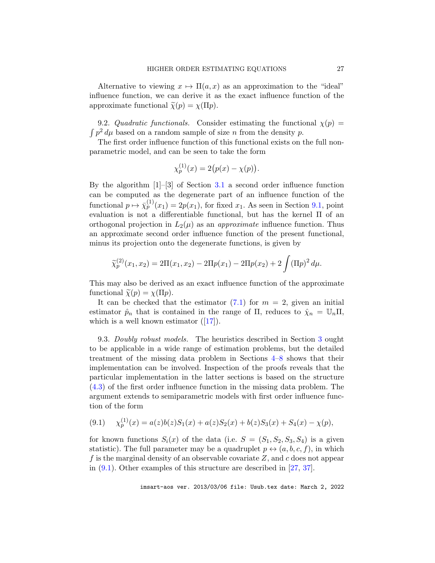Alternative to viewing  $x \mapsto \Pi(a, x)$  as an approximation to the "ideal" influence function, we can derive it as the exact influence function of the approximate functional  $\tilde{\chi}(p) = \chi(\Pi p)$ .

9.2. Quadratic functionals. Consider estimating the functional  $\chi(p)$  =  $\int p^2 d\mu$  based on a random sample of size n from the density p.

The first order influence function of this functional exists on the full nonparametric model, and can be seen to take the form

$$
\chi_p^{(1)}(x) = 2(p(x) - \chi(p)).
$$

By the algorithm  $[1]-[3]$  of Section [3.1](#page-5-3) a second order influence function can be computed as the degenerate part of an influence function of the functional  $p \mapsto \bar{\chi}_p^{(1)}(x_1) = 2p(x_1)$ , for fixed  $x_1$ . As seen in Section [9.1,](#page-25-1) point evaluation is not a differentiable functional, but has the kernel Π of an orthogonal projection in  $L_2(\mu)$  as an *approximate* influence function. Thus an approximate second order influence function of the present functional, minus its projection onto the degenerate functions, is given by

$$
\widetilde{\chi}_p^{(2)}(x_1, x_2) = 2\Pi(x_1, x_2) - 2\Pi p(x_1) - 2\Pi p(x_2) + 2\int (\Pi p)^2 d\mu.
$$

This may also be derived as an exact influence function of the approximate functional  $\widetilde{\chi}(p) = \chi(\Pi p)$ .

It can be checked that the estimator  $(7.1)$  for  $m = 2$ , given an initial estimator  $\hat{p}_n$  that is contained in the range of  $\Pi$ , reduces to  $\hat{\chi}_n = \mathbb{U}_n \Pi$ , which is a well known estimator  $([17])$  $([17])$  $([17])$ .

9.3. Doubly robust models. The heuristics described in Section [3](#page-4-0) ought to be applicable in a wide range of estimation problems, but the detailed treatment of the missing data problem in Sections [4–](#page-8-0)[8](#page-20-0) shows that their implementation can be involved. Inspection of the proofs reveals that the particular implementation in the latter sections is based on the structure [\(4.3\)](#page-10-1) of the first order influence function in the missing data problem. The argument extends to semiparametric models with first order influence function of the form

<span id="page-26-0"></span>
$$
(9.1) \t\t \chi_p^{(1)}(x) = a(z)b(z)S_1(x) + a(z)S_2(x) + b(z)S_3(x) + S_4(x) - \chi(p),
$$

for known functions  $S_i(x)$  of the data (i.e.  $S = (S_1, S_2, S_3, S_4)$ ) is a given statistic). The full parameter may be a quadruplet  $p \leftrightarrow (a, b, c, f)$ , in which f is the marginal density of an observable covariate  $Z$ , and c does not appear in [\(9.1\)](#page-26-0). Other examples of this structure are described in [\[27,](#page-38-7) [37\]](#page-38-8).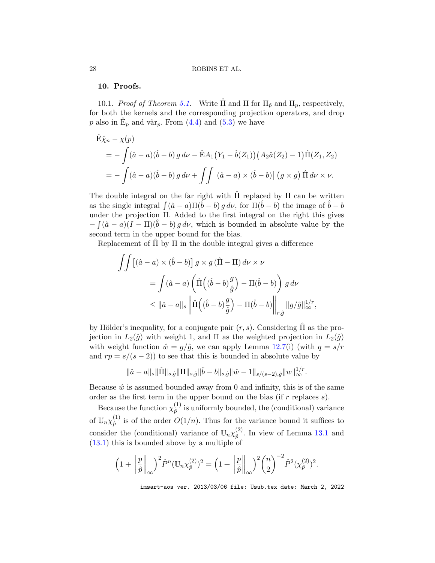## <span id="page-27-0"></span>10. Proofs.

<span id="page-27-1"></span>10.1. Proof of Theorem [5.1.](#page-13-2) Write  $\hat{\Pi}$  and  $\Pi$  for  $\Pi_{\hat{p}}$  and  $\Pi_{p}$ , respectively, for both the kernels and the corresponding projection operators, and drop p also in  $\hat{E}_p$  and vâr<sub>p</sub>. From [\(4.4\)](#page-11-1) and [\(5.3\)](#page-13-0) we have

$$
\hat{E}\hat{\chi}_n - \chi(p) \n= -\int (\hat{a} - a)(\hat{b} - b) g \, d\nu - \hat{E}A_1 (Y_1 - \hat{b}(Z_1)) (A_2 \hat{a}(Z_2) - 1) \hat{\Pi}(Z_1, Z_2) \n= -\int (\hat{a} - a)(\hat{b} - b) g \, d\nu + \iint [(\hat{a} - a) \times (\hat{b} - b)] (g \times g) \hat{\Pi} d\nu \times \nu.
$$

The double integral on the far right with  $\hat{\Pi}$  replaced by  $\Pi$  can be written as the single integral  $\int (\hat{a} - a) \Pi(\hat{b} - b) g d\nu$ , for  $\Pi(\hat{b} - b)$  the image of  $\hat{b} - b$ under the projection Π. Added to the first integral on the right this gives  $-\int (\hat{a}-a)(I-\Pi)(\hat{b}-b) g d\nu$ , which is bounded in absolute value by the second term in the upper bound for the bias.

Replacement of  $\Pi$  by  $\Pi$  in the double integral gives a difference

$$
\iint \left[ (\hat{a} - a) \times (\hat{b} - b) \right] g \times g \left( \hat{\Pi} - \Pi \right) d\nu \times \nu
$$
  
= 
$$
\int (\hat{a} - a) \left( \hat{\Pi} \left( (\hat{b} - b) \frac{g}{\hat{g}} \right) - \Pi (\hat{b} - b) \right) g d\nu
$$
  

$$
\leq ||\hat{a} - a||_s \left\| \hat{\Pi} \left( (\hat{b} - b) \frac{g}{\hat{g}} \right) - \Pi (\hat{b} - b) \right\|_{r, \hat{g}} ||g/\hat{g}||_{\infty}^{1/r},
$$

by Hölder's inequality, for a conjugate pair  $(r, s)$ . Considering  $\overline{\Pi}$  as the projection in  $L_2(\hat{g})$  with weight 1, and  $\Pi$  as the weighted projection in  $L_2(\hat{g})$ with weight function  $\hat{w} = g/\hat{g}$ , we can apply Lemma [12.7\(](#page-51-0)i) (with  $q = s/r$ and  $rp = s/(s-2)$  to see that this is bounded in absolute value by

$$
\|\hat{a}-a\|_{s}\|\hat{\Pi}\|_{s,\hat{g}}\|\Pi\|_{s,\hat{g}}\|\hat{b}-b\|_{s,\hat{g}}\|\hat{w}-1\|_{s/(s-2),\hat{g}}\|w\|_{\infty}^{1/r}.
$$

Because  $\hat{w}$  is assumed bounded away from 0 and infinity, this is of the same order as the first term in the upper bound on the bias (if  $r$  replaces  $s$ ).

Because the function  $\chi_{\hat{n}}^{(1)}$  $\hat{p}^{(1)}$  is uniformly bounded, the (conditional) variance of  $\mathbb{U}_n \chi_{\hat{p}}^{(1)}$  $\hat{p}^{(1)}$  is of the order  $O(1/n)$ . Thus for the variance bound it suffices to consider the (conditional) variance of  $\mathbb{U}_n \chi_{\hat{p}}^{(2)}$  $\hat{p}^{(2)}$ . In view of Lemma [13.1](#page-56-0) and [\(13.1\)](#page-55-1) this is bounded above by a multiple of

$$
\left(1+\left\|\frac{p}{\hat{p}}\right\|_{\infty}\right)^2\hat{P}^n(\mathbb{U}_n\chi_{\hat{p}}^{(2)})^2 = \left(1+\left\|\frac{p}{\hat{p}}\right\|_{\infty}\right)^2\binom{n}{2}^{-2}\hat{P}^2(\chi_{\hat{p}}^{(2)})^2.
$$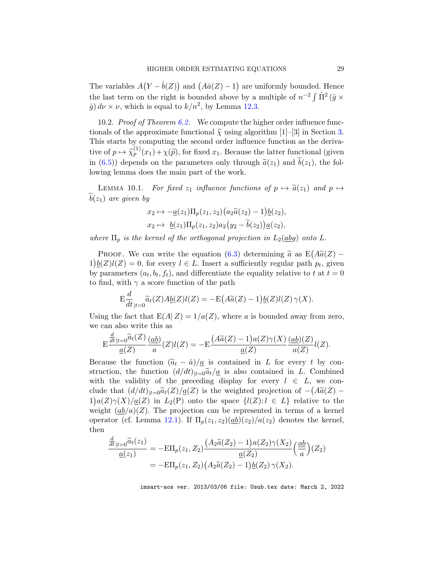The variables  $A(Y - \hat{b}(Z))$  and  $(A\hat{a}(Z) - 1)$  are uniformly bounded. Hence the last term on the right is bounded above by a multiple of  $n^{-2} \int \hat{\Pi}^2 (\hat{g} \times$  $\hat{g}$ )  $d\nu \times \nu$ , which is equal to  $k/n^2$ , by Lemma [12.3.](#page-49-1)

<span id="page-28-0"></span>10.2. Proof of Theorem  $6.2$ . We compute the higher order influence functionals of the approximate functional  $\tilde{\chi}$  using algorithm [1]–[3] in Section [3.](#page-4-0) This starts by computing the second order influence function as the derivative of  $p \mapsto \widetilde{\chi}_p^{(1)}(x_1) + \chi(\widetilde{p})$ , for fixed  $x_1$ . Because the latter functional (given in [\(6.5\)](#page-16-1)) depends on the parameters only through  $\tilde{a}(z_1)$  and  $\tilde{b}(z_1)$ , the following lemma does the main part of the work.

<span id="page-28-1"></span>LEMMA 10.1. For fixed  $z_1$  influence functions of  $p \mapsto \tilde{a}(z_1)$  and  $p \mapsto$  $b(z_1)$  are given by

$$
x_2 \mapsto -\underline{a}(z_1) \Pi_p(z_1, z_2) (a_2 \widetilde{a}(z_2) - 1) \underline{b}(z_2),
$$
  

$$
x_2 \mapsto \underline{b}(z_1) \Pi_p(z_1, z_2) a_2 (y_2 - \widetilde{b}(z_2)) \underline{a}(z_2),
$$

where  $\Pi_p$  is the kernel of the orthogonal projection in  $L_2(dbg)$  onto L.

PROOF. We can write the equation  $(6.3)$  determining  $\tilde{a}$  as  $E(A\tilde{a}(Z) 1\underline{b}(Z)l(Z) = 0$ , for every  $l \in L$ . Insert a sufficiently regular path  $p_t$ , given by parameters  $(a_t, b_t, f_t)$ , and differentiate the equality relative to t at  $t = 0$ to find, with  $\gamma$  a score function of the path

$$
\mathrm{E}\frac{d}{dt}_{|t=0}\widetilde{a}_t(Z)A\underline{b}(Z)l(Z)=-\mathrm{E}\big(A\widetilde{a}(Z)-1\big)\underline{b}(Z)l(Z)\,\gamma(X).
$$

Using the fact that  $E(A|Z) = 1/a(Z)$ , where a is bounded away from zero, we can also write this as

$$
\mathrm{E}\frac{\frac{d}{dt}_{|t=0}\widetilde{a}_{t}(Z)}{\underline{a}(Z)}\frac{(\underline{ab})}{a}(Z)l(Z)=-\mathrm{E}\frac{\left(A\widetilde{a}(Z)-1\right)a(Z)\gamma(X)}{\underline{a}(Z)}\frac{(\underline{ab})(Z)}{a(Z)}l(Z).
$$

Because the function  $(\tilde{a}_t - \hat{a})/\underline{a}$  is contained in L for every t by construction, the function  $(d/dt)_{|t=0}\tilde{a}_t/\underline{a}$  is also contained in L. Combined with the validity of the preceding display for every  $l \in L$ , we conclude that  $(d/dt)_{|t=0}$  $\tilde{a}_t(Z)/\underline{a}(Z)$  is the weighted projection of  $-(A\tilde{a}(Z) - A)(Z)$  $1)a(Z)\gamma(X)/\underline{a}(Z)$  in  $L_2(P)$  onto the space  $\{l(Z):l\in L\}$  relative to the weight  $(\underline{ab}/a)(Z)$ . The projection can be represented in terms of a kernel operator (cf. Lemma [12.1\)](#page-48-0). If  $\Pi_p(z_1, z_2) \frac{ab}{(z_2)}$  denotes the kernel, then

$$
\frac{\frac{d}{dt}_{|t=0}\tilde{a}_t(z_1)}{\underline{a}(z_1)} = -\mathcal{E}\Pi_p(z_1, Z_2) \frac{\left(A_2\tilde{a}(Z_2) - 1\right)a(Z_2)\gamma(X_2)}{\underline{a}(Z_2)} \left(\frac{\underline{ab}}{a}\right)(Z_2)
$$
\n
$$
= -\mathcal{E}\Pi_p(z_1, Z_2) \left(A_2\tilde{a}(Z_2) - 1\right)\underline{b}(Z_2)\,\gamma(X_2).
$$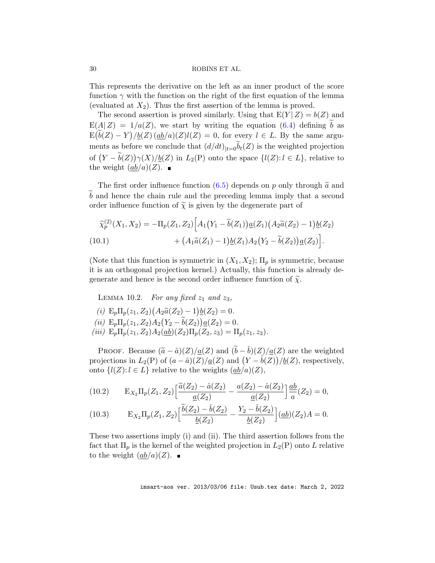This represents the derivative on the left as an inner product of the score function  $\gamma$  with the function on the right of the first equation of the lemma (evaluated at  $X_2$ ). Thus the first assertion of the lemma is proved.

The second assertion is proved similarly. Using that  $E(Y|Z) = b(Z)$  and  $E(A|Z) = 1/a(Z)$ , we start by writing the equation [\(6.4\)](#page-16-3) defining b as  $E(\widetilde{b}(Z) - Y)/\underline{b}(Z) (\underline{ab}/a)(Z)l(Z) = 0$ , for every  $l \in L$ . By the same arguments as before we conclude that  $(d/dt)_{|t=0}\tilde{b}_t(Z)$  is the weighted projection of  $(Y - \widetilde{b}(Z))\gamma(X)/\underline{b}(Z)$  in  $L_2(P)$  onto the space  $\{l(Z): l \in L\}$ , relative to the weight  $(\underline{ab}/a)(Z)$ .

The first order influence function [\(6.5\)](#page-16-1) depends on p only through  $\tilde{a}$  and  $\overline{b}$  and hence the chain rule and the preceding lemma imply that a second order influence function of  $\tilde{\chi}$  is given by the degenerate part of

<span id="page-29-1"></span>
$$
\widetilde{\chi}_p^{(2)}(X_1, X_2) = -\Pi_p(Z_1, Z_2) \Big[ A_1 (Y_1 - \widetilde{b}(Z_1)) \underline{a}(Z_1) (A_2 \widetilde{a}(Z_2) - 1) \underline{b}(Z_2) + (A_1 \widetilde{a}(Z_1) - 1) \underline{b}(Z_1) A_2 (Y_2 - \widetilde{b}(Z_2)) \underline{a}(Z_2) \Big].
$$
\n(10.1)

(Note that this function is symmetric in  $(X_1, X_2)$ ;  $\Pi_p$  is symmetric, because it is an orthogonal projection kernel.) Actually, this function is already degenerate and hence is the second order influence function of  $\tilde{\chi}$ .

<span id="page-29-0"></span>LEMMA 10.2. For any fixed  $z_1$  and  $z_3$ ,

- (i)  $E_p \Pi_p(z_1, Z_2) (A_2 \tilde{a}(Z_2) 1) \underline{b}(Z_2) = 0.$
- (*ii*)  $E_p \Pi_p(z_1, Z_2) A_2 (Y_2 \tilde{b}(Z_2)) \underline{a}(Z_2) = 0.$
- (iii)  $E_p \Pi_p(z_1, Z_2) A_2(\underline{ab})(Z_2) \Pi_p(Z_2, z_3) = \Pi_p(z_1, z_3).$

Proof. Because  $(\tilde{a} - \hat{a})(Z)/\underline{a}(Z)$  and  $(\tilde{b} - \hat{b})(Z)/\underline{a}(Z)$  are the weighted projections in  $L_2(P)$  of  $(a - \hat{a})(Z)/\underline{a}(Z)$  and  $(Y - \hat{b}(Z))/\underline{b}(Z)$ , respectively, onto  $\{l(Z): l \in L\}$  relative to the weights  $(\underline{ab}/a)(Z)$ ,

(10.2) 
$$
E_{X_2} \Pi_p(Z_1, Z_2) \left[ \frac{\tilde{a}(Z_2) - \hat{a}(Z_2)}{\underline{a}(Z_2)} - \frac{a(Z_2) - \hat{a}(Z_2)}{\underline{a}(Z_2)} \right] \frac{ab}{a}(Z_2) = 0,
$$

(10.3) 
$$
E_{X_2} \Pi_p(Z_1, Z_2) \left[ \frac{\tilde{b}(Z_2) - \hat{b}(Z_2)}{\underline{b}(Z_2)} - \frac{Y_2 - \hat{b}(Z_2)}{\underline{b}(Z_2)} \right] (\underline{ab})(Z_2) A = 0.
$$

These two assertions imply (i) and (ii). The third assertion follows from the fact that  $\Pi_p$  is the kernel of the weighted projection in  $L_2(P)$  onto L relative to the weight  $(ab/a)(Z)$ .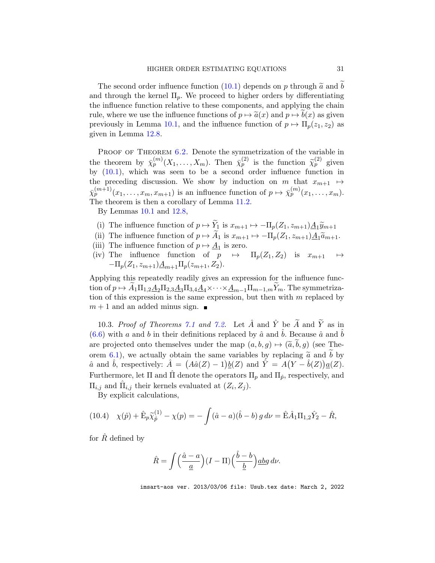The second order influence function [\(10.1\)](#page-29-1) depends on p through  $\tilde{a}$  and  $\tilde{b}$ and through the kernel  $\Pi_p$ . We proceed to higher orders by differentiating the influence function relative to these components, and applying the chain rule, where we use the influence functions of  $p \mapsto \tilde{a}(x)$  and  $p \mapsto b(x)$  as given previously in Lemma [10.1,](#page-28-1) and the influence function of  $p \mapsto \Pi_p(z_1, z_2)$  as given in Lemma [12.8.](#page-53-0)

PROOF OF THEOREM [6.2.](#page-17-0) Denote the symmetrization of the variable in the theorem by  $\bar{\chi}_p^{(m)}(X_1,\ldots,X_m)$ . Then  $\bar{\chi}_p^{(2)}$  is the function  $\tilde{\chi}_p^{(2)}$  given by [\(10.1\)](#page-29-1), which was seen to be a second order influence function in the preceding discussion. We show by induction on m that  $x_{m+1} \mapsto$  $\bar{\chi}_p^{(m+1)}(x_1,\ldots,x_m,x_{m+1})$  is an influence function of  $p \mapsto \bar{\chi}_p^{(m)}(x_1,\ldots,x_m)$ . The theorem is then a corollary of Lemma [11.2.](#page-45-0)

By Lemmas [10.1](#page-28-1) and [12.8,](#page-53-0)

- (i) The influence function of  $p \mapsto Y_1$  is  $x_{m+1} \mapsto -\Pi_p(Z_1, z_{m+1})\underline{A_1}\widetilde{y}_{m+1}$
- (ii) The influence function of  $p \mapsto \tilde{A}_1$  is  $x_{m+1} \mapsto -\Pi_p(Z_1, z_{m+1})\underline{A}_1\tilde{a}_{m+1}.$
- (iii) The influence function of  $p \mapsto \underline{A}_1$  is zero.
- (iv) The influence function of  $\overrightarrow{p} \mapsto \Pi_p(Z_1, Z_2)$  is  $x_{m+1} \mapsto$  $-\Pi_p(Z_1, z_{m+1})\underline{A}_{m+1}\Pi_p(z_{m+1}, Z_2).$

Applying this repeatedly readily gives an expression for the influence function of  $p \mapsto A_1\Pi_{1,2}A_2\Pi_{2,3}A_3\Pi_{3,4}A_4\times\cdots\times A_{m-1}\Pi_{m-1,m}Y_m$ . The symmetrization of this expression is the same expression, but then with  $m$  replaced by  $m + 1$  and an added minus sign.  $\blacksquare$ 

<span id="page-30-0"></span>10.3. Proof of Theorems [7.1](#page-18-2) and [7.2.](#page-19-0) Let  $\hat{A}$  and  $\hat{Y}$  be  $\widetilde{A}$  and  $\widetilde{Y}$  as in [\(6.6\)](#page-17-1) with a and b in their definitions replaced by  $\hat{a}$  and  $\hat{b}$ . Because  $\hat{a}$  and  $\hat{b}$ are projected onto themselves under the map  $(a, b, q) \mapsto (\tilde{a}, \tilde{b}, q)$  (see The-orem [6.1\)](#page-16-0), we actually obtain the same variables by replacing  $\tilde{a}$  and  $\tilde{b}$  by  $\hat{a}$  and  $\hat{b}$ , respectively:  $\hat{A} = (A\hat{a}(Z) - 1)\underline{b}(Z)$  and  $\hat{Y} = A(Y - \hat{b}(Z))\underline{a}(Z)$ . Furthermore, let  $\Pi$  and  $\hat{\Pi}$  denote the operators  $\Pi_p$  and  $\Pi_{\hat{p}}$ , respectively, and  $\Pi_{i,j}$  and  $\hat{\Pi}_{i,j}$  their kernels evaluated at  $(Z_i, Z_j)$ .

<span id="page-30-1"></span>By explicit calculations,

(10.4) 
$$
\chi(\hat{p}) + \hat{E}_p \tilde{\chi}_{\hat{p}}^{(1)} - \chi(p) = -\int (\hat{a} - a)(\hat{b} - b) g d\nu = \hat{E} \hat{A}_1 \Pi_{1,2} \hat{Y}_2 - \hat{R},
$$

for  $\hat{R}$  defined by

$$
\hat{R} = \int \left(\frac{\hat{a} - a}{\underline{a}}\right) (I - \Pi) \left(\frac{\hat{b} - b}{\underline{b}}\right) \underline{a} \underline{b} g \, d\nu.
$$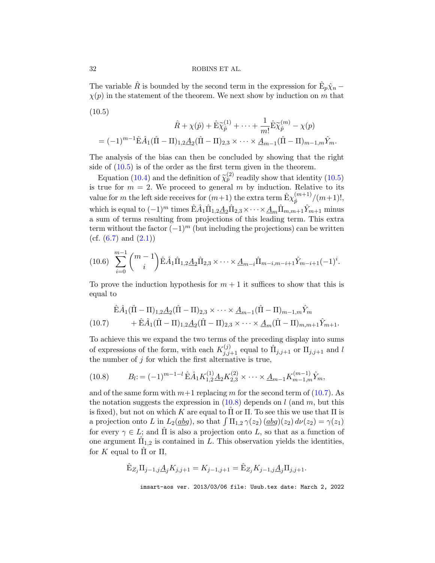The variable  $\hat{R}$  is bounded by the second term in the expression for  $\hat{E}_p \hat{\chi}_n$  –  $\chi(p)$  in the statement of the theorem. We next show by induction on m that  $(10.5)$ 

<span id="page-31-0"></span>
$$
\hat{R} + \chi(\hat{p}) + \hat{E}\tilde{\chi}_{\hat{p}}^{(1)} + \dots + \frac{1}{m!}\hat{E}\tilde{\chi}_{\hat{p}}^{(m)} - \chi(p)
$$
  
=  $(-1)^{m-1}\hat{E}\hat{A}_1(\hat{\Pi} - \Pi)_{1,2}\underline{A}_2(\hat{\Pi} - \Pi)_{2,3} \times \dots \times \underline{A}_{m-1}(\hat{\Pi} - \Pi)_{m-1,m}\hat{Y}_m.$ 

The analysis of the bias can then be concluded by showing that the right side of  $(10.5)$  is of the order as the first term given in the theorem.

Equation [\(10.4\)](#page-30-1) and the definition of  $\tilde{\chi}_p^{(2)}$  readily show that identity [\(10.5\)](#page-31-0) is true for  $m = 2$ . We proceed to general m by induction. Relative to its value for m the left side receives for  $(m+1)$  the extra term  $\hat{\mathbf{E}} \chi^{(m+1)}_{\hat{n}}$  $\binom{(m+1)}{p}$   $\frac{(m+1)!}{p}$ which is equal to  $(-1)^m$  times  $\hat{E}\hat{A}_1\hat{\Pi}_{1,2}\underline{A}_2\hat{\Pi}_{2,3}\times\cdots\times\underline{A}_m\hat{\Pi}_{m,m+1}\hat{Y}_{m+1}$  minus a sum of terms resulting from projections of this leading term. This extra term without the factor  $(-1)^m$  (but including the projections) can be written (cf.  $(6.7)$  and  $(2.1)$ )

<span id="page-31-3"></span>
$$
(10.6)\sum_{i=0}^{m-1} {m-1 \choose i} \hat{E}\hat{A}_1 \hat{\Pi}_{1,2} \underline{A}_2 \hat{\Pi}_{2,3} \times \cdots \times \underline{A}_{m-i} \hat{\Pi}_{m-i,m-i+1} \hat{Y}_{m-i+1} (-1)^i.
$$

To prove the induction hypothesis for  $m + 1$  it suffices to show that this is equal to

<span id="page-31-1"></span>
$$
\hat{\mathbf{E}}\hat{A}_{1}(\hat{\Pi} - \Pi)_{1,2}\underline{A}_{2}(\hat{\Pi} - \Pi)_{2,3} \times \cdots \times \underline{A}_{m-1}(\hat{\Pi} - \Pi)_{m-1,m}\hat{Y}_m \n+ \hat{\mathbf{E}}\hat{A}_{1}(\hat{\Pi} - \Pi)_{1,2}\underline{A}_{2}(\hat{\Pi} - \Pi)_{2,3} \times \cdots \times \underline{A}_{m}(\hat{\Pi} - \Pi)_{m,m+1}\hat{Y}_{m+1}.
$$

To achieve this we expand the two terms of the preceding display into sums of expressions of the form, with each  $K_{j,j+1}^{(j)}$  equal to  $\hat{\Pi}_{j,j+1}$  or  $\Pi_{j,j+1}$  and l the number of  $j$  for which the first alternative is true,

<span id="page-31-2"></span>
$$
(10.8) \tB_l := (-1)^{m-1-l} \hat{\mathbf{E}} \hat{A}_1 K_{1,2}^{(1)} \underline{A}_2 K_{2,3}^{(2)} \times \cdots \times \underline{A}_{m-1} K_{m-1,m}^{(m-1)} \hat{Y}_m,
$$

and of the same form with  $m+1$  replacing m for the second term of [\(10.7\)](#page-31-1). As the notation suggests the expression in  $(10.8)$  depends on l (and m, but this is fixed), but not on which K are equal to  $\Pi$  or  $\Pi$ . To see this we use that  $\Pi$  is a projection onto L in  $L_2(\underline{ab}g)$ , so that  $\int \Pi_{1,2} \gamma(z_2) (\underline{ab}g)(z_2) d\nu(z_2) = \gamma(z_1)$ for every  $\gamma \in L$ ; and  $\hat{\Pi}$  is also a projection onto L, so that as a function of one argument  $\hat{\Pi}_{1,2}$  is contained in L. This observation yields the identities, for K equal to  $\hat{\Pi}$  or  $\Pi$ ,

$$
\hat{\mathbf{E}}_{Z_j} \Pi_{j-1,j} \underline{A}_j K_{j,j+1} = K_{j-1,j+1} = \hat{\mathbf{E}}_{Z_j} K_{j-1,j} \underline{A}_j \Pi_{j,j+1}.
$$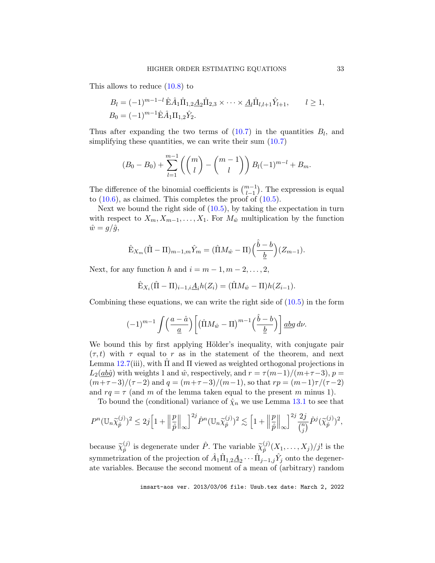This allows to reduce  $(10.8)$  to

$$
B_l = (-1)^{m-1-l} \hat{\mathbf{E}} \hat{A}_1 \hat{\Pi}_{1,2} \underline{A}_2 \hat{\Pi}_{2,3} \times \cdots \times \underline{A}_l \hat{\Pi}_{l,l+1} \hat{Y}_{l+1}, \qquad l \ge 1,
$$
  
\n
$$
B_0 = (-1)^{m-1} \hat{\mathbf{E}} \hat{A}_1 \Pi_{1,2} \hat{Y}_2.
$$

Thus after expanding the two terms of  $(10.7)$  in the quantities  $B_l$ , and simplifying these quantities, we can write their sum  $(10.7)$ 

$$
(B_0 - B_0) + \sum_{l=1}^{m-1} \left( {m \choose l} - {m-1 \choose l} \right) B_l(-1)^{m-l} + B_m.
$$

The difference of the binomial coefficients is  $\binom{m-1}{l-1}$  . The expression is equal to  $(10.6)$ , as claimed. This completes the proof of  $(10.5)$ .

Next we bound the right side of  $(10.5)$ , by taking the expectation in turn with respect to  $X_m, X_{m-1}, \ldots, X_1$ . For  $M_{\hat{w}}$  multiplication by the function  $\hat{w} = g/\hat{g},$ 

$$
\hat{\mathbf{E}}_{X_m}(\hat{\Pi} - \Pi)_{m-1,m}\hat{Y}_m = (\hat{\Pi}M_{\hat{w}} - \Pi) \left(\frac{\hat{b} - b}{\underline{b}}\right)(Z_{m-1}).
$$

Next, for any function h and  $i = m - 1, m - 2, \ldots, 2$ ,

$$
\hat{\mathbf{E}}_{X_i}(\hat{\Pi} - \Pi)_{i-1,i} \underline{A}_i h(Z_i) = (\hat{\Pi} M_{\hat{w}} - \Pi) h(Z_{i-1}).
$$

Combining these equations, we can write the right side of  $(10.5)$  in the form

$$
(-1)^{m-1}\int \left(\frac{a-\hat{a}}{\underline{a}}\right)\left[\left(\hat{\Pi}M_{\hat{w}}-\Pi\right)^{m-1}\left(\frac{\hat{b}-b}{\underline{b}}\right)\right] \underline{a}bg\,d\nu.
$$

We bound this by first applying Hölder's inequality, with conjugate pair  $(\tau, t)$  with  $\tau$  equal to r as in the statement of the theorem, and next Lemma  $12.7(iii)$  $12.7(iii)$ , with  $\overline{\Pi}$  and  $\Pi$  viewed as weighted orthogonal projections in  $L_2(\underline{ab}\hat{g})$  with weights 1 and  $\hat{w}$ , respectively, and  $r = \tau(m-1)/(m+\tau-3)$ ,  $p =$  $(m+\tau-3)/(\tau-2)$  and  $q = (m+\tau-3)/(m-1)$ , so that  $rp = (m-1)\tau/(\tau-2)$ and  $rq = \tau$  (and m of the lemma taken equal to the present m minus 1).

To bound the (conditional) variance of  $\hat{\chi}_n$  we use Lemma [13.1](#page-56-0) to see that

$$
P^{n}(\mathbb{U}_{n}\widetilde{\chi}_{\hat{p}}^{(j)})^{2} \leq 2j\Big[1+\Big\|\frac{p}{\hat{p}}\Big\|_{\infty}\Big]^{2j}\hat{P}^{n}(\mathbb{U}_{n}\widetilde{\chi}_{\hat{p}}^{(j)})^{2} \lesssim \Big[1+\Big\|\frac{p}{\hat{p}}\Big\|_{\infty}\Big]^{2j}\frac{2j}{\binom{n}{j}}\hat{P}^{j}(\widetilde{\chi}_{\hat{p}}^{(j)})^{2},
$$

because  $\widetilde{\chi}_{\hat{p}}^{(j)}$  $\widetilde{p}^{(j)}$  is degenerate under  $\hat{P}$ . The variable  $\widetilde{\chi}_{\hat{p}}^{(j)}$  $\hat{p}^{(j)}(X_1,\ldots,X_j)/j!$  is the symmetrization of the projection of  $\hat{A}_1 \hat{\Pi}_{1,2} \underline{A}_2 \cdots \hat{\Pi}_{j-1,j} \hat{Y}_j$  onto the degenerate variables. Because the second moment of a mean of (arbitrary) random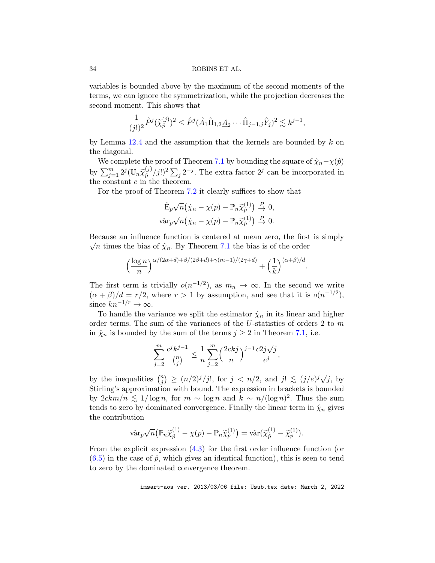variables is bounded above by the maximum of the second moments of the terms, we can ignore the symmetrization, while the projection decreases the second moment. This shows that

$$
\frac{1}{(j!)^2} \hat{P}^j(\tilde{\chi}_{\hat{p}}^{(j)})^2 \le \hat{P}^j(\hat{A}_1 \hat{\Pi}_{1,2} \underline{A}_2 \cdots \hat{\Pi}_{j-1,j} \hat{Y}_j)^2 \lesssim k^{j-1},
$$

by Lemma [12.4](#page-49-2) and the assumption that the kernels are bounded by  $k$  on the diagonal.

We complete the proof of Theorem [7.1](#page-18-2) by bounding the square of  $\hat{\chi}_n - \chi(\hat{p})$ by  $\sum_{j=1}^m 2^j (\mathbb{U}_n \widetilde{\chi}_{\hat{p}}^{(j)})$  $\binom{(j)}{\hat{p}}/j!$ <sup>2</sup> $\sum_{j} 2^{-j}$ . The extra factor 2<sup>j</sup> can be incorporated in the constant  $c$  in the theorem.

For the proof of Theorem [7.2](#page-19-0) it clearly suffices to show that

$$
\hat{\mathbf{E}}_p\sqrt{n}\big(\hat{\chi}_n-\chi(p)-\mathbb{P}_n\tilde{\chi}_p^{(1)}\big)\overset{P}{\to}0,
$$
  

$$
\hat{\text{var}}_p\sqrt{n}\big(\hat{\chi}_n-\chi(p)-\mathbb{P}_n\tilde{\chi}_p^{(1)}\big)\overset{P}{\to}0.
$$

Because an influence function is centered at mean zero, the first is simply  $\sqrt{n}$  times the bias of  $\hat{\chi}_n$ . By Theorem [7.1](#page-18-2) the bias is of the order

$$
\Big(\frac{\log n}{n}\Big)^{\alpha/(2\alpha+d)+\beta/(2\beta+d)+\gamma(m-1)/(2\gamma+d)}+\Big(\frac{1}{k}\Big)^{(\alpha+\beta)/d}.
$$

The first term is trivially  $o(n^{-1/2})$ , as  $m_n \to \infty$ . In the second we write  $(\alpha + \beta)/d = r/2$ , where  $r > 1$  by assumption, and see that it is  $o(n^{-1/2})$ , since  $kn^{-1/r} \to \infty$ .

To handle the variance we split the estimator  $\hat{\chi}_n$  in its linear and higher order terms. The sum of the variances of the U-statistics of orders 2 to m in  $\hat{\chi}_n$  is bounded by the sum of the terms  $j \geq 2$  in Theorem [7.1,](#page-18-2) i.e.

$$
\sum_{j=2}^m \frac{c^j k^{j-1}}{\binom{n}{j}} \le \frac{1}{n} \sum_{j=2}^m \Bigl(\frac{2ckj}{n}\Bigr)^{j-1} \frac{c2j\sqrt{j}}{e^j},
$$

by the inequalities  $\binom{n}{i}$  $\binom{m}{j} \ge (n/2)^j/j!$ , for  $j < n/2$ , and  $j! \le (j/e)^j \sqrt{j}$ , by Stirling's approximation with bound. The expression in brackets is bounded by  $2ckm/n \lesssim 1/\log n$ , for  $m \sim \log n$  and  $k \sim n/(\log n)^2$ . Thus the sum tends to zero by dominated convergence. Finally the linear term in  $\hat{\chi}_n$  gives the contribution

$$
\hat{\text{var}}_p \sqrt{n} \big( \mathbb{P}_n \widetilde{\chi}_{\hat{p}}^{(1)} - \chi(p) - \mathbb{P}_n \widetilde{\chi}_{p}^{(1)} \big) = \hat{\text{var}}(\widetilde{\chi}_{\hat{p}}^{(1)} - \widetilde{\chi}_{p}^{(1)}).
$$

From the explicit expression [\(4.3\)](#page-10-1) for the first order influence function (or  $(6.5)$  in the case of  $\hat{p}$ , which gives an identical function), this is seen to tend to zero by the dominated convergence theorem.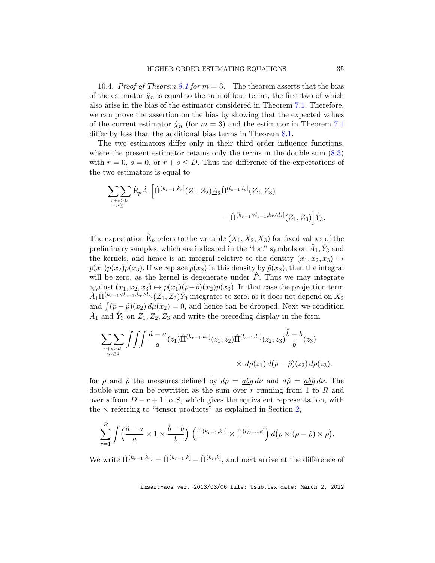<span id="page-34-0"></span>10.4. Proof of Theorem [8.1](#page-23-0) for  $m = 3$ . The theorem asserts that the bias of the estimator  $\hat{\chi}_n$  is equal to the sum of four terms, the first two of which also arise in the bias of the estimator considered in Theorem [7.1.](#page-18-2) Therefore, we can prove the assertion on the bias by showing that the expected values of the current estimator  $\hat{\chi}_n$  (for  $m=3$ ) and the estimator in Theorem [7.1](#page-18-2) differ by less than the additional bias terms in Theorem [8.1.](#page-23-0)

The two estimators differ only in their third order influence functions, where the present estimator retains only the terms in the double sum [\(8.3\)](#page-21-1) with  $r = 0$ ,  $s = 0$ , or  $r + s \le D$ . Thus the difference of the expectations of the two estimators is equal to

$$
\sum_{\substack{r+s>D\\r,s\geq 1}} \hat{E}_p \hat{A}_1 \Big[ \hat{\Pi}^{(k_{r-1},k_r]}(Z_1,Z_2) \underline{A}_2 \hat{\Pi}^{(l_{s-1},l_s]}(Z_2,Z_3) - \hat{\Pi}^{(k_{r-1}\vee l_{s-1},k_r\wedge l_s]}(Z_1,Z_3) \Big] \hat{Y}_3.
$$

The expectation  $\hat{E}_p$  refers to the variable  $(X_1, X_2, X_3)$  for fixed values of the preliminary samples, which are indicated in the "hat" symbols on  $\hat{A}_1, \hat{Y}_3$  and the kernels, and hence is an integral relative to the density  $(x_1, x_2, x_3) \mapsto$  $p(x_1)p(x_2)p(x_3)$ . If we replace  $p(x_2)$  in this density by  $\hat{p}(x_2)$ , then the integral will be zero, as the kernel is degenerate under  $\hat{P}$ . Thus we may integrate against  $(x_1, x_2, x_3) \mapsto p(x_1)(p-\hat{p})(x_2)p(x_3)$ . In that case the projection term  $\hat{A}_1\hat{\Pi}^{(k_{r-1}\vee l_{s-1},k_r\wedge l_s]}(Z_1,Z_3)\hat{Y}_3$  integrates to zero, as it does not depend on  $X_2$ and  $\int (p - \hat{p})(x_2) d\mu(x_2) = 0$ , and hence can be dropped. Next we condition  $\hat{A}_1$  and  $\hat{Y}_3$  on  $Z_1, Z_2, Z_3$  and write the preceding display in the form

$$
\sum_{\substack{r+s>D\\r,s\geq 1}} \iiint \frac{\hat{a}-a}{\underline{a}}(z_1)\hat{\Pi}^{(k_{r-1},k_r]}(z_1,z_2)\hat{\Pi}^{(l_{s-1},l_s]}(z_2,z_3)\frac{\hat{b}-b}{\underline{b}}(z_3) \times d\rho(z_1) d(\rho-\hat{\rho})(z_2) d\rho(z_3).
$$

for  $\rho$  and  $\hat{\rho}$  the measures defined by  $d\rho = abq d\nu$  and  $d\hat{\rho} = ab\hat{q} d\nu$ . The double sum can be rewritten as the sum over  $r$  running from 1 to  $R$  and over s from  $D - r + 1$  to S, which gives the equivalent representation, with the  $\times$  referring to "tensor products" as explained in Section [2,](#page-3-0)

$$
\sum_{r=1}^R \int \left(\frac{\hat{a}-a}{\underline{a}} \times 1 \times \frac{\hat{b}-b}{\underline{b}}\right) \left(\hat{\Pi}^{(k_{r-1},k_r]} \times \hat{\Pi}^{(l_{D-r},k]}\right) d(\rho \times (\rho - \hat{\rho}) \times \rho).
$$

We write  $\hat{\Pi}^{(k_{r-1},k_r)} = \hat{\Pi}^{(k_{r-1},k)} - \hat{\Pi}^{(k_r,k)},$  and next arrive at the difference of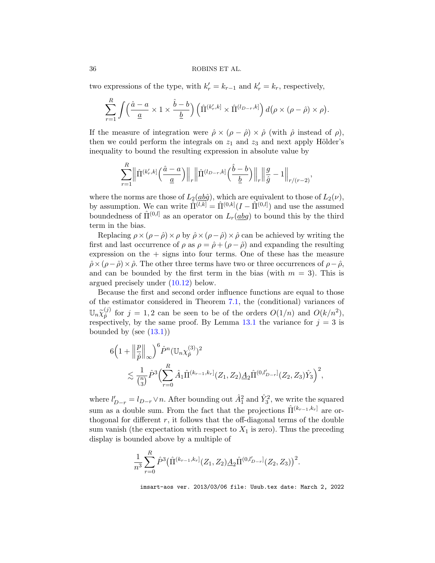two expressions of the type, with  $k'_r = k_{r-1}$  and  $k'_r = k_r$ , respectively,

$$
\sum_{r=1}^R \int \left(\frac{\hat{a}-a}{\underline{a}} \times 1 \times \frac{\hat{b}-b}{\underline{b}}\right) \left(\hat{\Pi}^{(k'_r,k]} \times \hat{\Pi}^{(l_{D-r},k]}\right) d(\rho \times (\rho - \hat{\rho}) \times \rho).
$$

If the measure of integration were  $\hat{\rho} \times (\rho - \hat{\rho}) \times \hat{\rho}$  (with  $\hat{\rho}$  instead of  $\rho$ ), then we could perform the integrals on  $z_1$  and  $z_3$  and next apply Hölder's inequality to bound the resulting expression in absolute value by

$$
\sum_{r=1}^R \left\| \hat{\Pi}^{(k'_r,k)} \left( \frac{\hat{a}-a}{\underline{a}} \right) \right\|_r \left\| \hat{\Pi}^{(l_{D-r},k)} \left( \frac{\hat{b}-b}{\underline{b}} \right) \right\|_r \left\| \frac{g}{\hat{g}} - 1 \right\|_{r/(r-2)},
$$

where the norms are those of  $L_2(\underline{ab}\hat{g})$ , which are equivalent to those of  $L_2(\nu)$ , by assumption. We can write  $\hat{\Pi}^{(l,k)} = \hat{\Pi}^{(0,k)}(I - \hat{\Pi}^{(0,l)})$  and use the assumed boundedness of  $\hat{\Pi}^{(0,l)}$  as an operator on  $L_r(\underline{ab}g)$  to bound this by the third term in the bias.

Replacing  $\rho \times (\rho - \hat{\rho}) \times \rho$  by  $\hat{\rho} \times (\rho - \hat{\rho}) \times \hat{\rho}$  can be achieved by writing the first and last occurrence of  $\rho$  as  $\rho = \hat{\rho} + (\rho - \hat{\rho})$  and expanding the resulting expression on the  $+$  signs into four terms. One of these has the measure  $\hat{\rho} \times (\rho - \hat{\rho}) \times \hat{\rho}$ . The other three terms have two or three occurrences of  $\rho - \hat{\rho}$ , and can be bounded by the first term in the bias (with  $m = 3$ ). This is argued precisely under [\(10.12\)](#page-44-2) below.

Because the first and second order influence functions are equal to those of the estimator considered in Theorem [7.1,](#page-18-2) the (conditional) variances of  $\mathbb{U}_n\widetilde{\chi}_{\hat{p}}^{(j)}$  $\hat{p}^{(j)}$  for  $j = 1, 2$  can be seen to be of the orders  $O(1/n)$  and  $O(k/n^2)$ , respectively, by the same proof. By Lemma  $13.1$  the variance for  $j = 3$  is bounded by (see  $(13.1)$ )

$$
6\Big(1+\Big\|\frac{p}{\hat{p}}\Big\|_{\infty}\Big)^6\hat{P}^n(\mathbb{U}_n\chi_{\hat{p}}^{(3)})^2
$$
  
\$\lesssim \frac{1}{\binom{n}{3}}\hat{P}^3\Big(\sum\_{r=0}^R\hat{A}\_1\hat{\Pi}^{(k\_{r-1},k\_r]}(Z\_1, Z\_2)\underline{A}\_2\hat{\Pi}^{(0,l'\_{D-r}]}(Z\_2, Z\_3)\hat{Y}\_3\Big)^2\$,

where  $l'_{D-r} = l_{D-r} \vee n$ . After bounding out  $\hat{A}_1^2$  and  $\hat{Y}_3^2$ , we write the squared sum as a double sum. From the fact that the projections  $\hat{\Pi}^{(k_{r-1},k_r]}$  are orthogonal for different  $r$ , it follows that the off-diagonal terms of the double sum vanish (the expectation with respect to  $X_1$  is zero). Thus the preceding display is bounded above by a multiple of

$$
\frac{1}{n^3} \sum_{r=0}^{R} \hat{P}^3 \big( \hat{\Pi}^{(k_{r-1},k_r]}(Z_1, Z_2) \underline{A}_2 \hat{\Pi}^{(0,l'_{D-r}]}(Z_2, Z_3) \big)^2.
$$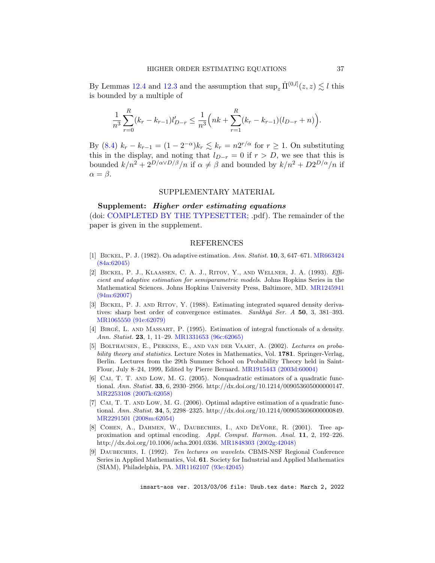By Lemmas [12.4](#page-49-2) and [12.3](#page-49-1) and the assumption that  $\sup_z \hat{\Pi}^{(0,l]}(z,z) \lesssim l$  this is bounded by a multiple of

$$
\frac{1}{n^3} \sum_{r=0}^R (k_r - k_{r-1}) l'_{D-r} \leq \frac{1}{n^3} \left( nk + \sum_{r=1}^R (k_r - k_{r-1}) (l_{D-r} + n) \right).
$$

By [\(8.4\)](#page-21-2)  $k_r - k_{r-1} = (1 - 2^{-\alpha})k_r \lesssim k_r = n2^{r/\alpha}$  for  $r \ge 1$ . On substituting this in the display, and noting that  $l_{D-r} = 0$  if  $r > D$ , we see that this is bounded  $k/n^2 + 2^{D/\alpha \vee D/\beta}/n$  if  $\alpha \neq \beta$  and bounded by  $k/n^2 + D2^{D/\alpha}/n$  if  $\alpha = \beta$ .

## SUPPLEMENTARY MATERIAL

Supplement: Higher order estimating equations (doi: [COMPLETED BY THE TYPESETTER;](http://dx.doi.org/COMPLETED BY THE TYPESETTER) .pdf). The remainder of the paper is given in the supplement.

#### REFERENCES

- <span id="page-36-2"></span>[1] Bickel, P. J. (1982). On adaptive estimation. Ann. Statist. 10, 3, 647–671. [MR663424](http://www.ams.org/mathscinet-getitem?mr=MR663424) [\(84a:62045\)](http://www.ams.org/mathscinet-getitem?mr=MR663424)
- <span id="page-36-0"></span>[2] Bickel, P. J., Klaassen, C. A. J., Ritov, Y., and Wellner, J. A. (1993). Efficient and adaptive estimation for semiparametric models. Johns Hopkins Series in the Mathematical Sciences. Johns Hopkins University Press, Baltimore, MD. [MR1245941](http://www.ams.org/mathscinet-getitem?mr=MR1245941) [\(94m:62007\)](http://www.ams.org/mathscinet-getitem?mr=MR1245941)
- <span id="page-36-3"></span>[3] Bickel, P. J. and Ritov, Y. (1988). Estimating integrated squared density derivatives: sharp best order of convergence estimates. Sankhyā Ser.  $A$  50, 3, 381–393. [MR1065550 \(91e:62079\)](http://www.ams.org/mathscinet-getitem?mr=MR1065550)
- <span id="page-36-4"></span>[4] BIRGÉ, L. AND MASSART, P. (1995). Estimation of integral functionals of a density. Ann. Statist. 23, 1, 11-29. [MR1331653 \(96c:62065\)](http://www.ams.org/mathscinet-getitem?mr=MR1331653)
- <span id="page-36-1"></span>[5] Bolthausen, E., Perkins, E., and van der Vaart, A. (2002). Lectures on probability theory and statistics. Lecture Notes in Mathematics, Vol. 1781. Springer-Verlag, Berlin. Lectures from the 29th Summer School on Probability Theory held in Saint-Flour, July 8–24, 1999, Edited by Pierre Bernard. [MR1915443 \(2003d:60004\)](http://www.ams.org/mathscinet-getitem?mr=MR1915443)
- <span id="page-36-5"></span>[6] Cai, T. T. and Low, M. G. (2005). Nonquadratic estimators of a quadratic functional. Ann. Statist. 33, 6, 2930–2956. http://dx.doi.org/10.1214/009053605000000147. [MR2253108 \(2007k:62058\)](http://www.ams.org/mathscinet-getitem?mr=2253108)
- <span id="page-36-6"></span>[7] CAI, T. T. AND LOW, M. G. (2006). Optimal adaptive estimation of a quadratic functional. Ann. Statist. 34, 5, 2298–2325. http://dx.doi.org/10.1214/009053606000000849. [MR2291501 \(2008m:62054\)](http://www.ams.org/mathscinet-getitem?mr=2291501)
- <span id="page-36-8"></span>[8] Cohen, A., Dahmen, W., Daubechies, I., and DeVore, R. (2001). Tree approximation and optimal encoding. Appl. Comput. Harmon. Anal. 11, 2, 192–226. http://dx.doi.org/10.1006/acha.2001.0336. [MR1848303 \(2002g:42048\)](http://www.ams.org/mathscinet-getitem?mr=MR1848303)
- <span id="page-36-7"></span>[9] Daubechies, I. (1992). Ten lectures on wavelets. CBMS-NSF Regional Conference Series in Applied Mathematics, Vol. 61. Society for Industrial and Applied Mathematics (SIAM), Philadelphia, PA. [MR1162107 \(93e:42045\)](http://www.ams.org/mathscinet-getitem?mr=MR1162107)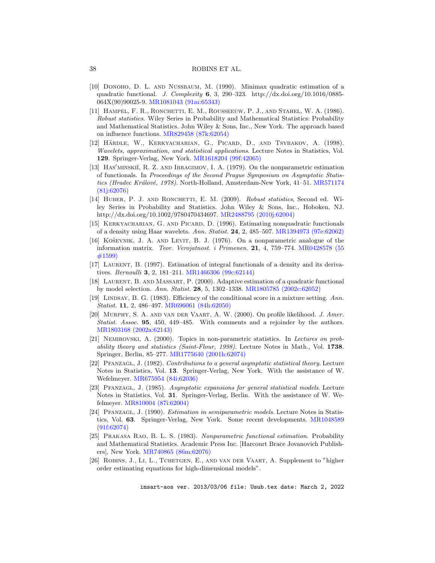- <span id="page-37-9"></span>[10] DONOHO, D. L. AND NUSSBAUM, M. (1990). Minimax quadratic estimation of a quadratic functional. J. Complexity 6, 3, 290–323. http://dx.doi.org/10.1016/0885- 064X(90)90025-9. [MR1081043 \(91m:65343\)](http://www.ams.org/mathscinet-getitem?mr=1081043)
- <span id="page-37-3"></span>[11] Hampel, F. R., Ronchetti, E. M., Rousseeuw, P. J., and Stahel, W. A. (1986). Robust statistics. Wiley Series in Probability and Mathematical Statistics: Probability and Mathematical Statistics. John Wiley & Sons, Inc., New York. The approach based on influence functions. [MR829458 \(87k:62054\)](http://www.ams.org/mathscinet-getitem?mr=829458)
- <span id="page-37-16"></span>[12] HÄRDLE, W., KERKYACHARIAN, G., PICARD, D., AND TSYBAKOV, A. (1998). Wavelets, approximation, and statistical applications. Lecture Notes in Statistics, Vol. 129. Springer-Verlag, New York. [MR1618204 \(99f:42065\)](http://www.ams.org/mathscinet-getitem?mr=MR1618204)
- <span id="page-37-7"></span>[13] Has' MINSKII, R. Z. AND IBRAGIMOV, I. A. (1979). On the nonparametric estimation of functionals. In Proceedings of the Second Prague Symposium on Asymptotic Statis-tics (Hradec Králové, 1978). North-Holland, Amsterdam-New York, 41-51. [MR571174](http://www.ams.org/mathscinet-getitem?mr=571174) [\(81j:62076\)](http://www.ams.org/mathscinet-getitem?mr=571174)
- <span id="page-37-2"></span>[14] HUBER, P. J. AND RONCHETTI, E. M. (2009). Robust statistics, Second ed. Wiley Series in Probability and Statistics. John Wiley & Sons, Inc., Hoboken, NJ. http://dx.doi.org/10.1002/9780470434697. [MR2488795 \(2010j:62004\)](http://www.ams.org/mathscinet-getitem?mr=2488795)
- <span id="page-37-10"></span>[15] KERKYACHARIAN, G. AND PICARD, D. (1996). Estimating nonquadratic functionals of a density using Haar wavelets. Ann. Statist. 24, 2, 485–507. [MR1394973 \(97e:62062\)](http://www.ams.org/mathscinet-getitem?mr=MR1394973)
- <span id="page-37-0"></span>[16] KOŠEVNIK, J. A. AND LEVIT, B. J. (1976). On a nonparametric analogue of the information matrix. Teor. Verojatnost. i Primenen. 21, 4, 759–774. [MR0428578 \(55](http://www.ams.org/mathscinet-getitem?mr=MR0428578) [#1599\)](http://www.ams.org/mathscinet-getitem?mr=MR0428578)
- <span id="page-37-11"></span>[17] Laurent, B. (1997). Estimation of integral functionals of a density and its derivatives. Bernoulli 3, 2, 181–211. [MR1466306 \(99c:62144\)](http://www.ams.org/mathscinet-getitem?mr=MR1466306)
- <span id="page-37-12"></span>[18] Laurent, B. and Massart, P. (2000). Adaptive estimation of a quadratic functional by model selection. Ann. Statist. 28, 5, 1302–1338. [MR1805785 \(2002c:62052\)](http://www.ams.org/mathscinet-getitem?mr=MR1805785)
- <span id="page-37-5"></span>[19] LINDSAY, B. G. (1983). Efficiency of the conditional score in a mixture setting. Ann. Statist. 11, 2, 486–497. [MR696061 \(84h:62050\)](http://www.ams.org/mathscinet-getitem?mr=MR696061)
- <span id="page-37-4"></span>[20] Murphy, S. A. and van der Vaart, A. W. (2000). On profile likelihood. J. Amer. Statist. Assoc. 95, 450, 449–485. With comments and a rejoinder by the authors. [MR1803168 \(2002a:62143\)](http://www.ams.org/mathscinet-getitem?mr=MR1803168)
- <span id="page-37-8"></span>[21] Nemirovski, A. (2000). Topics in non-parametric statistics. In Lectures on probability theory and statistics (Saint-Flour, 1998). Lecture Notes in Math., Vol. 1738. Springer, Berlin, 85–277. [MR1775640 \(2001h:62074\)](http://www.ams.org/mathscinet-getitem?mr=1775640)
- <span id="page-37-1"></span>[22] PFANZAGL, J. (1982). Contributions to a general asymptotic statistical theory. Lecture Notes in Statistics, Vol. 13. Springer-Verlag, New York. With the assistance of W. Wefelmeyer. [MR675954 \(84i:62036\)](http://www.ams.org/mathscinet-getitem?mr=MR675954)
- <span id="page-37-14"></span>[23] PFANZAGL, J. (1985). Asymptotic expansions for general statistical models. Lecture Notes in Statistics, Vol. 31. Springer-Verlag, Berlin. With the assistance of W. Wefelmeyer. [MR810004 \(87i:62004\)](http://www.ams.org/mathscinet-getitem?mr=MR810004)
- <span id="page-37-6"></span>[24] Pfanzagl, J. (1990). Estimation in semiparametric models. Lecture Notes in Statistics, Vol. 63. Springer-Verlag, New York. Some recent developments. [MR1048589](http://www.ams.org/mathscinet-getitem?mr=MR1048589) [\(91f:62074\)](http://www.ams.org/mathscinet-getitem?mr=MR1048589)
- <span id="page-37-15"></span>[25] Prakasa Rao, B. L. S. (1983). Nonparametric functional estimation. Probability and Mathematical Statistics. Academic Press Inc. [Harcourt Brace Jovanovich Publishers], New York. [MR740865 \(86m:62076\)](http://www.ams.org/mathscinet-getitem?mr=MR740865)
- <span id="page-37-13"></span>[26] Robins, J., Li, L., Tchetgen, E., and van der Vaart, A. Supplement to "higher order estimating equations for high-dimensional models".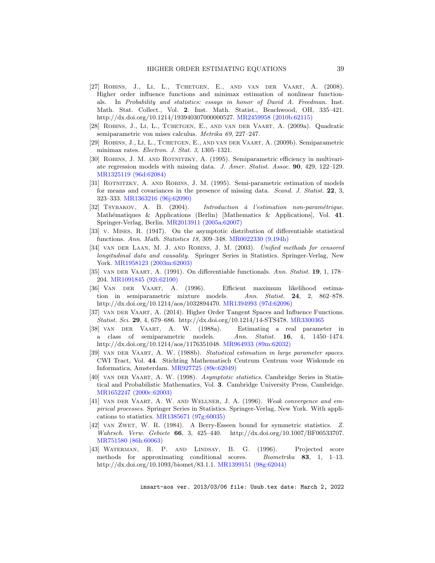- <span id="page-38-7"></span>[27] Robins, J., Li, L., Tchetgen, E., and van der Vaart, A. (2008). Higher order influence functions and minimax estimation of nonlinear functionals. In Probability and statistics: essays in honor of David A. Freedman. Inst. Math. Stat. Collect., Vol. 2. Inst. Math. Statist., Beachwood, OH, 335–421. http://dx.doi.org/10.1214/193940307000000527. [MR2459958 \(2010b:62115\)](http://www.ams.org/mathscinet-getitem?mr=MR2459958)
- <span id="page-38-10"></span>[28] Robins, J., Li, L., Tchetgen, E., and van der Vaart, A. (2009a). Quadratic semiparametric von mises calculus. Metrika 69, 227–247.
- <span id="page-38-15"></span>[29] Robins, J., Li, L., Tchetgen, E., and van der Vaart, A. (2009b). Semiparametric minimax rates. Electron. J. Stat. 3, 1305–1321.
- <span id="page-38-12"></span>[30] Robins, J. M. and Rotnitzky, A. (1995). Semiparametric efficiency in multivariate regression models with missing data. J. Amer. Statist. Assoc. 90, 429, 122–129. [MR1325119 \(96d:62084\)](http://www.ams.org/mathscinet-getitem?mr=MR1325119)
- <span id="page-38-13"></span>[31] Rotnitzky, A. and Robins, J. M. (1995). Semi-parametric estimation of models for means and covariances in the presence of missing data. Scand. J. Statist. 22, 3, 323–333. [MR1363216 \(96j:62090\)](http://www.ams.org/mathscinet-getitem?mr=MR1363216)
- <span id="page-38-16"></span>[32] TSYBAKOV, A. B. (2004). Introduction à l'estimation non-paramétrique. Mathématiques & Applications (Berlin) [Mathematics & Applications], Vol. 41. Springer-Verlag, Berlin. [MR2013911 \(2005a:62007\)](http://www.ams.org/mathscinet-getitem?mr=MR2013911)
- <span id="page-38-3"></span>[33] v. Mises, R. (1947). On the asymptotic distribution of differentiable statistical functions. Ann. Math. Statistics 18, 309–348. [MR0022330 \(9,194h\)](http://www.ams.org/mathscinet-getitem?mr=0022330)
- <span id="page-38-0"></span>[34] van der Laan, M. J. and Robins, J. M. (2003). Unified methods for censored longitudinal data and causality. Springer Series in Statistics. Springer-Verlag, New York. [MR1958123 \(2003m:62003\)](http://www.ams.org/mathscinet-getitem?mr=MR1958123)
- <span id="page-38-2"></span>[35] van der Vaart, A. (1991). On differentiable functionals. Ann. Statist. 19, 1, 178– 204. [MR1091845 \(92i:62100\)](http://www.ams.org/mathscinet-getitem?mr=MR1091845)
- <span id="page-38-6"></span>[36] Van der Vaart, A. (1996). Efficient maximum likelihood estimation in semiparametric mixture models. Ann. Statist. 24, 2, 862–878. http://dx.doi.org/10.1214/aos/1032894470. [MR1394993 \(97d:62096\)](http://www.ams.org/mathscinet-getitem?mr=1394993)
- <span id="page-38-8"></span>[37] van der Vaart, A. (2014). Higher Order Tangent Spaces and Influence Functions. Statist. Sci. 29, 4, 679–686. http://dx.doi.org/10.1214/14-STS478. [MR3300365](http://www.ams.org/mathscinet-getitem?mr=3300365)
- <span id="page-38-4"></span>[38] van der Vaart, A. W. (1988a). Estimating a real parameter in a class of semiparametric models. Ann. Statist. 16, 4, 1450–1474. http://dx.doi.org/10.1214/aos/1176351048. [MR964933 \(89m:62032\)](http://www.ams.org/mathscinet-getitem?mr=MR964933)
- <span id="page-38-5"></span>[39] van der Vaart, A. W. (1988b). Statistical estimation in large parameter spaces. CWI Tract, Vol. 44. Stichting Mathematisch Centrum Centrum voor Wiskunde en Informatica, Amsterdam. [MR927725 \(89e:62049\)](http://www.ams.org/mathscinet-getitem?mr=MR927725)
- <span id="page-38-1"></span>[40] van der Vaart, A. W. (1998). Asymptotic statistics. Cambridge Series in Statistical and Probabilistic Mathematics, Vol. 3. Cambridge University Press, Cambridge. [MR1652247 \(2000c:62003\)](http://www.ams.org/mathscinet-getitem?mr=MR1652247)
- <span id="page-38-14"></span>[41] van der Vaart, A. W. and Wellner, J. A. (1996). Weak convergence and empirical processes. Springer Series in Statistics. Springer-Verlag, New York. With applications to statistics. [MR1385671 \(97g:60035\)](http://www.ams.org/mathscinet-getitem?mr=MR1385671)
- <span id="page-38-11"></span>[42] van Zwet, W. R. (1984). A Berry-Esseen bound for symmetric statistics. Z. Wahrsch. Verw. Gebiete 66, 3, 425–440. http://dx.doi.org/10.1007/BF00533707. [MR751580 \(86h:60063\)](http://www.ams.org/mathscinet-getitem?mr=751580)
- <span id="page-38-9"></span>[43] Waterman, R. P. and Lindsay, B. G. (1996). Projected score methods for approximating conditional scores. Biometrika 83, 1, 1–13. http://dx.doi.org/10.1093/biomet/83.1.1. [MR1399151 \(98g:62044\)](http://www.ams.org/mathscinet-getitem?mr=MR1399151)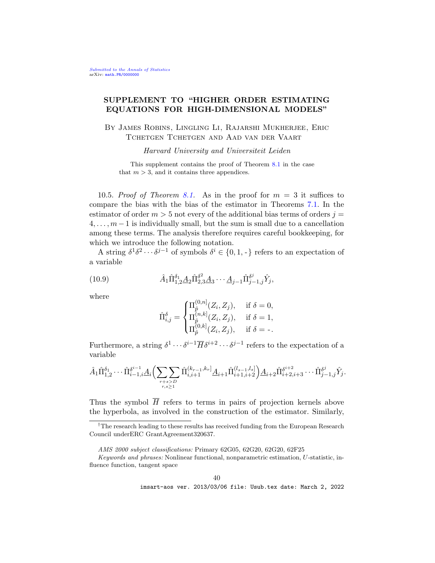# SUPPLEMENT TO "HIGHER ORDER ESTIMATING EQUATIONS FOR HIGH-DIMENSIONAL MODELS"

By James Robins, Lingling Li, Rajarshi Mukherjee, Eric Tchetgen Tchetgen and Aad van der Vaart

Harvard University and Universiteit Leiden

This supplement contains the proof of Theorem [8.1](#page-23-0) in the case that  $m > 3$ , and it contains three appendices.

<span id="page-39-0"></span>10.5. Proof of Theorem [8.1.](#page-23-0) As in the proof for  $m = 3$  it suffices to compare the bias with the bias of the estimator in Theorems [7.1.](#page-18-2) In the estimator of order  $m > 5$  not every of the additional bias terms of orders  $j =$  $4, \ldots, m-1$  is individually small, but the sum is small due to a cancellation among these terms. The analysis therefore requires careful bookkeeping, for which we introduce the following notation.

A string  $\delta^1 \delta^2 \cdots \delta^{j-1}$  of symbols  $\delta^i \in \{0, 1, -\}$  refers to an expectation of a variable

(10.9) 
$$
\hat{A}_1 \hat{\Pi}_{1,2}^{\delta_1} \underline{A}_2 \hat{\Pi}_{2,3}^{\delta^2} \underline{A}_3 \cdots \underline{A}_{j-1} \hat{\Pi}_{j-1,j}^{\delta^j} \hat{Y}_j,
$$

where

<span id="page-39-1"></span>
$$
\hat{\Pi}_{i,j}^{\delta} = \begin{cases} \Pi_{\hat{p}}^{(0,n]}(Z_i, Z_j), & \text{if } \delta = 0, \\ \Pi_{\hat{p}}^{(n,k]}(Z_i, Z_j), & \text{if } \delta = 1, \\ \Pi_{\hat{p}}^{(0,k]}(Z_i, Z_j), & \text{if } \delta = -. \end{cases}
$$

Furthermore, a string  $\delta^1 \cdots \delta^{i-1} \overline{H} \delta^{i+2} \cdots \delta^{j-1}$  refers to the expectation of a variable

$$
\hat{A}_1 \hat{\Pi}_{1,2}^{\delta_1} \cdots \hat{\Pi}_{i-1,i}^{\delta^{i-1}} \underline{A}_i \Big( \sum_{\substack{r+s > D \\ r,s \ge 1}} \hat{\Pi}_{i,i+1}^{(k_{r-1},k_r)} \underline{A}_{i+1} \hat{\Pi}_{i+1,i+2}^{(l_{s-1},l_s)} \Big) \underline{A}_{i+2} \hat{\Pi}_{i+2,i+3}^{\delta^{i+2}} \cdots \hat{\Pi}_{j-1,j}^{\delta^j} \hat{Y}_j.
$$

Thus the symbol  $\overline{H}$  refers to terms in pairs of projection kernels above the hyperbola, as involved in the construction of the estimator. Similarly,

<sup>&</sup>lt;sup>†</sup>The research leading to these results has received funding from the European Research Council underERC GrantAgreement320637.

AMS 2000 subject classifications: Primary 62G05, 62G20, 62G20, 62F25

Keywords and phrases: Nonlinear functional, nonparametric estimation, U-statistic, influence function, tangent space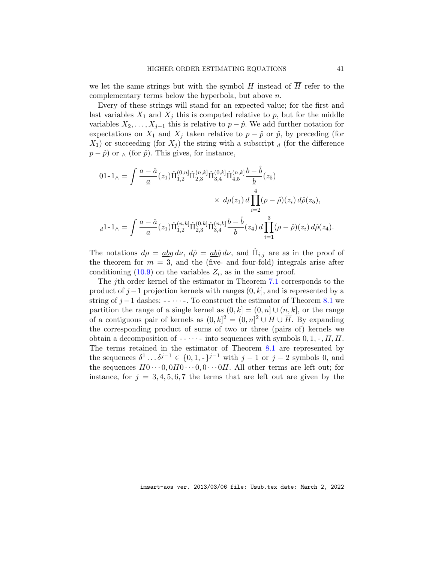we let the same strings but with the symbol H instead of  $\overline{H}$  refer to the complementary terms below the hyperbola, but above n.

Every of these strings will stand for an expected value; for the first and last variables  $X_1$  and  $X_j$  this is computed relative to p, but for the middle variables  $X_2, \ldots, X_{j-1}$  this is relative to  $p - \hat{p}$ . We add further notation for expectations on  $X_1$  and  $X_j$  taken relative to  $p - \hat{p}$  or  $\hat{p}$ , by preceding (for  $X_1$ ) or succeeding (for  $X_i$ ) the string with a subscript d (for the difference  $p - \hat{p}$  or  $\wedge$  (for  $\hat{p}$ ). This gives, for instance,

$$
01-1_{\wedge} = \int \frac{a - \hat{a}}{\underline{a}}(z_1) \hat{\Pi}_{1,2}^{(0,n)} \hat{\Pi}_{2,3}^{(n,k)} \hat{\Pi}_{3,4}^{(0,k)} \hat{\Pi}_{4,5}^{(n,k)} \frac{b - \hat{b}}{\underline{b}}(z_5)
$$
  

$$
\times d\rho(z_1) d \prod_{i=2}^{4} (\rho - \hat{\rho})(z_i) d\hat{\rho}(z_5),
$$
  

$$
d^{1-1_{\wedge}} = \int \frac{a - \hat{a}}{\underline{a}}(z_1) \hat{\Pi}_{1,2}^{(n,k)} \hat{\Pi}_{2,3}^{(0,k)} \hat{\Pi}_{3,4}^{(n,k)} \frac{b - \hat{b}}{\underline{b}}(z_4) d \prod_{i=1}^{3} (\rho - \hat{\rho})(z_i) d\hat{\rho}(z_4).
$$

The notations  $d\rho = \frac{abg}{d\nu} d\nu$ ,  $d\hat{\rho} = \frac{ab\hat{g}}{d\nu} d\nu$ , and  $\hat{\Pi}_{i,j}$  are as in the proof of the theorem for  $m = 3$ , and the (five- and four-fold) integrals arise after conditioning  $(10.9)$  on the variables  $Z_i$ , as in the same proof.

The jth order kernel of the estimator in Theorem [7.1](#page-18-2) corresponds to the product of  $j-1$  projection kernels with ranges  $(0, k]$ , and is represented by a string of  $j-1$  dashes:  $-\cdots$ . To construct the estimator of Theorem [8.1](#page-23-0) we partition the range of a single kernel as  $(0, k] = (0, n] \cup (n, k]$ , or the range of a contiguous pair of kernels as  $(0, k]^2 = (0, n]^2 \cup H \cup \overline{H}$ . By expanding the corresponding product of sums of two or three (pairs of) kernels we obtain a decomposition of  $-\cdots$  into sequences with symbols  $0, 1, \cdot, H, \overline{H}$ . The terms retained in the estimator of Theorem [8.1](#page-23-0) are represented by the sequences  $\delta^1 \dots \delta^{j-1} \in \{0, 1, -\}^{j-1}$  with  $j-1$  or  $j-2$  symbols 0, and the sequences  $H0 \cdots 0, 0H0 \cdots 0, 0 \cdots 0H$ . All other terms are left out; for instance, for  $j = 3, 4, 5, 6, 7$  the terms that are left out are given by the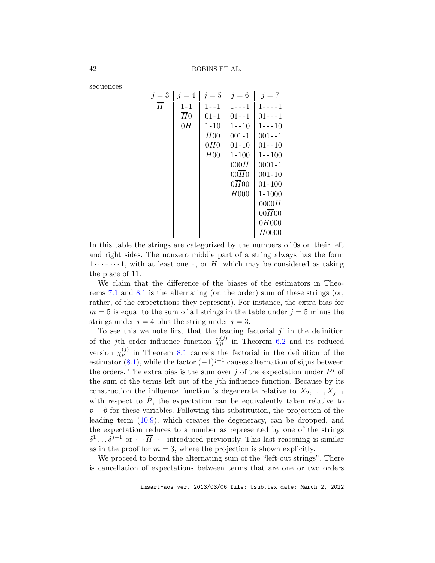sequences

| $j=3$          | $j=4$           | $j=5$    | $j=6$             | $j=7$              |
|----------------|-----------------|----------|-------------------|--------------------|
| $\overline{H}$ | $1 - 1$         | $1 - -1$ | $1 - - - 1$       | $1 - - - - 1$      |
|                | H <sub>0</sub>  | $01 - 1$ | $01 - -1$         | $01 - - 1$         |
|                | $0\overline{H}$ | $1 - 10$ | $1 - -10$         | $1 - - 10$         |
|                |                 | H00      | $001 - 1$         | $001 - -1$         |
|                |                 | 0H0      | $01 - 10$         | $01 - -10$         |
|                |                 | H00      | $1 - 100$         | $1 - -100$         |
|                |                 |          | 000H              | $0001 - 1$         |
|                |                 |          | $00\overline{H}0$ | $001 - 10$         |
|                |                 |          | 0H00              | $01 - 100$         |
|                |                 |          | $H_{000}$         | $1 - 1000$         |
|                |                 |          |                   | 0000H              |
|                |                 |          |                   | $00\overline{H}00$ |
|                |                 |          |                   | 0H000              |
|                |                 |          |                   | H0000              |

In this table the strings are categorized by the numbers of 0s on their left and right sides. The nonzero middle part of a string always has the form  $1 \cdots$   $\cdots$  1, with at least one -, or  $\overline{H}$ , which may be considered as taking the place of 11.

We claim that the difference of the biases of the estimators in Theorems [7.1](#page-18-2) and [8.1](#page-23-0) is the alternating (on the order) sum of these strings (or, rather, of the expectations they represent). For instance, the extra bias for  $m = 5$  is equal to the sum of all strings in the table under  $j = 5$  minus the strings under  $j = 4$  plus the string under  $j = 3$ .

To see this we note first that the leading factorial  $j!$  in the definition of the jth order influence function  $\widetilde{\chi}_p^{(j)}$  in Theorem [6.2](#page-17-0) and its reduced version  $\chi_p^{(j)}$  in Theorem [8.1](#page-23-0) cancels the factorial in the definition of the estimator [\(8.1\)](#page-20-1), while the factor  $(-1)^{j-1}$  causes alternation of signs between the orders. The extra bias is the sum over j of the expectation under  $P<sup>j</sup>$  of the sum of the terms left out of the jth influence function. Because by its construction the influence function is degenerate relative to  $X_2, \ldots, X_{i-1}$ with respect to  $\hat{P}$ , the expectation can be equivalently taken relative to  $p - \hat{p}$  for these variables. Following this substitution, the projection of the leading term [\(10.9\)](#page-39-1), which creates the degeneracy, can be dropped, and the expectation reduces to a number as represented by one of the strings  $\delta^1 \dots \delta^{j-1}$  or  $\dots \overline{H} \dots$  introduced previously. This last reasoning is similar as in the proof for  $m = 3$ , where the projection is shown explicitly.

We proceed to bound the alternating sum of the "left-out strings". There is cancellation of expectations between terms that are one or two orders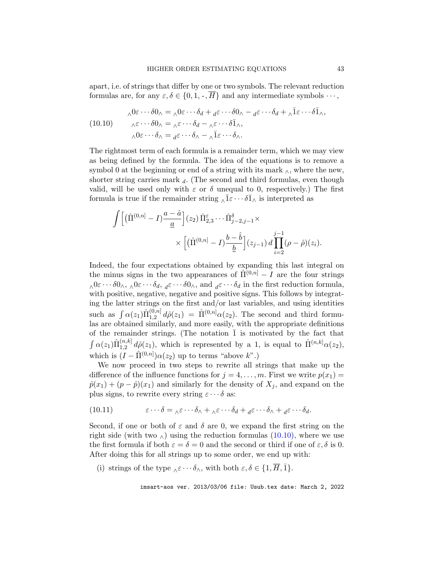apart, i.e. of strings that differ by one or two symbols. The relevant reduction formulas are, for any  $\varepsilon, \delta \in \{0, 1, \cdot, \overline{H}\}\$ and any intermediate symbols  $\cdots$ ,

<span id="page-42-0"></span>(10.10) 
$$
\begin{aligned}\n\wedge 0 &\varepsilon \cdots \delta 0_{\wedge} = \wedge 0 \varepsilon \cdots \delta_d + d \varepsilon \cdots \delta 0_{\wedge} - d \varepsilon \cdots \delta_d + \wedge \bar{1} \varepsilon \cdots \delta \bar{1}_{\wedge}, \\
\wedge \varepsilon \cdots \delta 0_{\wedge} &= \wedge \varepsilon \cdots \delta_d - \wedge \varepsilon \cdots \delta \bar{1}_{\wedge}, \\
\wedge 0 &\varepsilon \cdots \delta_{\wedge} = d \varepsilon \cdots \delta_{\wedge} - \wedge \bar{1} \varepsilon \cdots \delta_{\wedge}.\n\end{aligned}
$$

The rightmost term of each formula is a remainder term, which we may view as being defined by the formula. The idea of the equations is to remove a symbol 0 at the beginning or end of a string with its mark  $\wedge$ , where the new, shorter string carries mark  $_d$ . (The second and third formulas, even though valid, will be used only with  $\varepsilon$  or  $\delta$  unequal to 0, respectively.) The first formula is true if the remainder string  $\alpha \bar{1} \varepsilon \cdots \delta \bar{1} \alpha$  is interpreted as

$$
\int \left[ \left( \hat{\Pi}^{(0,n]} - I \right) \frac{a - \hat{a}}{\underline{a}} \right] (z_2) \, \hat{\Pi}_{2,3}^{\varepsilon} \cdots \hat{\Pi}_{j-2,j-1}^{\delta} \times \left[ \left( \hat{\Pi}^{(0,n]} - I \right) \frac{b - \hat{b}}{\underline{b}} \right] (z_{j-1}) \, d \prod_{i=2}^{j-1} (\rho - \hat{\rho})(z_i).
$$

Indeed, the four expectations obtained by expanding this last integral on the minus signs in the two appearances of  $\hat{\Pi}^{(0,n]} - I$  are the four strings  $\lambda^{0\varepsilon\cdots\delta0\lambda}$ ,  $\lambda^{0\varepsilon\cdots\delta d}$ ,  $d\varepsilon^{0\cdots\delta0\lambda}$ , and  $d\varepsilon^{0\cdots\delta}$  in the first reduction formula, with positive, negative, negative and positive signs. This follows by integrating the latter strings on the first and/or last variables, and using identities such as  $\int \alpha(z_1) \hat{\Pi}_{1,2}^{(0,n]}$  $\hat{\Pi}_{1,2}^{(0,n]} d\hat{\rho}(z_1) = \hat{\Pi}^{(0,n]} \alpha(z_2)$ . The second and third formulas are obtained similarly, and more easily, with the appropriate definitions of the remainder strings. (The notation  $\overline{1}$  is motivated by the fact that  $\int \alpha(z_1) \hat{\Pi}_{1.2}^{(n,k]}$  $\hat{\Pi}_{1,2}^{(n,k]} d\hat{\rho}(z_1)$ , which is represented by a 1, is equal to  $\hat{\Pi}^{(n,k]} \alpha(z_2)$ , which is  $(I - \hat{\Pi}^{(0,n]}) \alpha(z_2)$  up to terms "above  $k$ ".)

We now proceed in two steps to rewrite all strings that make up the difference of the influence functions for  $j = 4, \ldots, m$ . First we write  $p(x_1) =$  $\hat{p}(x_1) + (p - \hat{p})(x_1)$  and similarly for the density of  $X_i$ , and expand on the plus signs, to rewrite every string  $\varepsilon \cdots \delta$  as:

<span id="page-42-1"></span>(10.11) 
$$
\varepsilon \cdots \delta = {}_{\wedge} \varepsilon \cdots \delta_{\wedge} + {}_{\wedge} \varepsilon \cdots \delta_d + {}_{d} \varepsilon \cdots \delta_{\wedge} + {}_{d} \varepsilon \cdots \delta_d.
$$

Second, if one or both of  $\varepsilon$  and  $\delta$  are 0, we expand the first string on the right side (with two  $\lambda$ ) using the reduction formulas [\(10.10\)](#page-42-0), where we use the first formula if both  $\varepsilon = \delta = 0$  and the second or third if one of  $\varepsilon, \delta$  is 0. After doing this for all strings up to some order, we end up with:

(i) strings of the type  $\Delta \varepsilon \cdots \delta_{\Delta}$ , with both  $\varepsilon, \delta \in \{1, \overline{H}, \overline{1}\}.$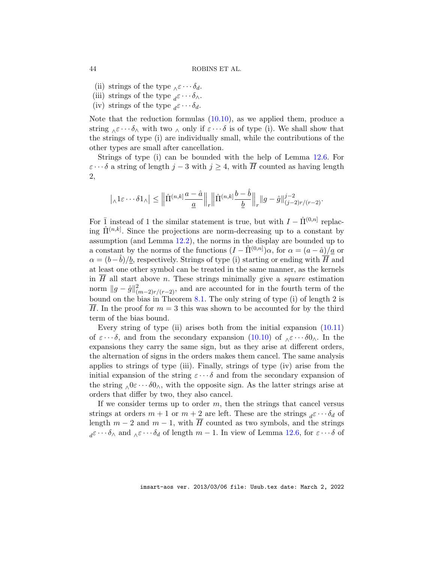- (ii) strings of the type  $\lambda \varepsilon \cdots \delta_d$ .
- (iii) strings of the type  ${}_{d} \varepsilon \cdots \delta_{\wedge}$ .
- (iv) strings of the type  ${}_{d} \varepsilon \cdots \delta_{d}$ .

Note that the reduction formulas [\(10.10\)](#page-42-0), as we applied them, produce a string  $\delta \in \cdots \delta$  with two  $\delta$  only if  $\varepsilon \cdots \delta$  is of type (i). We shall show that the strings of type (i) are individually small, while the contributions of the other types are small after cancellation.

Strings of type (i) can be bounded with the help of Lemma [12.6.](#page-50-0) For  $\varepsilon \cdots \delta$  a string of length j – 3 with j  $\geq 4$ , with  $\overline{H}$  counted as having length 2,

$$
\left| {}_{\wedge}1\varepsilon\cdots\delta 1_{\wedge}\right|\leq \Big\|\hat\Pi^{(n,k)}\frac{a-\hat a}{\underline a}\Big\|_r \Big\|\hat\Pi^{(n,k)}\frac{b-\hat b}{\underline b}\Big\|_r \|g-\hat g\|^{j-2}_{(j-2)r/(r-2)}.
$$

For  $\bar{1}$  instead of 1 the similar statement is true, but with  $I - \hat{\Pi}^{(0,n)}$  replacing  $\hat{\Pi}^{(n,k]}$ . Since the projections are norm-decreasing up to a constant by assumption (and Lemma [12.2\)](#page-48-1), the norms in the display are bounded up to a constant by the norms of the functions  $(I - \hat{\Pi}^{(0,n]})\alpha$ , for  $\alpha = (a - \hat{a})/\underline{a}$  or  $\alpha = (b - \hat{b})/b$ , respectively. Strings of type (i) starting or ending with  $\overline{H}$  and at least one other symbol can be treated in the same manner, as the kernels in  $H$  all start above *n*. These strings minimally give a *square* estimation norm  $||g - \hat{g}||_{(m-2)r/(r-2)}^2$ , and are accounted for in the fourth term of the bound on the bias in Theorem [8.1.](#page-23-0) The only string of type (i) of length 2 is  $\overline{H}$ . In the proof for  $m=3$  this was shown to be accounted for by the third term of the bias bound.

Every string of type (ii) arises both from the initial expansion [\(10.11\)](#page-42-1) of  $\varepsilon \cdots \delta$ , and from the secondary expansion [\(10.10\)](#page-42-0) of  $\delta \varepsilon \cdots \delta \delta$ . In the expansions they carry the same sign, but as they arise at different orders, the alternation of signs in the orders makes them cancel. The same analysis applies to strings of type (iii). Finally, strings of type (iv) arise from the initial expansion of the string  $\varepsilon \cdots \delta$  and from the secondary expansion of the string  $\Delta 0 \varepsilon \cdots \delta 0$ , with the opposite sign. As the latter strings arise at orders that differ by two, they also cancel.

If we consider terms up to order  $m$ , then the strings that cancel versus strings at orders  $m + 1$  or  $m + 2$  are left. These are the strings  ${}_{d} \varepsilon \cdots \delta_{d}$  of length  $m-2$  and  $m-1$ , with  $\overline{H}$  counted as two symbols, and the strings  $d^{\varepsilon \cdots \delta_{\Lambda}}$  and  $\Lambda^{\varepsilon \cdots \delta}d$  of length  $m-1$ . In view of Lemma [12.6,](#page-50-0) for  $\varepsilon \cdots \delta$  of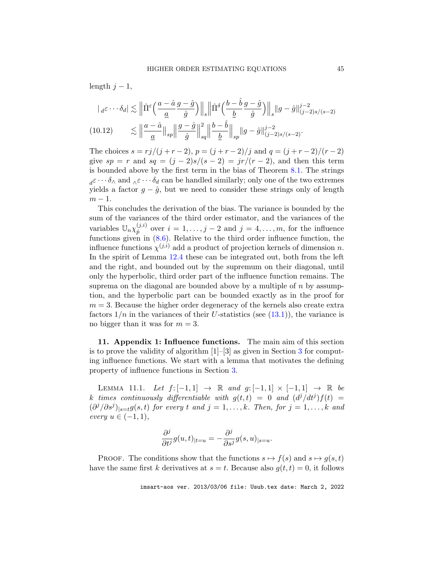length  $j - 1$ ,

<span id="page-44-2"></span>
$$
\begin{split} | \, & |_{d} \varepsilon \cdots \delta_d | \lesssim \Big\| \hat{\Pi}^{\varepsilon} \Big( \frac{a - \hat{a}}{\underline{a}} \frac{g - \hat{g}}{\hat{g}} \Big) \Big\|_s \Big\| \hat{\Pi}^{\delta} \Big( \frac{b - \hat{b}}{\underline{b}} \frac{g - \hat{g}}{\hat{g}} \Big) \Big\|_s \| g - \hat{g} \|_{(j-2)s/(s-2)}^{j-2} \\ & \lesssim \Big\| \frac{a - \hat{a}}{\underline{a}} \Big\|_{sp} \Big\| \frac{g - \hat{g}}{\hat{g}} \Big\|_{sq}^2 \Big\| \frac{b - \hat{b}}{\underline{b}} \Big\|_{sp} \| g - \hat{g} \|_{(j-2)s/(s-2)}^{j-2} . \end{split}
$$

The choices  $s = rj/(j + r - 2)$ ,  $p = (j + r - 2)/j$  and  $q = (j + r - 2)/(r - 2)$ give  $sp = r$  and  $sq = (j - 2)s/(s - 2) = jr/(r - 2)$ , and then this term is bounded above by the first term in the bias of Theorem [8.1.](#page-23-0) The strings  $d\varepsilon \cdots \delta_{\Lambda}$  and  $\Lambda \varepsilon \cdots \delta_d$  can be handled similarly; only one of the two extremes yields a factor  $g - \hat{g}$ , but we need to consider these strings only of length  $m-1$ .

This concludes the derivation of the bias. The variance is bounded by the sum of the variances of the third order estimator, and the variances of the variables  $\mathbb{U}_n \chi_{\hat{p}}^{(j,i)}$  $p_i^{(j,i)}$  over  $i = 1, \ldots, j-2$  and  $j = 4, \ldots, m$ , for the influence functions given in [\(8.6\)](#page-22-1). Relative to the third order influence function, the influence functions  $\chi^{(j,i)}$  add a product of projection kernels of dimension n. In the spirit of Lemma [12.4](#page-49-2) these can be integrated out, both from the left and the right, and bounded out by the supremum on their diagonal, until only the hyperbolic, third order part of the influence function remains. The suprema on the diagonal are bounded above by a multiple of  $n$  by assumption, and the hyperbolic part can be bounded exactly as in the proof for  $m = 3$ . Because the higher order degeneracy of the kernels also create extra factors  $1/n$  in the variances of their U-statistics (see  $(13.1)$ ), the variance is no bigger than it was for  $m = 3$ .

<span id="page-44-0"></span>11. Appendix 1: Influence functions. The main aim of this section is to prove the validity of algorithm  $[1]-[3]$  $[1]-[3]$  $[1]-[3]$  as given in Section 3 for computing influence functions. We start with a lemma that motivates the defining property of influence functions in Section [3.](#page-4-0)

<span id="page-44-1"></span>LEMMA 11.1. Let  $f: [-1,1] \rightarrow \mathbb{R}$  and  $g: [-1,1] \times [-1,1] \rightarrow \mathbb{R}$  be k times continuously differentiable with  $g(t,t) = 0$  and  $(d^{j}/dt^{j})f(t) =$  $(\partial^{j}/\partial s^{j})_{|s=t}g(s,t)$  for every t and  $j=1,\ldots,k$ . Then, for  $j=1,\ldots,k$  and every  $u \in (-1,1)$ ,

$$
\frac{\partial^j}{\partial t^j} g(u,t)_{|t=u} = -\frac{\partial^j}{\partial s^j} g(s,u)_{|s=u}.
$$

PROOF. The conditions show that the functions  $s \mapsto f(s)$  and  $s \mapsto g(s, t)$ have the same first k derivatives at  $s = t$ . Because also  $q(t, t) = 0$ , it follows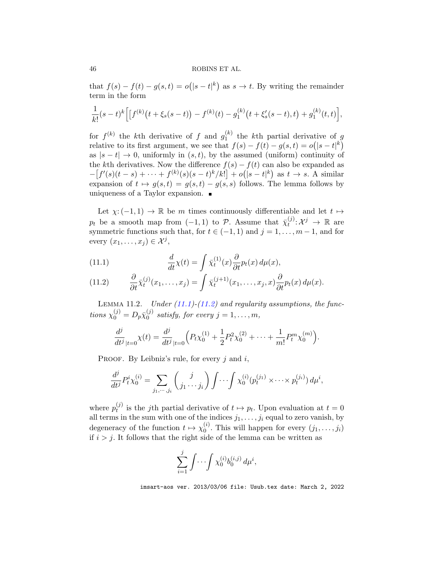that  $f(s) - f(t) - g(s,t) = o(|s - t|^k)$  as  $s \to t$ . By writing the remainder term in the form

$$
\frac{1}{k!}(s-t)^k \Big[ \big[f^{(k)}(t+\xi_s(s-t)) - f^{(k)}(t) - g_1^{(k)}(t+\xi'_s(s-t),t) + g_1^{(k)}(t,t) \Big],
$$

for  $f^{(k)}$  the kth derivative of f and  $g_1^{(k)}$  $t_1^{(k)}$  the k<sup>th</sup> partial derivative of g relative to its first argument, we see that  $f(s) - f(t) - g(s, t) = o(|s - t|^k)$ as  $|s-t|\to 0$ , uniformly in  $(s,t)$ , by the assumed (uniform) continuity of the kth derivatives. Now the difference  $f(s) - f(t)$  can also be expanded as  $-[f'(s)(t-s) + \cdots + f^{(k)}(s)(s-t)^k/k!] + o(|s-t|^k)$  as  $t \to s$ . A similar expansion of  $t \mapsto g(s, t) = g(s, t) - g(s, s)$  follows. The lemma follows by uniqueness of a Taylor expansion.

Let  $\chi: (-1,1) \to \mathbb{R}$  be m times continuously differentiable and let  $t \mapsto$  $p_t$  be a smooth map from  $(-1, 1)$  to  $\mathcal{P}$ . Assume that  $\bar{\chi}_t^{(j)}$  $t^{(j)}: \mathcal{X}^j \rightarrow \mathbb{R}$  are symmetric functions such that, for  $t \in (-1, 1)$  and  $j = 1, \ldots, m - 1$ , and for every  $(x_1, \ldots, x_j) \in \mathcal{X}^j$ ,

<span id="page-45-1"></span>(11.1) 
$$
\frac{d}{dt}\chi(t) = \int \bar{\chi}_t^{(1)}(x)\frac{\partial}{\partial t}p_t(x)\,d\mu(x),
$$

<span id="page-45-2"></span>(11.2) 
$$
\frac{\partial}{\partial t}\bar{\chi}_t^{(j)}(x_1,\ldots,x_j) = \int \bar{\chi}_t^{(j+1)}(x_1,\ldots,x_j,x) \frac{\partial}{\partial t}p_t(x) d\mu(x).
$$

<span id="page-45-0"></span>LEMMA 11.2. Under  $(11.1)-(11.2)$  $(11.1)-(11.2)$  $(11.1)-(11.2)$  and regularity assumptions, the functions  $\chi_0^{(j)} = D_p \bar{\chi}_0^{(j)}$  $_0^{(j)}$  satisfy, for every  $j = 1, \ldots, m$ ,

$$
\frac{d^j}{dt^j}_{|t=0} \chi(t) = \frac{d^j}{dt^j}_{|t=0} \Big( P_t \chi_0^{(1)} + \frac{1}{2} P_t^2 \chi_0^{(2)} + \dots + \frac{1}{m!} P_t^m \chi_0^{(m)} \Big).
$$

PROOF. By Leibniz's rule, for every  $j$  and  $i$ ,

$$
\frac{d^j}{dt^j} P_t^i \chi_0^{(i)} = \sum_{j_1, \dots, j_i} \binom{j}{j_1 \dots j_i} \int \dots \int \chi_0^{(i)} (p_t^{(j_1)} \times \dots \times p_t^{(j_i)}) d\mu^i,
$$

where  $p_t^{(j)}$  $t_t^{(j)}$  is the jth partial derivative of  $t \mapsto p_t$ . Upon evaluation at  $t = 0$ all terms in the sum with one of the indices  $j_1, \ldots, j_i$  equal to zero vanish, by degeneracy of the function  $t \mapsto \chi_0^{(i)}$  $\binom{v}{0}$ . This will happen for every  $(j_1, \ldots, j_i)$ if  $i > j$ . It follows that the right side of the lemma can be written as

$$
\sum_{i=1}^{j} \int \cdots \int \chi_0^{(i)} b_0^{(i,j)} d\mu^i,
$$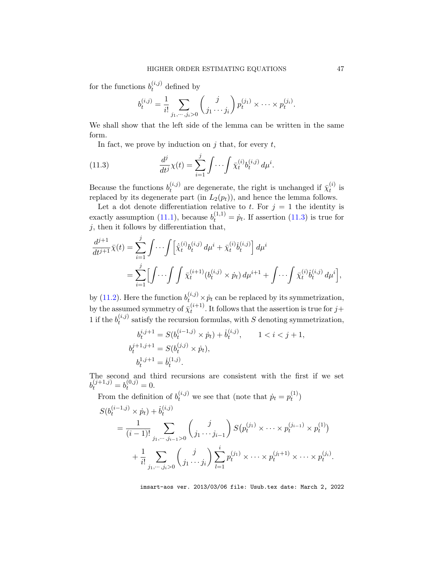for the functions  $b_t^{(i,j)}$  defined by

$$
b_t^{(i,j)} = \frac{1}{i!} \sum_{j_1, \dots, j_i > 0} {j \choose j_1 \dots j_i} p_t^{(j_1)} \times \dots \times p_t^{(j_i)}.
$$

We shall show that the left side of the lemma can be written in the same form.

<span id="page-46-0"></span>In fact, we prove by induction on  $j$  that, for every  $t$ ,

(11.3) 
$$
\frac{d^j}{dt^j} \chi(t) = \sum_{i=1}^j \int \cdots \int \bar{\chi}_t^{(i)} b_t^{(i,j)} d\mu^i.
$$

Because the functions  $b_t^{(i,j)}$  $t_t^{(i,j)}$  are degenerate, the right is unchanged if  $\bar{\chi}_t^{(i)}$  $t^{(i)}$  is replaced by its degenerate part (in  $L_2(p_t)$ ), and hence the lemma follows.

Let a dot denote differentiation relative to t. For  $j = 1$  the identity is exactly assumption [\(11.1\)](#page-45-1), because  $b_t^{(1,1)} = \dot{p}_t$ . If assertion [\(11.3\)](#page-46-0) is true for  $j$ , then it follows by differentiation that,

$$
\frac{d^{j+1}}{dt^{j+1}}\bar{\chi}(t) = \sum_{i=1}^{j} \int \cdots \int \left[ \dot{\bar{\chi}}_{t}^{(i)} b_{t}^{(i,j)} d\mu^{i} + \bar{\chi}_{t}^{(i)} \dot{b}_{t}^{(i,j)} \right] d\mu^{i} \n= \sum_{i=1}^{j} \left[ \int \cdots \int \int \bar{\chi}_{t}^{(i+1)} (b_{t}^{(i,j)} \times \dot{p}_{t}) d\mu^{i+1} + \int \cdots \int \bar{\chi}_{t}^{(i)} \dot{b}_{t}^{(i,j)} d\mu^{i} \right],
$$

by [\(11.2\)](#page-45-2). Here the function  $b_{t}^{(i,j)} \times \dot{p}_t$  can be replaced by its symmetrization, by the assumed symmetry of  $\bar{\chi}^{(i+1)}_t$  $t^{(i+1)}$ . It follows that the assertion is true for  $j+1$ 1 if the  $b_t^{(i,j)}$  $t_t^{(i,j)}$  satisfy the recursion formulas, with S denoting symmetrization,

$$
b_t^{i,j+1} = S(b_t^{(i-1,j)} \times \dot{p}_t) + \dot{b}_t^{(i,j)}, \qquad 1 < i < j+1,
$$
  
\n
$$
b_t^{j+1,j+1} = S(b_t^{(j,j)} \times \dot{p}_t),
$$
  
\n
$$
b_t^{1,j+1} = \dot{b}_t^{(1,j)}.
$$

The second and third recursions are consistent with the first if we set  $b_t^{(j+1,j)} = b_t^{(0,j)} = 0.$ 

From the definition of  $b_t^{(i,j)}$  we see that (note that  $\dot{p}_t = p_t^{(1)}$ )  $t^{(1)}$ 

$$
S(b_t^{(i-1,j)} \times \dot{p}_t) + \dot{b}_t^{(i,j)}
$$
  
=  $\frac{1}{(i-1)!} \sum_{j_1, \dots, j_{i-1} > 0} {j \choose j_1 \dots j_{i-1}} S(p_t^{(j_1)} \times \dots \times p_t^{(j_{i-1})} \times p_t^{(1)})$   
+  $\frac{1}{i!} \sum_{j_1, \dots, j_i > 0} {j \choose j_1 \dots j_i} \sum_{l=1}^i p_t^{(j_1)} \times \dots \times p_t^{(j_t+1)} \times \dots \times p_t^{(j_i)}.$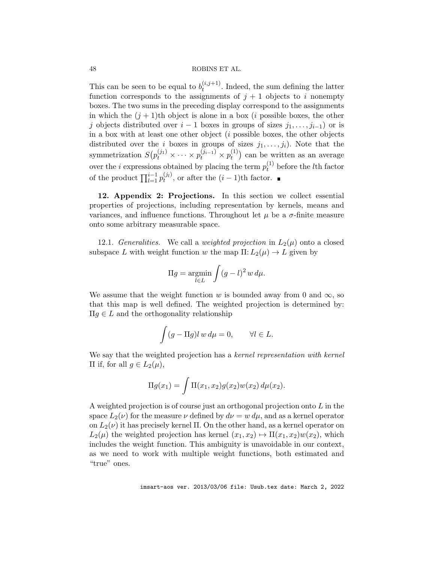This can be seen to be equal to  $b_t^{(i,j+1)}$  $t_t^{(i,j+1)}$ . Indeed, the sum defining the latter function corresponds to the assignments of  $j + 1$  objects to i nonempty boxes. The two sums in the preceding display correspond to the assignments in which the  $(j + 1)$ th object is alone in a box (*i* possible boxes, the other j objects distributed over  $i - 1$  boxes in groups of sizes  $j_1, \ldots, j_{i-1}$  or is in a box with at least one other object  $(i$  possible boxes, the other objects distributed over the i boxes in groups of sizes  $j_1, \ldots, j_i$ . Note that the symmetrization  $S(p_t^{(j_1)} \times \cdots \times p_t^{(j_{i-1})} \times p_t^{(1)})$  $t_t^{(1)}$  can be written as an average over the *i* expressions obtained by placing the term  $p_t^{(1)}$  before the *l*th factor of the product  $\prod_{l=1}^{i-1} p_t^{(j_l)}$ , or after the  $(i-1)$ th factor.

<span id="page-47-0"></span>12. Appendix 2: Projections. In this section we collect essential properties of projections, including representation by kernels, means and variances, and influence functions. Throughout let  $\mu$  be a  $\sigma$ -finite measure onto some arbitrary measurable space.

12.1. Generalities. We call a weighted projection in  $L_2(\mu)$  onto a closed subspace L with weight function w the map  $\Pi: L_2(\mu) \to L$  given by

$$
\Pi g = \underset{l \in L}{\text{argmin}} \int (g - l)^2 w \, d\mu.
$$

We assume that the weight function w is bounded away from 0 and  $\infty$ , so that this map is well defined. The weighted projection is determined by:  $\Pi g \in L$  and the orthogonality relationship

$$
\int (g - \Pi g) l w d\mu = 0, \qquad \forall l \in L.
$$

We say that the weighted projection has a kernel representation with kernel  $\Pi$  if, for all *g* ∈  $L_2(\mu)$ ,

$$
\Pi g(x_1) = \int \Pi(x_1, x_2) g(x_2) w(x_2) d\mu(x_2).
$$

A weighted projection is of course just an orthogonal projection onto  $L$  in the space  $L_2(\nu)$  for the measure  $\nu$  defined by  $d\nu = w d\mu$ , and as a kernel operator on  $L_2(\nu)$  it has precisely kernel  $\Pi$ . On the other hand, as a kernel operator on  $L_2(\mu)$  the weighted projection has kernel  $(x_1, x_2) \mapsto \Pi(x_1, x_2)w(x_2)$ , which includes the weight function. This ambiguity is unavoidable in our context, as we need to work with multiple weight functions, both estimated and "true" ones.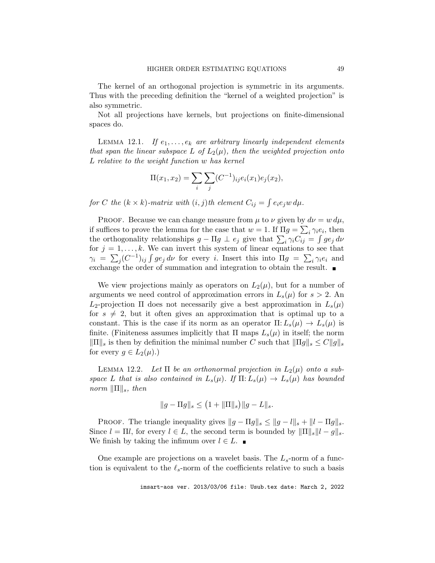The kernel of an orthogonal projection is symmetric in its arguments. Thus with the preceding definition the "kernel of a weighted projection" is also symmetric.

Not all projections have kernels, but projections on finite-dimensional spaces do.

<span id="page-48-0"></span>LEMMA 12.1. If  $e_1, \ldots, e_k$  are arbitrary linearly independent elements that span the linear subspace L of  $L_2(\mu)$ , then the weighted projection onto L relative to the weight function w has kernel

$$
\Pi(x_1, x_2) = \sum_i \sum_j (C^{-1})_{ij} e_i(x_1) e_j(x_2),
$$

for C the  $(k \times k)$ -matrix with  $(i, j)$ th element  $C_{ij} = \int e_i e_j w d\mu$ .

PROOF. Because we can change measure from  $\mu$  to  $\nu$  given by  $d\nu = w d\mu$ , if suffices to prove the lemma for the case that  $w = 1$ . If  $\Pi g = \sum_i \gamma_i e_i$ , then the orthogonality relationships  $g - \Pi g \perp e_j$  give that  $\sum_i \gamma_i C_{ij} = \int g e_j d\nu$ for  $j = 1, \ldots, k$ . We can invert this system of linear equations to see that  $\gamma_i = \sum_j (C^{-1})_{ij} \int g e_j d\nu$  for every i. Insert this into  $\Pi g = \sum_i \gamma_i e_i$  and exchange the order of summation and integration to obtain the result.

We view projections mainly as operators on  $L_2(\mu)$ , but for a number of arguments we need control of approximation errors in  $L_s(\mu)$  for  $s > 2$ . An  $L_2$ -projection  $\Pi$  does not necessarily give a best approximation in  $L_s(\mu)$ for  $s \neq 2$ , but it often gives an approximation that is optimal up to a constant. This is the case if its norm as an operator  $\Pi: L_s(\mu) \to L_s(\mu)$  is finite. (Finiteness assumes implicitly that  $\Pi$  maps  $L_s(\mu)$  in itself; the norm  $\|\Pi\|_{s}$  is then by definition the minimal number C such that  $\|\Pi g\|_{s} \leq C\|g\|_{s}$ for every  $g \in L_2(\mu)$ .)

<span id="page-48-1"></span>LEMMA 12.2. Let  $\Pi$  be an orthonormal projection in  $L_2(\mu)$  onto a subspace L that is also contained in  $L_s(\mu)$ . If  $\Pi: L_s(\mu) \to L_s(\mu)$  has bounded norm  $\|\Pi\|_s$ , then

$$
\|g-\Pi g\|_s \leq \big(1+\|\Pi\|_s\big)\|g-L\|_s.
$$

PROOF. The triangle inequality gives  $||g - \Pi g||_s \le ||g - l||_s + ||l - \Pi g||_s$ . Since  $l = \Pi l$ , for every  $l \in L$ , the second term is bounded by  $\|\Pi\|_s \|l - g\|_s$ . We finish by taking the infimum over  $l \in L$ .

One example are projections on a wavelet basis. The  $L_s$ -norm of a function is equivalent to the  $\ell_s$ -norm of the coefficients relative to such a basis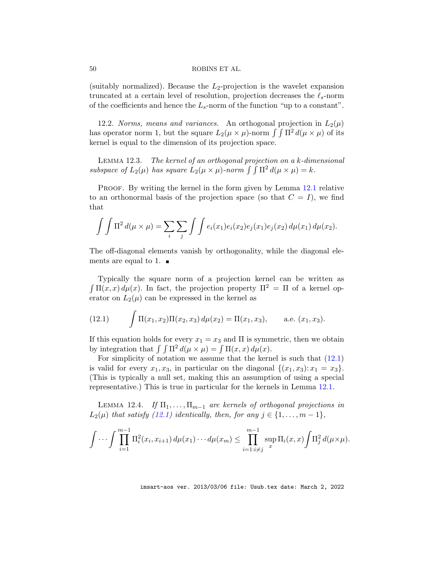(suitably normalized). Because the  $L_2$ -projection is the wavelet expansion truncated at a certain level of resolution, projection decreases the  $\ell_s$ -norm of the coefficients and hence the  $L_s$ -norm of the function "up to a constant".

12.2. Norms, means and variances. An orthogonal projection in  $L_2(\mu)$ has operator norm 1, but the square  $L_2(\mu \times \mu)$ -norm  $\int \int \Pi^2 d(\mu \times \mu)$  of its kernel is equal to the dimension of its projection space.

<span id="page-49-1"></span>Lemma 12.3. The kernel of an orthogonal projection on a k-dimensional subspace of  $L_2(\mu)$  has square  $L_2(\mu \times \mu)$ -norm  $\int \int \Pi^2 d(\mu \times \mu) = k$ .

PROOF. By writing the kernel in the form given by Lemma [12.1](#page-48-0) relative to an orthonormal basis of the projection space (so that  $C = I$ ), we find that

$$
\int \int \Pi^2 d(\mu \times \mu) = \sum_i \sum_j \int \int e_i(x_1) e_i(x_2) e_j(x_1) e_j(x_2) d\mu(x_1) d\mu(x_2).
$$

The off-diagonal elements vanish by orthogonality, while the diagonal elements are equal to 1.  $\blacksquare$ 

Typically the square norm of a projection kernel can be written as  $\int \Pi(x, x) d\mu(x)$ . In fact, the projection property  $\Pi^2 = \Pi$  of a kernel operator on  $L_2(\mu)$  can be expressed in the kernel as

<span id="page-49-0"></span>(12.1) 
$$
\int \Pi(x_1, x_2) \Pi(x_2, x_3) d\mu(x_2) = \Pi(x_1, x_3), \quad \text{a.e. } (x_1, x_3).
$$

If this equation holds for every  $x_1 = x_3$  and  $\Pi$  is symmetric, then we obtain by integration that  $\int \int \Pi^2 d(\mu \times \mu) = \int \Pi(x, x) d\mu(x)$ .

For simplicity of notation we assume that the kernel is such that [\(12.1\)](#page-49-0) is valid for every  $x_1, x_3$ , in particular on the diagonal  $\{(x_1, x_3): x_1 = x_3\}.$ (This is typically a null set, making this an assumption of using a special representative.) This is true in particular for the kernels in Lemma [12.1.](#page-48-0)

<span id="page-49-2"></span>LEMMA 12.4. If  $\Pi_1, \ldots, \Pi_{m-1}$  are kernels of orthogonal projections in  $L_2(\mu)$  that satisfy [\(12.1\)](#page-49-0) identically, then, for any  $j \in \{1, \ldots, m-1\}$ ,

$$
\int \cdots \int \prod_{i=1}^{m-1} \Pi_i^2(x_i, x_{i+1}) d\mu(x_1) \cdots d\mu(x_m) \leq \prod_{i=1 : i \neq j}^{m-1} \sup_x \Pi_i(x, x) \int \Pi_j^2 d(\mu \times \mu).
$$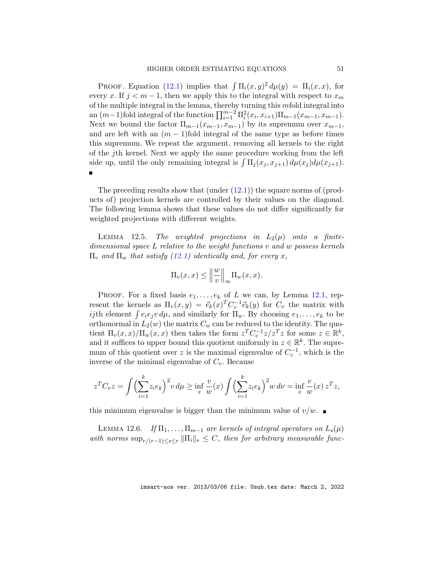PROOF. Equation [\(12.1\)](#page-49-0) implies that  $\int \Pi_i(x, y)^2 d\mu(y) = \Pi_i(x, x)$ , for every x. If  $j < m-1$ , then we apply this to the integral with respect to  $x_m$ of the multiple integral in the lemma, thereby turning this mfold integral into an  $(m-1)$  fold integral of the function  $\prod_{i=1}^{m-2} \prod_{i}^{2} (x_i, x_{i+1}) \prod_{m-1} (x_{m-1}, x_{m-1})$ . Next we bound the factor  $\Pi_{m-1}(x_{m-1}, x_{m-1})$  by its supremum over  $x_{m-1}$ , and are left with an  $(m - 1)$ fold integral of the same type as before times this supremum. We repeat the argument, removing all kernels to the right of the jth kernel. Next we apply the same procedure working from the left side up, until the only remaining integral is  $\int \Pi_j(x_j, x_{j+1}) d\mu(x_j) d\mu(x_{j+1})$ .

The preceding results show that  $(under (12.1))$  $(under (12.1))$  $(under (12.1))$  the square norms of  $(prod$ ucts of) projection kernels are controlled by their values on the diagonal. The following lemma shows that these values do not differ significantly for weighted projections with different weights.

<span id="page-50-1"></span>LEMMA 12.5. The weighted projections in  $L_2(\mu)$  onto a finitedimensional space L relative to the weight functions v and w possess kernels  $\Pi_{v}$  and  $\Pi_{w}$  that satisfy [\(12.1\)](#page-49-0) identically and, for every x,

$$
\Pi_v(x,x) \le \left\|\frac{w}{v}\right\|_{\infty} \Pi_w(x,x).
$$

PROOF. For a fixed basis  $e_1, \ldots, e_k$  of L we can, by Lemma [12.1,](#page-48-0) represent the kernels as  $\Pi_v(x, y) = \vec{e}_k(x)^T C_v^{-1} \vec{e}_k(y)$  for  $C_v$  the matrix with *ij*th element  $\int e_i e_j v d\mu$ , and similarly for  $\Pi_w$ . By choosing  $e_1, \ldots, e_k$  to be orthonormal in  $L_2(w)$  the matrix  $C_w$  can be reduced to the identity. The quotient  $\Pi_v(x,x)/\Pi_w(x,x)$  then takes the form  $z^T C_v^{-1} z/z^T z$  for some  $z \in \mathbb{R}^k$ , and it suffices to upper bound this quotient uniformly in  $z \in \mathbb{R}^k$ . The supremum of this quotient over z is the maximal eigenvalue of  $C_v^{-1}$ , which is the inverse of the minimal eigenvalue of  $C_v$ . Because

$$
z^{T}C_{v}z = \int \left(\sum_{i=1}^{k} z_{i}e_{k}\right)^{2} v d\mu \ge \inf_{x} \frac{v}{w}(x) \int \left(\sum_{i=1}^{k} z_{i}e_{k}\right)^{2} w d\nu = \inf_{x} \frac{v}{w}(x) z^{T}z,
$$

this minimum eigenvalue is bigger than the minimum value of  $v/w$ .

<span id="page-50-0"></span>LEMMA 12.6. If  $\Pi_1, \ldots, \Pi_{m-1}$  are kernels of integral operators on  $L_s(\mu)$ with norms  $\sup_{r/(r-1)\leq s\leq r} \|\Pi_i\|_s \leq C$ , then for arbitrary measurable func-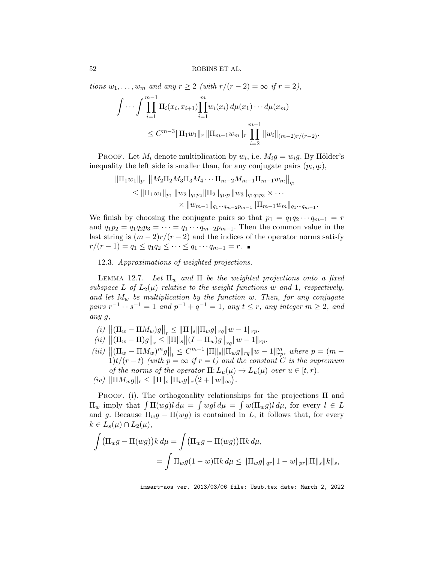tions  $w_1, \ldots, w_m$  and any  $r \geq 2$  (with  $r/(r-2) = \infty$  if  $r = 2$ ),

$$
\left| \int \cdots \int \prod_{i=1}^{m-1} \Pi_i(x_i, x_{i+1}) \prod_{i=1}^m w_i(x_i) d\mu(x_1) \cdots d\mu(x_m) \right|
$$
  
 
$$
\leq C^{m-3} \|\Pi_1 w_1\|_r \|\Pi_{m-1} w_m\|_r \prod_{i=2}^{m-1} \|w_i\|_{(m-2)r/(r-2)}.
$$

PROOF. Let  $M_i$  denote multiplication by  $w_i$ , i.e.  $M_i g = w_i g$ . By Hölder's inequality the left side is smaller than, for any conjugate pairs  $(p_i, q_i)$ ,

$$
\|\Pi_1 w_1\|_{p_1} \|M_2 \Pi_2 M_3 \Pi_3 M_4 \cdots \Pi_{m-2} M_{m-1} \Pi_{m-1} w_m\|_{q_1}
$$
  
\n
$$
\leq \|\Pi_1 w_1\|_{p_1} \|w_2\|_{q_1 p_2} \|\Pi_2\|_{q_1 q_2} \|w_3\|_{q_1 q_2 p_3} \times \cdots
$$
  
\n
$$
\times \|w_{m-1}\|_{q_1 \cdots q_{m-2} p_{m-1}} \|\Pi_{m-1} w_m\|_{q_1 \cdots q_{m-1}}.
$$

We finish by choosing the conjugate pairs so that  $p_1 = q_1 q_2 \cdots q_{m-1} = r$ and  $q_1p_2 = q_1q_2p_3 = \cdots = q_1 \cdots q_{m-2}p_{m-1}$ . Then the common value in the last string is  $(m-2)r/(r-2)$  and the indices of the operator norms satisfy  $r/(r-1) = q_1 \leq q_1 q_2 \leq \cdots \leq q_1 \cdots q_{m-1} = r.$ 

12.3. Approximations of weighted projections.

<span id="page-51-0"></span>LEMMA 12.7. Let  $\Pi_w$  and  $\Pi$  be the weighted projections onto a fixed subspace L of  $L_2(\mu)$  relative to the weight functions w and 1, respectively, and let  $M_w$  be multiplication by the function w. Then, for any conjugate  $pairs r^{-1} + s^{-1} = 1 and p^{-1} + q^{-1} = 1, any t \leq r, any integer m \geq 2, and$ any g,

- (i)  $\left\| (\Pi_w \Pi M_w)g \right\|_r \leq \|\Pi\|_s \|\Pi_w g\|_r q \|w 1\|_{rp}.$
- (*ii*)  $\|( \Pi_w \Pi)g \|_r \leq \| \Pi \|_s \| (I \Pi_w)g \|_{rq} \| w 1 \|_{rp}.$
- (iii)  $\left\| (\Pi_w \Pi M_w)^m g \right\|_t \leq C^{m-1} \|\Pi\|_s \|\Pi_w g\|_r q \|w 1\|_{rp}^m$ , where  $p = (m 1)$  $1)t/(r-t)$  (with  $p = \infty$  if  $r = t$ ) and the constant C is the supremum of the norms of the operator  $\Pi: L_u(\mu) \to L_u(\mu)$  over  $u \in [t, r)$ .
- $(iv)$   $\|\Pi M_w g\|_r \leq \|\Pi\|_s \|\Pi_w g\|_r (2 + \|w\|_{\infty}).$

PROOF. (i). The orthogonality relationships for the projections  $\Pi$  and  $\Pi_w$  imply that  $\int \Pi(wg)l d\mu = \int wgl d\mu = \int w(\Pi_w g)l d\mu$ , for every  $l \in L$ and g. Because  $\Pi_w g - \Pi(wg)$  is contained in L, it follows that, for every  $k \in L_s(\mu) \cap L_2(\mu),$ 

$$
\int (\Pi_w g - \Pi(wg)) k \, d\mu = \int (\Pi_w g - \Pi(wg)) \Pi k \, d\mu,
$$
  
= 
$$
\int \Pi_w g (1 - w) \Pi k \, d\mu \leq ||\Pi_w g||_{qr} ||1 - w||_{pr} ||\Pi||_s ||k||_s,
$$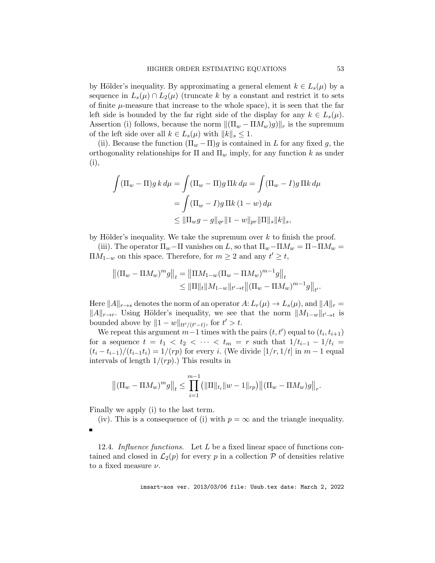by Hölder's inequality. By approximating a general element  $k \in L_s(\mu)$  by a sequence in  $L_s(\mu) \cap L_2(\mu)$  (truncate k by a constant and restrict it to sets of finite  $\mu$ -measure that increase to the whole space), it is seen that the far left side is bounded by the far right side of the display for any  $k \in L_s(\mu)$ . Assertion (i) follows, because the norm  $\|(\Pi_w - \Pi M_w)g\|_r$  is the supremum of the left side over all  $k \in L_s(\mu)$  with  $||k||_s \leq 1$ .

(ii). Because the function  $(\Pi_w - \Pi)g$  is contained in L for any fixed g, the orthogonality relationships for  $\Pi$  and  $\Pi_w$  imply, for any function k as under (i),

$$
\int (\Pi_w - \Pi) g k d\mu = \int (\Pi_w - \Pi) g \Pi k d\mu = \int (\Pi_w - I) g \Pi k d\mu
$$
  
= 
$$
\int (\Pi_w - I) g \Pi k (1 - w) d\mu
$$
  

$$
\leq ||\Pi_w g - g||_{qr} ||1 - w||_{pr} ||\Pi||_s ||k||_s,
$$

by Hölder's inequality. We take the supremum over  $k$  to finish the proof.

(iii). The operator  $\Pi_w$ –Π vanishes on L, so that  $\Pi_w$ – $\Pi M_w = \Pi - \Pi M_w =$  $\Pi M_{1-w}$  on this space. Therefore, for  $m \geq 2$  and any  $t' \geq t$ ,

$$
\begin{aligned} \left\| (\Pi_w - \Pi M_w)^m g \right\|_t &= \left\| \Pi M_{1-w} (\Pi_w - \Pi M_w)^{m-1} g \right\|_t \\ &\leq \|\Pi\|_t \| M_{1-w} \|_{t' \to t} \left\| (\Pi_w - \Pi M_w)^{m-1} g \right\|_{t'} . \end{aligned}
$$

Here  $||A||_{r\rightarrow s}$  denotes the norm of an operator  $A: L_r(\mu) \rightarrow L_s(\mu)$ , and  $||A||_r =$  $||A||_{r\rightarrow r}$ . Using Hölder's inequality, we see that the norm  $||M_{1-w}||_{t'\rightarrow t}$  is bounded above by  $||1 - w||_{tt'/(t'-t)}$ , for  $t' > t$ .

We repeat this argument  $m-1$  times with the pairs  $(t, t')$  equal to  $(t_i, t_{i+1})$ for a sequence  $t = t_1 < t_2 < \cdots < t_m = r$  such that  $1/t_{i-1} - 1/t_i =$  $(t_i - t_{i-1})/(t_{i-1}t_i) = 1/(rp)$  for every i. (We divide  $[1/r, 1/t]$  in  $m-1$  equal intervals of length  $1/(rp)$ .) This results in

$$
\left\|(\Pi_w - \Pi M_w)^m g\right\|_t \le \prod_{i=1}^{m-1} \left(\|\Pi\|_{t_i} \|w - 1\|_{rp}\right) \left\|(\Pi_w - \Pi M_w)g\right\|_r.
$$

Finally we apply (i) to the last term.

(iv). This is a consequence of (i) with  $p = \infty$  and the triangle inequality.  $\blacksquare$ 

12.4. Influence functions. Let  $L$  be a fixed linear space of functions contained and closed in  $\mathcal{L}_2(p)$  for every p in a collection  $\mathcal P$  of densities relative to a fixed measure  $\nu$ .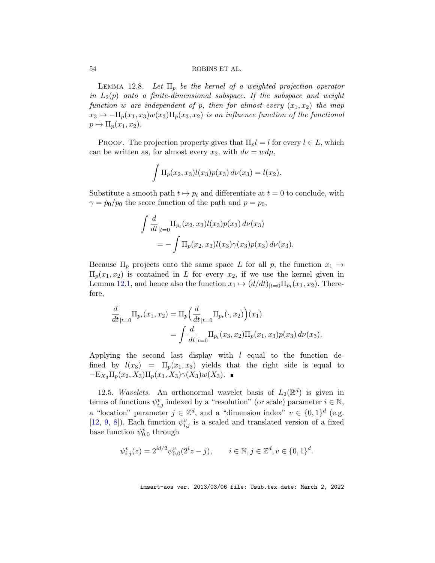<span id="page-53-0"></span>LEMMA 12.8. Let  $\Pi_p$  be the kernel of a weighted projection operator in  $L_2(p)$  onto a finite-dimensional subspace. If the subspace and weight function w are independent of p, then for almost every  $(x_1, x_2)$  the map  $x_3 \mapsto -\Pi_p(x_1, x_3)w(x_3)\Pi_p(x_3, x_2)$  is an influence function of the functional  $p \mapsto \Pi_p(x_1, x_2).$ 

PROOF. The projection property gives that  $\Pi_{p}l = l$  for every  $l \in L$ , which can be written as, for almost every  $x_2$ , with  $d\nu = w d\mu$ ,

$$
\int \Pi_p(x_2, x_3) l(x_3) p(x_3) d\nu(x_3) = l(x_2).
$$

Substitute a smooth path  $t \mapsto p_t$  and differentiate at  $t = 0$  to conclude, with  $\gamma = \dot{p}_0/p_0$  the score function of the path and  $p = p_0$ ,

$$
\int \frac{d}{dt}_{|t=0} \Pi_{p_t}(x_2, x_3) l(x_3) p(x_3) d\nu(x_3)
$$
  
= 
$$
- \int \Pi_p(x_2, x_3) l(x_3) \gamma(x_3) p(x_3) d\nu(x_3).
$$

Because  $\Pi_p$  projects onto the same space L for all p, the function  $x_1 \mapsto$  $\Pi_p(x_1, x_2)$  is contained in L for every  $x_2$ , if we use the kernel given in Lemma [12.1,](#page-48-0) and hence also the function  $x_1 \mapsto (d/dt)_{|t=0} \Pi_{p_t}(x_1, x_2)$ . Therefore,

$$
\frac{d}{dt}_{|t=0} \Pi_{p_t}(x_1, x_2) = \Pi_p \Big( \frac{d}{dt}_{|t=0} \Pi_{p_t}(\cdot, x_2) \Big) (x_1)
$$
\n
$$
= \int \frac{d}{dt}_{|t=0} \Pi_{p_t}(x_3, x_2) \Pi_p(x_1, x_3) p(x_3) d\nu(x_3).
$$

Applying the second last display with  $l$  equal to the function defined by  $l(x_3) = \Pi_p(x_1, x_3)$  yields that the right side is equal to  $-E_{X_3}\Pi_p(x_2, X_3)\Pi_p(x_1, X_3)\gamma(X_3)w(X_3).$ 

12.5. Wavelets. An orthonormal wavelet basis of  $L_2(\mathbb{R}^d)$  is given in terms of functions  $\psi_{i,j}^v$  indexed by a "resolution" (or scale) parameter  $i \in \mathbb{N}$ , a "location" parameter  $j \in \mathbb{Z}^d$ , and a "dimension index"  $v \in \{0,1\}^d$  (e.g. [\[12,](#page-37-16) [9,](#page-36-7) [8\]](#page-36-8)). Each function  $\psi_{i,j}^v$  is a scaled and translated version of a fixed base function  $\psi_{0,0}^v$  through

$$
\psi_{i,j}^v(z) = 2^{id/2} \psi_{0,0}^v(2^i z - j), \qquad i \in \mathbb{N}, j \in \mathbb{Z}^d, v \in \{0, 1\}^d.
$$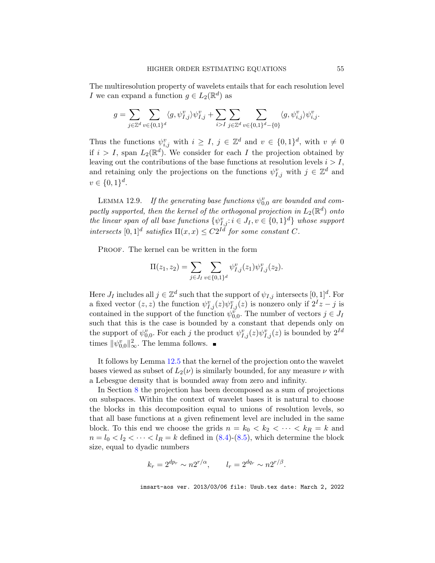The multiresolution property of wavelets entails that for each resolution level I we can expand a function  $g \in L_2(\mathbb{R}^d)$  as

$$
g=\sum_{j\in\mathbb{Z}^d}\sum_{v\in\{0,1\}^d}\langle g,\psi_{I,j}^v\rangle\psi_{I,j}^v+\sum_{i>I}\sum_{j\in\mathbb{Z}^d}\sum_{v\in\{0,1\}^d-\{0\}}\langle g,\psi_{i,j}^v\rangle\psi_{i,j}^v.
$$

Thus the functions  $\psi_{i,j}^v$  with  $i \geq I, j \in \mathbb{Z}^d$  and  $v \in \{0,1\}^d$ , with  $v \neq 0$ if  $i > I$ , span  $L_2(\mathbb{R}^d)$ . We consider for each I the projection obtained by leaving out the contributions of the base functions at resolution levels  $i > I$ , and retaining only the projections on the functions  $\psi_{I,j}^v$  with  $j \in \mathbb{Z}^d$  and  $v \in \{0, 1\}^d$ .

LEMMA 12.9. If the generating base functions  $\psi_{0,0}^v$  are bounded and compactly supported, then the kernel of the orthogonal projection in  $L_2(\mathbb{R}^d)$  onto the linear span of all base functions  $\{\psi_{I,j}^v : i \in J_I, v \in \{0,1\}^d\}$  whose support intersects  $[0,1]^d$  satisfies  $\Pi(x,x) \leq C2^{Id}$  for some constant C.

PROOF. The kernel can be written in the form

$$
\Pi(z_1, z_2) = \sum_{j \in J_I} \sum_{v \in \{0, 1\}^d} \psi_{I, j}^v(z_1) \psi_{I, j}^v(z_2).
$$

Here  $J_I$  includes all  $j \in \mathbb{Z}^d$  such that the support of  $\psi_{I,j}$  intersects  $[0,1]^d$ . For a fixed vector  $(z, z)$  the function  $\psi_{I,j}^v(z)\psi_{I,j}^v(z)$  is nonzero only if  $2^I z - j$  is contained in the support of the function  $\psi_{0,0}^{\tilde{\theta}}$ . The number of vectors  $j \in J_I$ such that this is the case is bounded by a constant that depends only on the support of  $\psi_{0,0}^v$ . For each j the product  $\psi_{I,j}^v(z)\psi_{I,j}^v(z)$  is bounded by  $2^{Id}$ times  $\|\psi_{0,0}^{v}\|_{\infty}^{2}$ . The lemma follows.

It follows by Lemma [12.5](#page-50-1) that the kernel of the projection onto the wavelet bases viewed as subset of  $L_2(\nu)$  is similarly bounded, for any measure  $\nu$  with a Lebesgue density that is bounded away from zero and infinity.

In Section [8](#page-20-0) the projection has been decomposed as a sum of projections on subspaces. Within the context of wavelet bases it is natural to choose the blocks in this decomposition equal to unions of resolution levels, so that all base functions at a given refinement level are included in the same block. To this end we choose the grids  $n = k_0 < k_2 < \cdots < k_R = k$  and  $n = l_0 < l_2 < \cdots < l_R = k$  defined in  $(8.4)-(8.5)$  $(8.4)-(8.5)$  $(8.4)-(8.5)$ , which determine the block size, equal to dyadic numbers

$$
k_r = 2^{dp_r} \sim n2^{r/\alpha}, \qquad l_r = 2^{dq_r} \sim n2^{r/\beta}.
$$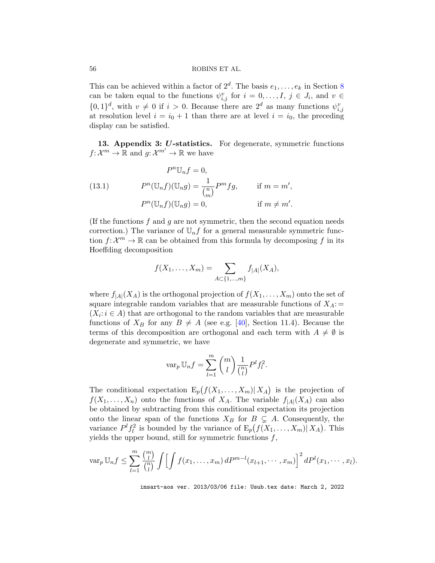This can be achieved within a factor of  $2^d$ . The basis  $e_1, \ldots, e_k$  in Section [8](#page-20-0) can be taken equal to the functions  $\psi_{i,j}^v$  for  $i = 0, \ldots, I, j \in J_i$ , and  $v \in$  $\{0,1\}^d$ , with  $v \neq 0$  if  $i > 0$ . Because there are  $2^d$  as many functions  $\psi_{i,j}^v$ at resolution level  $i = i_0 + 1$  than there are at level  $i = i_0$ , the preceding display can be satisfied.

<span id="page-55-0"></span>13. Appendix 3: U-statistics. For degenerate, symmetric functions  $f: \mathcal{X}^m \to \mathbb{R}$  and  $g: \mathcal{X}^{m'} \to \mathbb{R}$  we have

<span id="page-55-1"></span>(13.1) 
$$
P^{n}\mathbb{U}_{n}f = 0,
$$

$$
P^{n}(\mathbb{U}_{n}f)(\mathbb{U}_{n}g) = \frac{1}{\binom{n}{m}}P^{m}fg, \quad \text{if } m = m',
$$

$$
P^{n}(\mathbb{U}_{n}f)(\mathbb{U}_{n}g) = 0, \quad \text{if } m \neq m'.
$$

(If the functions  $f$  and  $g$  are not symmetric, then the second equation needs correction.) The variance of  $\mathbb{U}_n f$  for a general measurable symmetric function  $f: \mathcal{X}^m \to \mathbb{R}$  can be obtained from this formula by decomposing f in its Hoeffding decomposition

.

$$
f(X_1, \ldots, X_m) = \sum_{A \subset \{1, \ldots, m\}} f_{|A|}(X_A),
$$

where  $f_{|A|}(X_A)$  is the orthogonal projection of  $f(X_1, \ldots, X_m)$  onto the set of square integrable random variables that are measurable functions of  $X_A$ :  $(X_i: i \in A)$  that are orthogonal to the random variables that are measurable functions of  $X_B$  for any  $B \neq A$  (see e.g. [\[40\]](#page-38-1), Section 11.4). Because the terms of this decomposition are orthogonal and each term with  $A \neq \emptyset$  is degenerate and symmetric, we have

$$
\operatorname{var}_p \mathbb{U}_n f = \sum_{l=1}^m \binom{m}{l} \frac{1}{\binom{n}{l}} P^l f_l^2.
$$

The conditional expectation  $\mathbb{E}_p(f(X_1,\ldots,X_m)|X_A)$  is the projection of  $f(X_1, \ldots, X_n)$  onto the functions of  $X_A$ . The variable  $f_{|A|}(X_A)$  can also be obtained by subtracting from this conditional expectation its projection onto the linear span of the functions  $X_B$  for  $B \subsetneq A$ . Consequently, the variance  $P^{l} f_l^2$  is bounded by the variance of  $E_p(f(X_1, ..., X_m)|X_A)$ . This yields the upper bound, still for symmetric functions  $f$ ,

$$
\operatorname{var}_p \mathbb{U}_n f \leq \sum_{l=1}^m \frac{\binom{m}{l}}{\binom{n}{l}} \int \Bigl[ \int f(x_1, \ldots, x_m) \, dP^{m-l}(x_{l+1}, \cdots, x_m) \Bigr]^2 \, dP^l(x_1, \cdots, x_l).
$$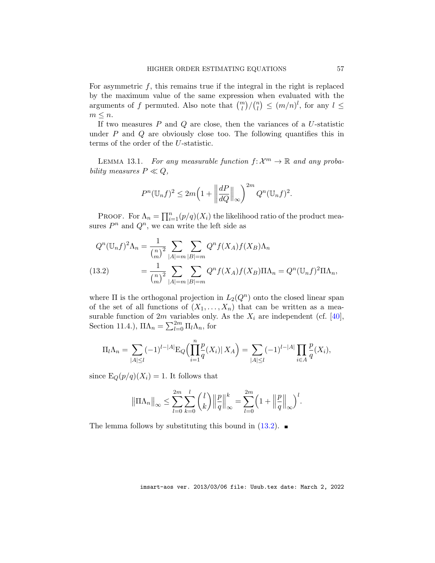For asymmetric  $f$ , this remains true if the integral in the right is replaced by the maximum value of the same expression when evaluated with the arguments of f permuted. Also note that  $\binom{m}{l}/\binom{n}{l}$  $\binom{n}{l} \leq (m/n)^l$ , for any  $l \leq$  $m \leq n$ .

If two measures  $P$  and  $Q$  are close, then the variances of a  $U$ -statistic under  $P$  and  $Q$  are obviously close too. The following quantifies this in terms of the order of the U-statistic.

<span id="page-56-0"></span>LEMMA 13.1. For any measurable function  $f: \mathcal{X}^m \to \mathbb{R}$  and any probability measures  $P \ll Q$ ,

$$
P^{n}(\mathbb{U}_{n}f)^{2} \leq 2m\left(1+\left\|\frac{dP}{dQ}\right\|_{\infty}\right)^{2m}Q^{n}(\mathbb{U}_{n}f)^{2}.
$$

PROOF. For  $\Lambda_n = \prod_{i=1}^n (p/q)(X_i)$  the likelihood ratio of the product measures  $P^n$  and  $Q^n$ , we can write the left side as

<span id="page-56-1"></span>
$$
Q^{n}(\mathbb{U}_{n}f)^{2}\Lambda_{n} = \frac{1}{\binom{n}{m}^{2}} \sum_{|A|=m} \sum_{|B|=m} Q^{n}f(X_{A})f(X_{B})\Lambda_{n}
$$
  
(13.2) 
$$
= \frac{1}{\binom{n}{m}^{2}} \sum_{|A|=m} \sum_{|B|=m} Q^{n}f(X_{A})f(X_{B})\Pi\Lambda_{n} = Q^{n}(\mathbb{U}_{n}f)^{2}\Pi\Lambda_{n},
$$

where  $\Pi$  is the orthogonal projection in  $L_2(Q^n)$  onto the closed linear span of the set of all functions of  $(X_1, \ldots, X_n)$  that can be written as a measurable function of 2m variables only. As the  $X_i$  are independent (cf. [\[40\]](#page-38-1), Section 11.4.),  $\Pi \Lambda_n = \sum_{l=0}^{2m} \Pi_l \Lambda_n$ , for

$$
\Pi_l \Lambda_n = \sum_{|A| \le l} (-1)^{l-|A|} \mathcal{E}_Q \Big( \prod_{i=1}^n \frac{p}{q}(X_i) | X_A \Big) = \sum_{|A| \le l} (-1)^{l-|A|} \prod_{i \in A} \frac{p}{q}(X_i),
$$

since  $E_Q(p/q)(X_i) = 1$ . It follows that

$$
\|\Pi \Lambda_n\|_{\infty} \leq \sum_{l=0}^{2m} \sum_{k=0}^{l} {l \choose k} \left\| \frac{p}{q} \right\|_{\infty}^{k} = \sum_{l=0}^{2m} \left(1 + \left\| \frac{p}{q} \right\|_{\infty}\right)^{l}.
$$

The lemma follows by substituting this bound in  $(13.2)$ .